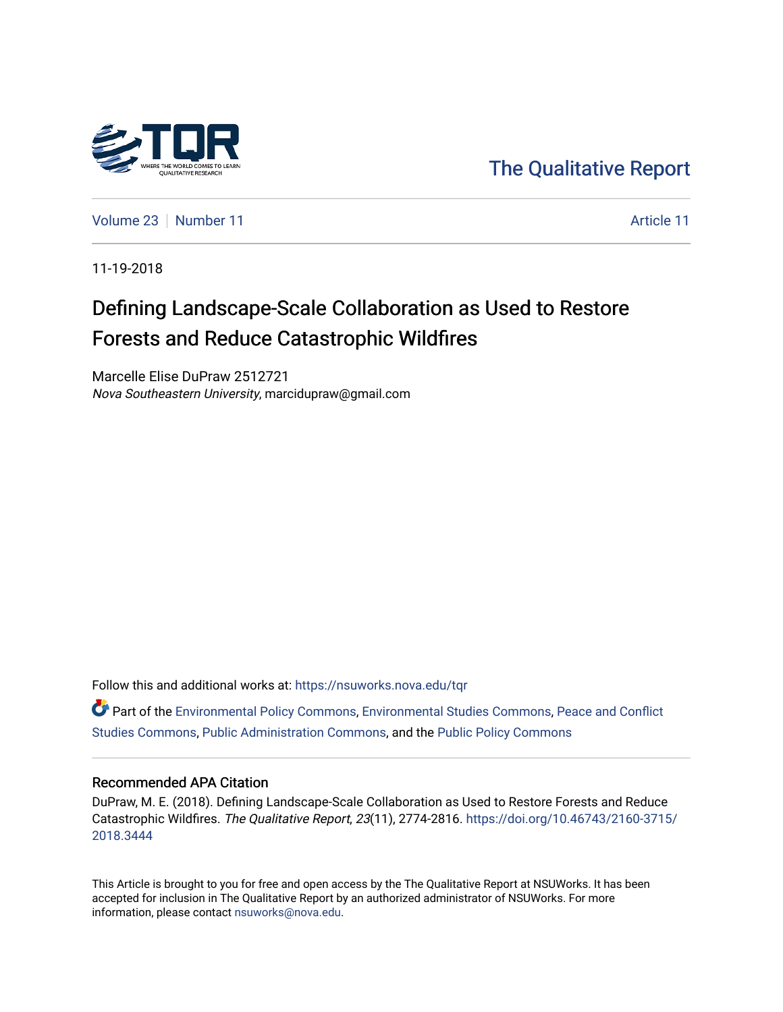

[The Qualitative Report](https://nsuworks.nova.edu/tqr) 

[Volume 23](https://nsuworks.nova.edu/tqr/vol23) [Number 11](https://nsuworks.nova.edu/tqr/vol23/iss11) [Article 11](https://nsuworks.nova.edu/tqr/vol23/iss11/11) Article 11

11-19-2018

# Defining Landscape-Scale Collaboration as Used to Restore Forests and Reduce Catastrophic Wildfires

Marcelle Elise DuPraw 2512721 Nova Southeastern University, marcidupraw@gmail.com

Follow this and additional works at: [https://nsuworks.nova.edu/tqr](https://nsuworks.nova.edu/tqr?utm_source=nsuworks.nova.edu%2Ftqr%2Fvol23%2Fiss11%2F11&utm_medium=PDF&utm_campaign=PDFCoverPages) 

Part of the [Environmental Policy Commons,](http://network.bepress.com/hgg/discipline/1027?utm_source=nsuworks.nova.edu%2Ftqr%2Fvol23%2Fiss11%2F11&utm_medium=PDF&utm_campaign=PDFCoverPages) [Environmental Studies Commons](http://network.bepress.com/hgg/discipline/1333?utm_source=nsuworks.nova.edu%2Ftqr%2Fvol23%2Fiss11%2F11&utm_medium=PDF&utm_campaign=PDFCoverPages), [Peace and Conflict](http://network.bepress.com/hgg/discipline/397?utm_source=nsuworks.nova.edu%2Ftqr%2Fvol23%2Fiss11%2F11&utm_medium=PDF&utm_campaign=PDFCoverPages)  [Studies Commons,](http://network.bepress.com/hgg/discipline/397?utm_source=nsuworks.nova.edu%2Ftqr%2Fvol23%2Fiss11%2F11&utm_medium=PDF&utm_campaign=PDFCoverPages) [Public Administration Commons](http://network.bepress.com/hgg/discipline/398?utm_source=nsuworks.nova.edu%2Ftqr%2Fvol23%2Fiss11%2F11&utm_medium=PDF&utm_campaign=PDFCoverPages), and the [Public Policy Commons](http://network.bepress.com/hgg/discipline/400?utm_source=nsuworks.nova.edu%2Ftqr%2Fvol23%2Fiss11%2F11&utm_medium=PDF&utm_campaign=PDFCoverPages) 

#### Recommended APA Citation

DuPraw, M. E. (2018). Defining Landscape-Scale Collaboration as Used to Restore Forests and Reduce Catastrophic Wildfires. The Qualitative Report, 23(11), 2774-2816. [https://doi.org/10.46743/2160-3715/](https://doi.org/10.46743/2160-3715/2018.3444) [2018.3444](https://doi.org/10.46743/2160-3715/2018.3444) 

This Article is brought to you for free and open access by the The Qualitative Report at NSUWorks. It has been accepted for inclusion in The Qualitative Report by an authorized administrator of NSUWorks. For more information, please contact [nsuworks@nova.edu.](mailto:nsuworks@nova.edu)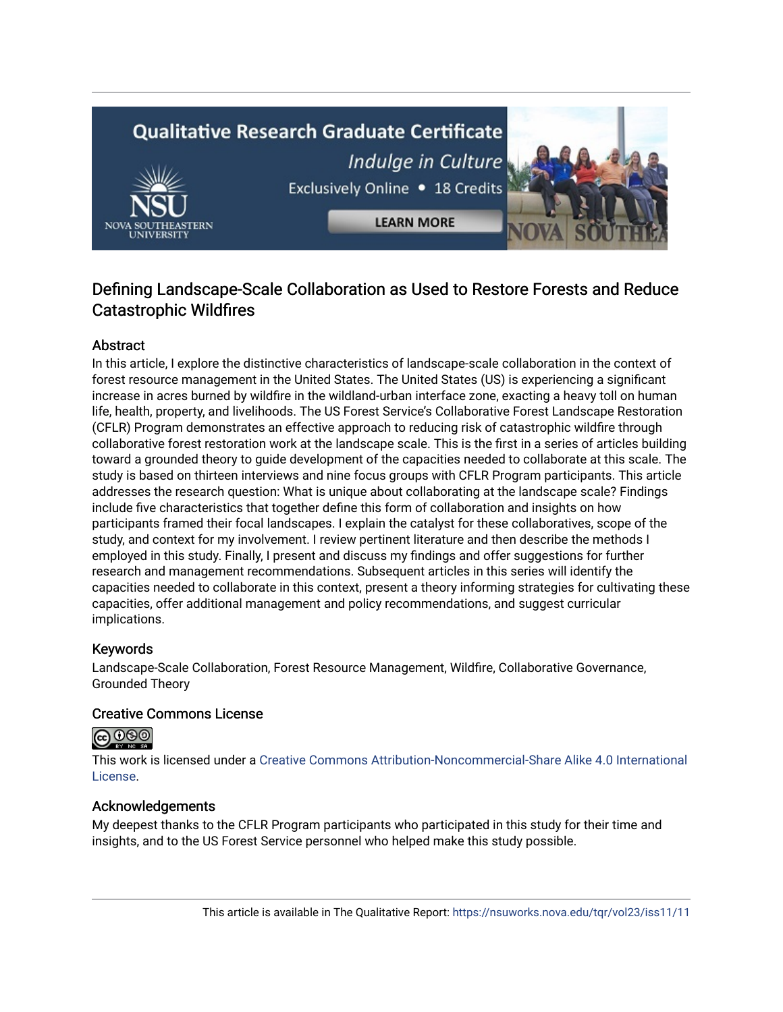# **Qualitative Research Graduate Certificate** Indulge in Culture Exclusively Online . 18 Credits



# Defining Landscape-Scale Collaboration as Used to Restore Forests and Reduce Catastrophic Wildfires

**LEARN MORE** 

# Abstract

In this article, I explore the distinctive characteristics of landscape-scale collaboration in the context of forest resource management in the United States. The United States (US) is experiencing a significant increase in acres burned by wildfire in the wildland-urban interface zone, exacting a heavy toll on human life, health, property, and livelihoods. The US Forest Service's Collaborative Forest Landscape Restoration (CFLR) Program demonstrates an effective approach to reducing risk of catastrophic wildfire through collaborative forest restoration work at the landscape scale. This is the first in a series of articles building toward a grounded theory to guide development of the capacities needed to collaborate at this scale. The study is based on thirteen interviews and nine focus groups with CFLR Program participants. This article addresses the research question: What is unique about collaborating at the landscape scale? Findings include five characteristics that together define this form of collaboration and insights on how participants framed their focal landscapes. I explain the catalyst for these collaboratives, scope of the study, and context for my involvement. I review pertinent literature and then describe the methods I employed in this study. Finally, I present and discuss my findings and offer suggestions for further research and management recommendations. Subsequent articles in this series will identify the capacities needed to collaborate in this context, present a theory informing strategies for cultivating these capacities, offer additional management and policy recommendations, and suggest curricular implications.

# Keywords

Landscape-Scale Collaboration, Forest Resource Management, Wildfire, Collaborative Governance, Grounded Theory

# Creative Commons License



This work is licensed under a [Creative Commons Attribution-Noncommercial-Share Alike 4.0 International](https://creativecommons.org/licenses/by-nc-sa/4.0/)  [License](https://creativecommons.org/licenses/by-nc-sa/4.0/).

# Acknowledgements

My deepest thanks to the CFLR Program participants who participated in this study for their time and insights, and to the US Forest Service personnel who helped make this study possible.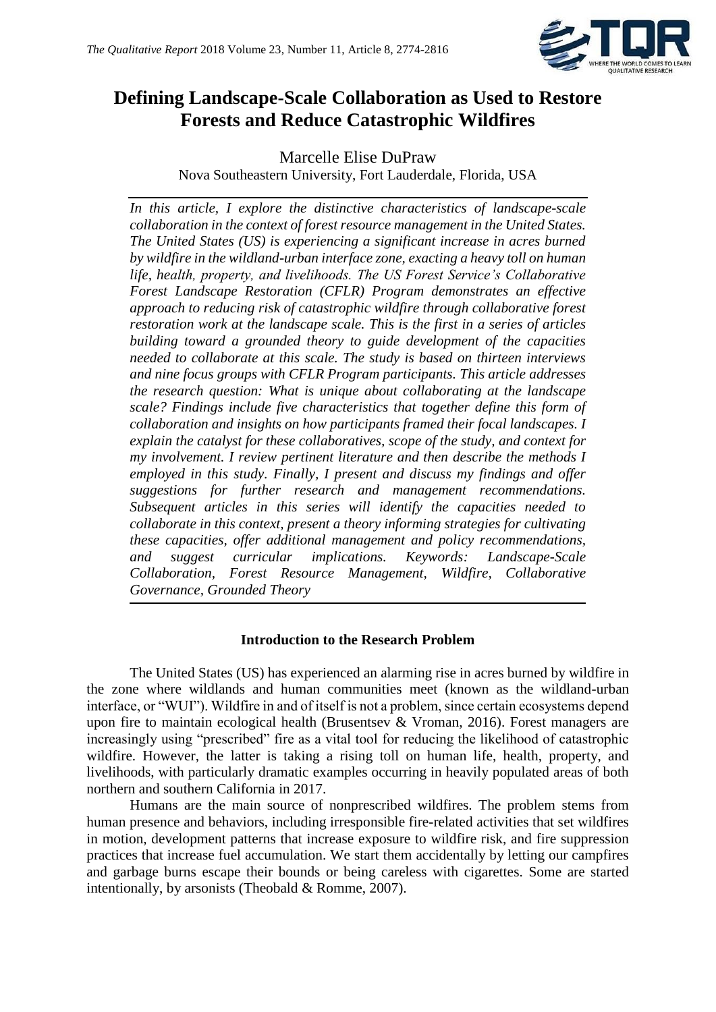

# **Defining Landscape-Scale Collaboration as Used to Restore Forests and Reduce Catastrophic Wildfires**

Marcelle Elise DuPraw Nova Southeastern University, Fort Lauderdale, Florida, USA

*In this article, I explore the distinctive characteristics of landscape-scale collaboration in the context of forest resource management in the United States. The United States (US) is experiencing a significant increase in acres burned by wildfire in the wildland-urban interface zone, exacting a heavy toll on human life, health, property, and livelihoods. The US Forest Service's Collaborative Forest Landscape Restoration (CFLR) Program demonstrates an effective approach to reducing risk of catastrophic wildfire through collaborative forest restoration work at the landscape scale. This is the first in a series of articles building toward a grounded theory to guide development of the capacities needed to collaborate at this scale. The study is based on thirteen interviews and nine focus groups with CFLR Program participants. This article addresses the research question: What is unique about collaborating at the landscape scale? Findings include five characteristics that together define this form of collaboration and insights on how participants framed their focal landscapes. I explain the catalyst for these collaboratives, scope of the study, and context for my involvement. I review pertinent literature and then describe the methods I employed in this study. Finally, I present and discuss my findings and offer suggestions for further research and management recommendations. Subsequent articles in this series will identify the capacities needed to collaborate in this context, present a theory informing strategies for cultivating these capacities, offer additional management and policy recommendations, and suggest curricular implications. Keywords: Landscape-Scale Collaboration, Forest Resource Management, Wildfire, Collaborative Governance, Grounded Theory*

# **Introduction to the Research Problem**

The United States (US) has experienced an alarming rise in acres burned by wildfire in the zone where wildlands and human communities meet (known as the wildland-urban interface, or "WUI"). Wildfire in and of itself is not a problem, since certain ecosystems depend upon fire to maintain ecological health (Brusentsev & Vroman, 2016). Forest managers are increasingly using "prescribed" fire as a vital tool for reducing the likelihood of catastrophic wildfire. However, the latter is taking a rising toll on human life, health, property, and livelihoods, with particularly dramatic examples occurring in heavily populated areas of both northern and southern California in 2017.

Humans are the main source of nonprescribed wildfires. The problem stems from human presence and behaviors, including irresponsible fire-related activities that set wildfires in motion, development patterns that increase exposure to wildfire risk, and fire suppression practices that increase fuel accumulation. We start them accidentally by letting our campfires and garbage burns escape their bounds or being careless with cigarettes. Some are started intentionally, by arsonists (Theobald & Romme, 2007).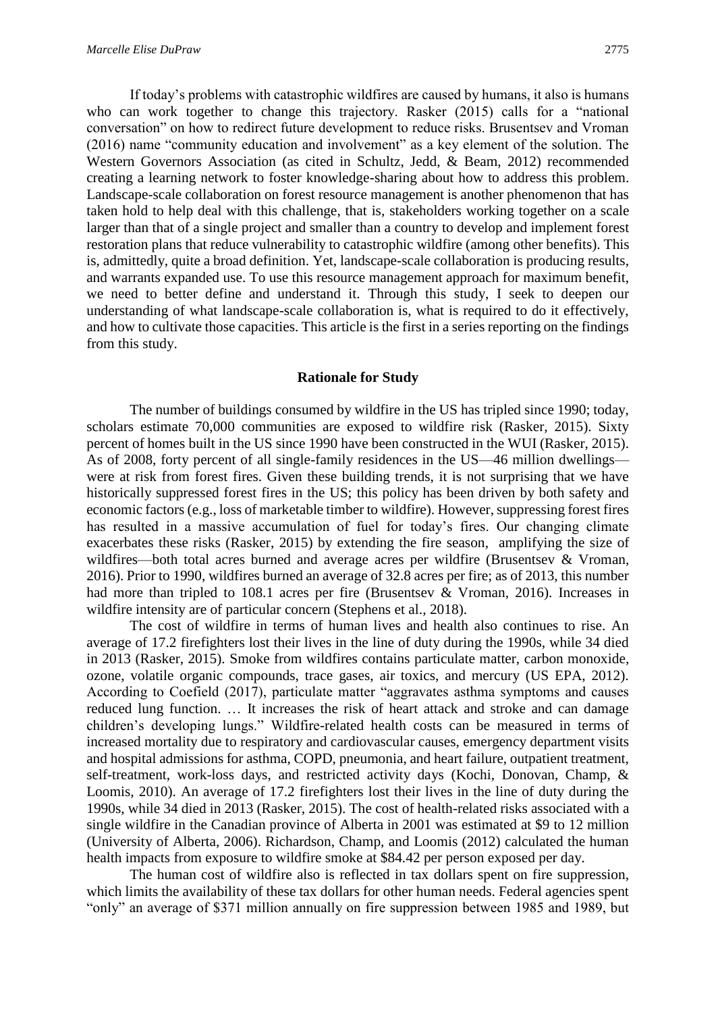If today's problems with catastrophic wildfires are caused by humans, it also is humans who can work together to change this trajectory. Rasker (2015) calls for a "national conversation" on how to redirect future development to reduce risks. Brusentsev and Vroman (2016) name "community education and involvement" as a key element of the solution. The

Western Governors Association (as cited in Schultz, Jedd, & Beam, 2012) recommended creating a learning network to foster knowledge-sharing about how to address this problem. Landscape-scale collaboration on forest resource management is another phenomenon that has taken hold to help deal with this challenge, that is, stakeholders working together on a scale larger than that of a single project and smaller than a country to develop and implement forest restoration plans that reduce vulnerability to catastrophic wildfire (among other benefits). This is, admittedly, quite a broad definition. Yet, landscape-scale collaboration is producing results, and warrants expanded use. To use this resource management approach for maximum benefit, we need to better define and understand it. Through this study, I seek to deepen our understanding of what landscape-scale collaboration is, what is required to do it effectively, and how to cultivate those capacities. This article is the first in a series reporting on the findings from this study.

#### **Rationale for Study**

The number of buildings consumed by wildfire in the US has tripled since 1990; today, scholars estimate 70,000 communities are exposed to wildfire risk (Rasker, 2015). Sixty percent of homes built in the US since 1990 have been constructed in the WUI (Rasker, 2015). As of 2008, forty percent of all single-family residences in the US—46 million dwellings were at risk from forest fires. Given these building trends, it is not surprising that we have historically suppressed forest fires in the US; this policy has been driven by both safety and economic factors (e.g., loss of marketable timber to wildfire). However, suppressing forest fires has resulted in a massive accumulation of fuel for today's fires. Our changing climate exacerbates these risks (Rasker, 2015) by extending the fire season, amplifying the size of wildfires—both total acres burned and average acres per wildfire (Brusentsev & Vroman, 2016). Prior to 1990, wildfires burned an average of 32.8 acres per fire; as of 2013, this number had more than tripled to 108.1 acres per fire (Brusentsev & Vroman, 2016). Increases in wildfire intensity are of particular concern (Stephens et al., 2018).

The cost of wildfire in terms of human lives and health also continues to rise. An average of 17.2 firefighters lost their lives in the line of duty during the 1990s, while 34 died in 2013 (Rasker, 2015). Smoke from wildfires contains particulate matter, carbon monoxide, ozone, volatile organic compounds, trace gases, air toxics, and mercury (US EPA, 2012). According to Coefield (2017), particulate matter "aggravates asthma symptoms and causes reduced lung function. … It increases the risk of heart attack and stroke and can damage children's developing lungs." Wildfire-related health costs can be measured in terms of increased mortality due to respiratory and cardiovascular causes, emergency department visits and hospital admissions for asthma, COPD, pneumonia, and heart failure, outpatient treatment, self-treatment, work-loss days, and restricted activity days (Kochi, Donovan, Champ, & Loomis, 2010). An average of 17.2 firefighters lost their lives in the line of duty during the 1990s, while 34 died in 2013 (Rasker, 2015). The cost of health-related risks associated with a single wildfire in the Canadian province of Alberta in 2001 was estimated at \$9 to 12 million (University of Alberta, 2006). Richardson, Champ, and Loomis (2012) calculated the human health impacts from exposure to wildfire smoke at \$84.42 per person exposed per day.

The human cost of wildfire also is reflected in tax dollars spent on fire suppression, which limits the availability of these tax dollars for other human needs. Federal agencies spent "only" an average of \$371 million annually on fire suppression between 1985 and 1989, but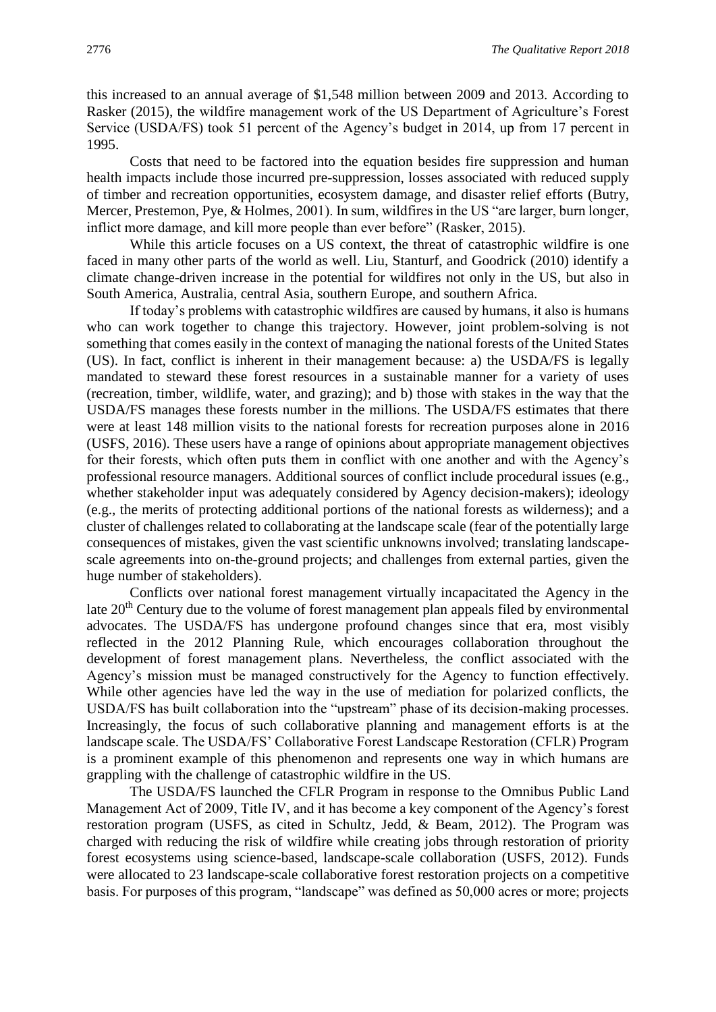this increased to an annual average of \$1,548 million between 2009 and 2013. According to Rasker (2015), the wildfire management work of the US Department of Agriculture's Forest Service (USDA/FS) took 51 percent of the Agency's budget in 2014, up from 17 percent in 1995.

Costs that need to be factored into the equation besides fire suppression and human health impacts include those incurred pre-suppression, losses associated with reduced supply of timber and recreation opportunities, ecosystem damage, and disaster relief efforts (Butry, Mercer, Prestemon, Pye, & Holmes, 2001). In sum, wildfires in the US "are larger, burn longer, inflict more damage, and kill more people than ever before" (Rasker, 2015).

While this article focuses on a US context, the threat of catastrophic wildfire is one faced in many other parts of the world as well. Liu, Stanturf, and Goodrick (2010) identify a climate change-driven increase in the potential for wildfires not only in the US, but also in South America, Australia, central Asia, southern Europe, and southern Africa.

If today's problems with catastrophic wildfires are caused by humans, it also is humans who can work together to change this trajectory. However, joint problem-solving is not something that comes easily in the context of managing the national forests of the United States (US). In fact, conflict is inherent in their management because: a) the USDA/FS is legally mandated to steward these forest resources in a sustainable manner for a variety of uses (recreation, timber, wildlife, water, and grazing); and b) those with stakes in the way that the USDA/FS manages these forests number in the millions. The USDA/FS estimates that there were at least 148 million visits to the national forests for recreation purposes alone in 2016 (USFS, 2016). These users have a range of opinions about appropriate management objectives for their forests, which often puts them in conflict with one another and with the Agency's professional resource managers. Additional sources of conflict include procedural issues (e.g., whether stakeholder input was adequately considered by Agency decision-makers); ideology (e.g., the merits of protecting additional portions of the national forests as wilderness); and a cluster of challenges related to collaborating at the landscape scale (fear of the potentially large consequences of mistakes, given the vast scientific unknowns involved; translating landscapescale agreements into on-the-ground projects; and challenges from external parties, given the huge number of stakeholders).

Conflicts over national forest management virtually incapacitated the Agency in the late  $20<sup>th</sup>$  Century due to the volume of forest management plan appeals filed by environmental advocates. The USDA/FS has undergone profound changes since that era, most visibly reflected in the 2012 Planning Rule, which encourages collaboration throughout the development of forest management plans. Nevertheless, the conflict associated with the Agency's mission must be managed constructively for the Agency to function effectively. While other agencies have led the way in the use of mediation for polarized conflicts, the USDA/FS has built collaboration into the "upstream" phase of its decision-making processes. Increasingly, the focus of such collaborative planning and management efforts is at the landscape scale. The USDA/FS' Collaborative Forest Landscape Restoration (CFLR) Program is a prominent example of this phenomenon and represents one way in which humans are grappling with the challenge of catastrophic wildfire in the US.

The USDA/FS launched the CFLR Program in response to the Omnibus Public Land Management Act of 2009, Title IV, and it has become a key component of the Agency's forest restoration program (USFS, as cited in Schultz, Jedd, & Beam, 2012). The Program was charged with reducing the risk of wildfire while creating jobs through restoration of priority forest ecosystems using science-based, landscape-scale collaboration (USFS, 2012). Funds were allocated to 23 landscape-scale collaborative forest restoration projects on a competitive basis. For purposes of this program, "landscape" was defined as 50,000 acres or more; projects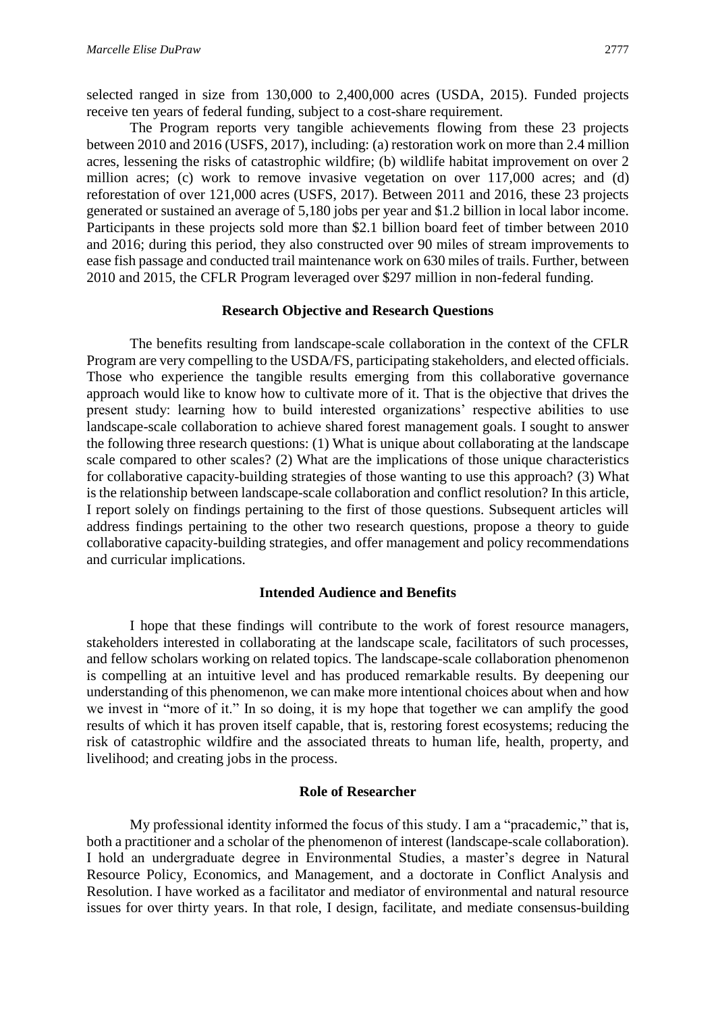selected ranged in size from 130,000 to 2,400,000 acres (USDA, 2015). Funded projects receive ten years of federal funding, subject to a cost-share requirement.

The Program reports very tangible achievements flowing from these 23 projects between 2010 and 2016 (USFS, 2017), including: (a) restoration work on more than 2.4 million acres, lessening the risks of catastrophic wildfire; (b) wildlife habitat improvement on over 2 million acres; (c) work to remove invasive vegetation on over 117,000 acres; and (d) reforestation of over 121,000 acres (USFS, 2017). Between 2011 and 2016, these 23 projects generated or sustained an average of 5,180 jobs per year and \$1.2 billion in local labor income. Participants in these projects sold more than \$2.1 billion board feet of timber between 2010 and 2016; during this period, they also constructed over 90 miles of stream improvements to ease fish passage and conducted trail maintenance work on 630 miles of trails. Further, between 2010 and 2015, the CFLR Program leveraged over \$297 million in non-federal funding.

# **Research Objective and Research Questions**

The benefits resulting from landscape-scale collaboration in the context of the CFLR Program are very compelling to the USDA/FS, participating stakeholders, and elected officials. Those who experience the tangible results emerging from this collaborative governance approach would like to know how to cultivate more of it. That is the objective that drives the present study: learning how to build interested organizations' respective abilities to use landscape-scale collaboration to achieve shared forest management goals. I sought to answer the following three research questions: (1) What is unique about collaborating at the landscape scale compared to other scales? (2) What are the implications of those unique characteristics for collaborative capacity-building strategies of those wanting to use this approach? (3) What is the relationship between landscape-scale collaboration and conflict resolution? In this article, I report solely on findings pertaining to the first of those questions. Subsequent articles will address findings pertaining to the other two research questions, propose a theory to guide collaborative capacity-building strategies, and offer management and policy recommendations and curricular implications.

# **Intended Audience and Benefits**

I hope that these findings will contribute to the work of forest resource managers, stakeholders interested in collaborating at the landscape scale, facilitators of such processes, and fellow scholars working on related topics. The landscape-scale collaboration phenomenon is compelling at an intuitive level and has produced remarkable results. By deepening our understanding of this phenomenon, we can make more intentional choices about when and how we invest in "more of it." In so doing, it is my hope that together we can amplify the good results of which it has proven itself capable, that is, restoring forest ecosystems; reducing the risk of catastrophic wildfire and the associated threats to human life, health, property, and livelihood; and creating jobs in the process.

# **Role of Researcher**

My professional identity informed the focus of this study. I am a "pracademic," that is, both a practitioner and a scholar of the phenomenon of interest (landscape-scale collaboration). I hold an undergraduate degree in Environmental Studies, a master's degree in Natural Resource Policy, Economics, and Management, and a doctorate in Conflict Analysis and Resolution. I have worked as a facilitator and mediator of environmental and natural resource issues for over thirty years. In that role, I design, facilitate, and mediate consensus-building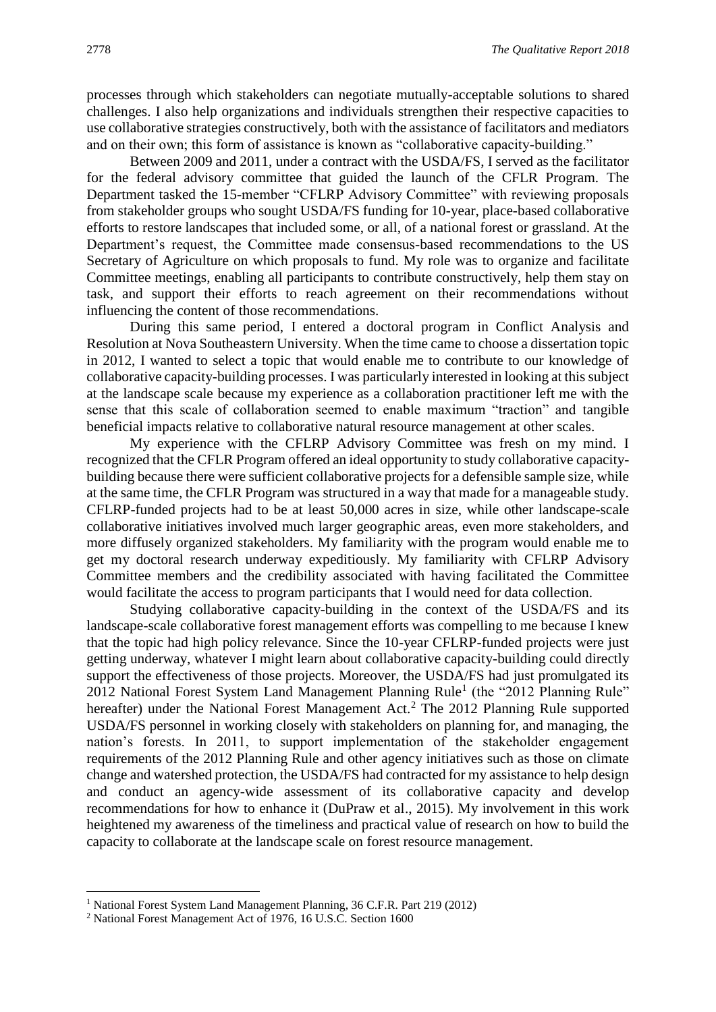processes through which stakeholders can negotiate mutually-acceptable solutions to shared challenges. I also help organizations and individuals strengthen their respective capacities to use collaborative strategies constructively, both with the assistance of facilitators and mediators and on their own; this form of assistance is known as "collaborative capacity-building."

Between 2009 and 2011, under a contract with the USDA/FS, I served as the facilitator for the federal advisory committee that guided the launch of the CFLR Program. The Department tasked the 15-member "CFLRP Advisory Committee" with reviewing proposals from stakeholder groups who sought USDA/FS funding for 10-year, place-based collaborative efforts to restore landscapes that included some, or all, of a national forest or grassland. At the Department's request, the Committee made consensus-based recommendations to the US Secretary of Agriculture on which proposals to fund. My role was to organize and facilitate Committee meetings, enabling all participants to contribute constructively, help them stay on task, and support their efforts to reach agreement on their recommendations without influencing the content of those recommendations.

During this same period, I entered a doctoral program in Conflict Analysis and Resolution at Nova Southeastern University. When the time came to choose a dissertation topic in 2012, I wanted to select a topic that would enable me to contribute to our knowledge of collaborative capacity-building processes. I was particularly interested in looking at this subject at the landscape scale because my experience as a collaboration practitioner left me with the sense that this scale of collaboration seemed to enable maximum "traction" and tangible beneficial impacts relative to collaborative natural resource management at other scales.

My experience with the CFLRP Advisory Committee was fresh on my mind. I recognized that the CFLR Program offered an ideal opportunity to study collaborative capacitybuilding because there were sufficient collaborative projects for a defensible sample size, while at the same time, the CFLR Program was structured in a way that made for a manageable study. CFLRP-funded projects had to be at least 50,000 acres in size, while other landscape-scale collaborative initiatives involved much larger geographic areas, even more stakeholders, and more diffusely organized stakeholders. My familiarity with the program would enable me to get my doctoral research underway expeditiously. My familiarity with CFLRP Advisory Committee members and the credibility associated with having facilitated the Committee would facilitate the access to program participants that I would need for data collection.

Studying collaborative capacity-building in the context of the USDA/FS and its landscape-scale collaborative forest management efforts was compelling to me because I knew that the topic had high policy relevance. Since the 10-year CFLRP-funded projects were just getting underway, whatever I might learn about collaborative capacity-building could directly support the effectiveness of those projects. Moreover, the USDA/FS had just promulgated its 2012 National Forest System Land Management Planning Rule<sup>1</sup> (the "2012 Planning Rule" hereafter) under the National Forest Management Act.<sup>2</sup> The 2012 Planning Rule supported USDA/FS personnel in working closely with stakeholders on planning for, and managing, the nation's forests. In 2011, to support implementation of the stakeholder engagement requirements of the 2012 Planning Rule and other agency initiatives such as those on climate change and watershed protection, the USDA/FS had contracted for my assistance to help design and conduct an agency-wide assessment of its collaborative capacity and develop recommendations for how to enhance it (DuPraw et al., 2015). My involvement in this work heightened my awareness of the timeliness and practical value of research on how to build the capacity to collaborate at the landscape scale on forest resource management.

1

<sup>&</sup>lt;sup>1</sup> National Forest System Land Management Planning, 36 C.F.R. Part 219 (2012)

<sup>2</sup> National Forest Management Act of 1976, 16 U.S.C. Section 1600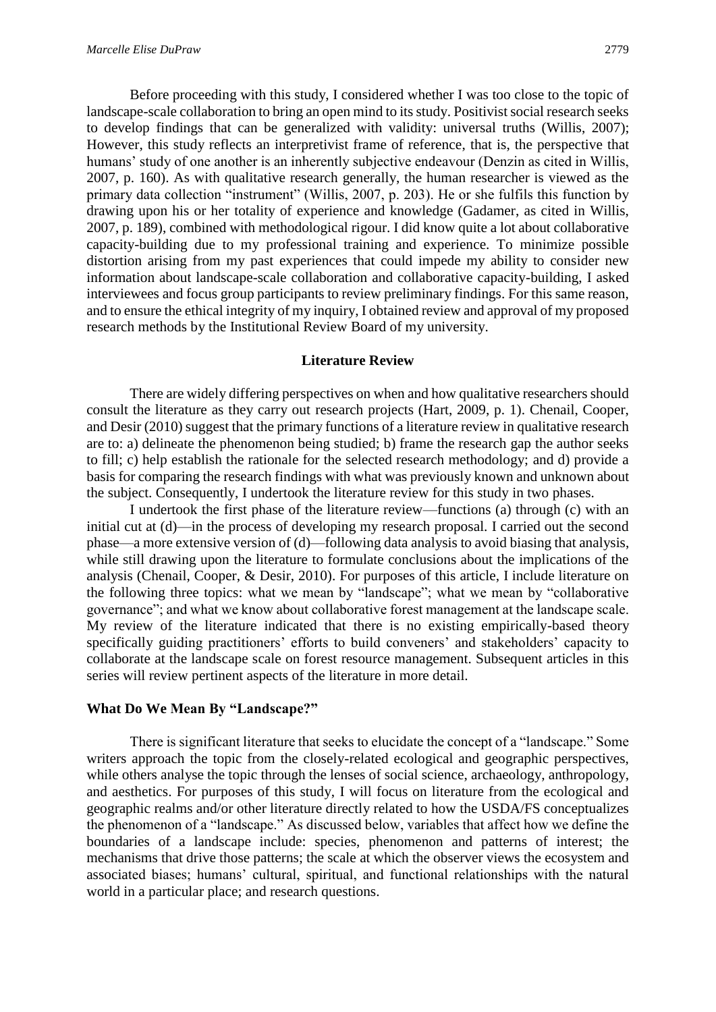Before proceeding with this study, I considered whether I was too close to the topic of landscape-scale collaboration to bring an open mind to its study. Positivist social research seeks to develop findings that can be generalized with validity: universal truths (Willis, 2007); However, this study reflects an interpretivist frame of reference, that is, the perspective that humans' study of one another is an inherently subjective endeavour (Denzin as cited in Willis, 2007, p. 160). As with qualitative research generally, the human researcher is viewed as the primary data collection "instrument" (Willis, 2007, p. 203). He or she fulfils this function by drawing upon his or her totality of experience and knowledge (Gadamer, as cited in Willis, 2007, p. 189), combined with methodological rigour. I did know quite a lot about collaborative capacity-building due to my professional training and experience. To minimize possible distortion arising from my past experiences that could impede my ability to consider new information about landscape-scale collaboration and collaborative capacity-building, I asked interviewees and focus group participants to review preliminary findings. For this same reason, and to ensure the ethical integrity of my inquiry, I obtained review and approval of my proposed research methods by the Institutional Review Board of my university.

#### **Literature Review**

There are widely differing perspectives on when and how qualitative researchers should consult the literature as they carry out research projects (Hart, 2009, p. 1). Chenail, Cooper, and Desir (2010) suggest that the primary functions of a literature review in qualitative research are to: a) delineate the phenomenon being studied; b) frame the research gap the author seeks to fill; c) help establish the rationale for the selected research methodology; and d) provide a basis for comparing the research findings with what was previously known and unknown about the subject. Consequently, I undertook the literature review for this study in two phases.

I undertook the first phase of the literature review—functions (a) through (c) with an initial cut at (d)—in the process of developing my research proposal. I carried out the second phase—a more extensive version of (d)—following data analysis to avoid biasing that analysis, while still drawing upon the literature to formulate conclusions about the implications of the analysis (Chenail, Cooper, & Desir, 2010). For purposes of this article, I include literature on the following three topics: what we mean by "landscape"; what we mean by "collaborative governance"; and what we know about collaborative forest management at the landscape scale. My review of the literature indicated that there is no existing empirically-based theory specifically guiding practitioners' efforts to build conveners' and stakeholders' capacity to collaborate at the landscape scale on forest resource management. Subsequent articles in this series will review pertinent aspects of the literature in more detail.

#### **What Do We Mean By "Landscape?"**

There is significant literature that seeks to elucidate the concept of a "landscape." Some writers approach the topic from the closely-related ecological and geographic perspectives, while others analyse the topic through the lenses of social science, archaeology, anthropology, and aesthetics. For purposes of this study, I will focus on literature from the ecological and geographic realms and/or other literature directly related to how the USDA/FS conceptualizes the phenomenon of a "landscape." As discussed below, variables that affect how we define the boundaries of a landscape include: species, phenomenon and patterns of interest; the mechanisms that drive those patterns; the scale at which the observer views the ecosystem and associated biases; humans' cultural, spiritual, and functional relationships with the natural world in a particular place; and research questions.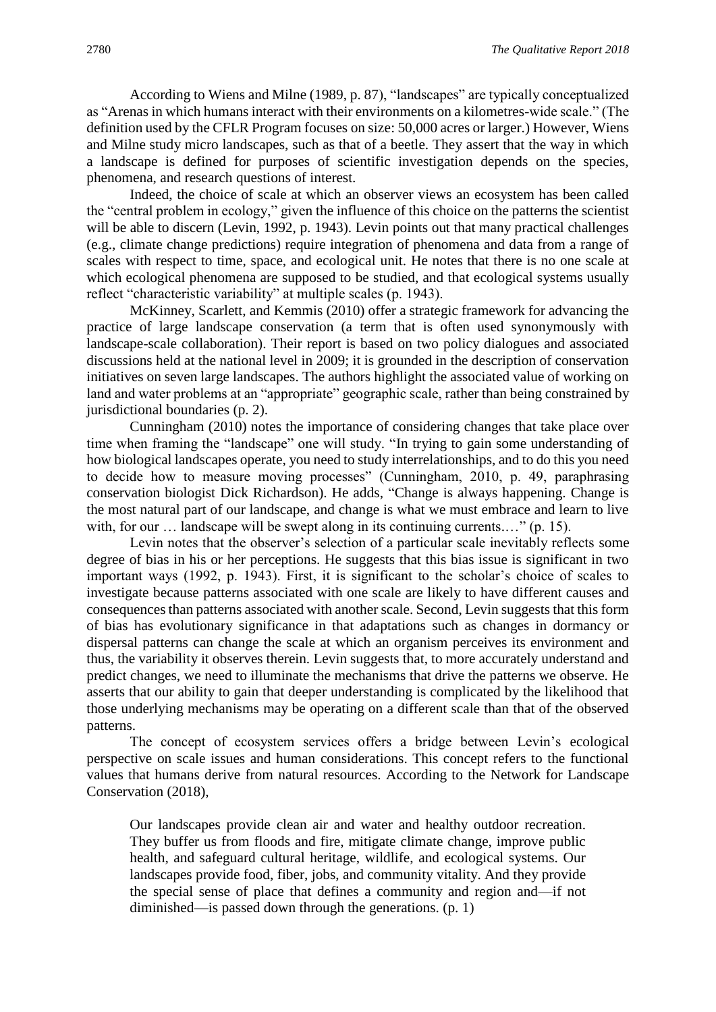According to Wiens and Milne (1989, p. 87), "landscapes" are typically conceptualized as "Arenas in which humans interact with their environments on a kilometres-wide scale." (The definition used by the CFLR Program focuses on size: 50,000 acres or larger.) However, Wiens and Milne study micro landscapes, such as that of a beetle. They assert that the way in which a landscape is defined for purposes of scientific investigation depends on the species, phenomena, and research questions of interest.

Indeed, the choice of scale at which an observer views an ecosystem has been called the "central problem in ecology," given the influence of this choice on the patterns the scientist will be able to discern (Levin, 1992, p. 1943). Levin points out that many practical challenges (e.g., climate change predictions) require integration of phenomena and data from a range of scales with respect to time, space, and ecological unit. He notes that there is no one scale at which ecological phenomena are supposed to be studied, and that ecological systems usually reflect "characteristic variability" at multiple scales (p. 1943).

McKinney, Scarlett, and Kemmis (2010) offer a strategic framework for advancing the practice of large landscape conservation (a term that is often used synonymously with landscape-scale collaboration). Their report is based on two policy dialogues and associated discussions held at the national level in 2009; it is grounded in the description of conservation initiatives on seven large landscapes. The authors highlight the associated value of working on land and water problems at an "appropriate" geographic scale, rather than being constrained by jurisdictional boundaries (p. 2).

Cunningham (2010) notes the importance of considering changes that take place over time when framing the "landscape" one will study. "In trying to gain some understanding of how biological landscapes operate, you need to study interrelationships, and to do this you need to decide how to measure moving processes" (Cunningham, 2010, p. 49, paraphrasing conservation biologist Dick Richardson). He adds, "Change is always happening. Change is the most natural part of our landscape, and change is what we must embrace and learn to live with, for our ... landscape will be swept along in its continuing currents...." (p. 15).

Levin notes that the observer's selection of a particular scale inevitably reflects some degree of bias in his or her perceptions. He suggests that this bias issue is significant in two important ways (1992, p. 1943). First, it is significant to the scholar's choice of scales to investigate because patterns associated with one scale are likely to have different causes and consequences than patterns associated with another scale. Second, Levin suggests that this form of bias has evolutionary significance in that adaptations such as changes in dormancy or dispersal patterns can change the scale at which an organism perceives its environment and thus, the variability it observes therein. Levin suggests that, to more accurately understand and predict changes, we need to illuminate the mechanisms that drive the patterns we observe. He asserts that our ability to gain that deeper understanding is complicated by the likelihood that those underlying mechanisms may be operating on a different scale than that of the observed patterns.

The concept of ecosystem services offers a bridge between Levin's ecological perspective on scale issues and human considerations. This concept refers to the functional values that humans derive from natural resources. According to the Network for Landscape Conservation (2018),

Our landscapes provide clean air and water and healthy outdoor recreation. They buffer us from floods and fire, mitigate climate change, improve public health, and safeguard cultural heritage, wildlife, and ecological systems. Our landscapes provide food, fiber, jobs, and community vitality. And they provide the special sense of place that defines a community and region and—if not diminished—is passed down through the generations. (p. 1)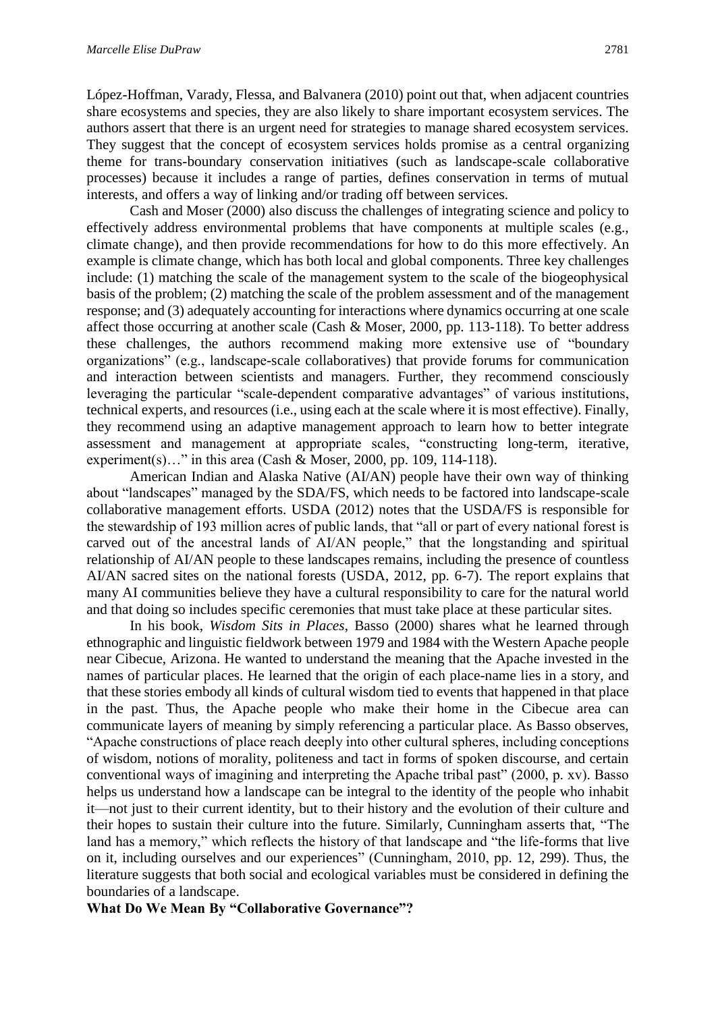López-Hoffman, Varady, Flessa, and Balvanera (2010) point out that, when adjacent countries share ecosystems and species, they are also likely to share important ecosystem services. The authors assert that there is an urgent need for strategies to manage shared ecosystem services. They suggest that the concept of ecosystem services holds promise as a central organizing theme for trans-boundary conservation initiatives (such as landscape-scale collaborative processes) because it includes a range of parties, defines conservation in terms of mutual interests, and offers a way of linking and/or trading off between services.

Cash and Moser (2000) also discuss the challenges of integrating science and policy to effectively address environmental problems that have components at multiple scales (e.g., climate change), and then provide recommendations for how to do this more effectively. An example is climate change, which has both local and global components. Three key challenges include: (1) matching the scale of the management system to the scale of the biogeophysical basis of the problem; (2) matching the scale of the problem assessment and of the management response; and (3) adequately accounting for interactions where dynamics occurring at one scale affect those occurring at another scale (Cash & Moser, 2000, pp. 113-118). To better address these challenges, the authors recommend making more extensive use of "boundary organizations" (e.g., landscape-scale collaboratives) that provide forums for communication and interaction between scientists and managers. Further, they recommend consciously leveraging the particular "scale-dependent comparative advantages" of various institutions, technical experts, and resources (i.e., using each at the scale where it is most effective). Finally, they recommend using an adaptive management approach to learn how to better integrate assessment and management at appropriate scales, "constructing long-term, iterative, experiment(s)..." in this area (Cash & Moser, 2000, pp. 109, 114-118).

American Indian and Alaska Native (AI/AN) people have their own way of thinking about "landscapes" managed by the SDA/FS, which needs to be factored into landscape-scale collaborative management efforts. USDA (2012) notes that the USDA/FS is responsible for the stewardship of 193 million acres of public lands, that "all or part of every national forest is carved out of the ancestral lands of AI/AN people," that the longstanding and spiritual relationship of AI/AN people to these landscapes remains, including the presence of countless AI/AN sacred sites on the national forests (USDA, 2012, pp. 6-7). The report explains that many AI communities believe they have a cultural responsibility to care for the natural world and that doing so includes specific ceremonies that must take place at these particular sites.

In his book, *Wisdom Sits in Places*, Basso (2000) shares what he learned through ethnographic and linguistic fieldwork between 1979 and 1984 with the Western Apache people near Cibecue, Arizona. He wanted to understand the meaning that the Apache invested in the names of particular places. He learned that the origin of each place-name lies in a story, and that these stories embody all kinds of cultural wisdom tied to events that happened in that place in the past. Thus, the Apache people who make their home in the Cibecue area can communicate layers of meaning by simply referencing a particular place. As Basso observes, "Apache constructions of place reach deeply into other cultural spheres, including conceptions of wisdom, notions of morality, politeness and tact in forms of spoken discourse, and certain conventional ways of imagining and interpreting the Apache tribal past" (2000, p. xv). Basso helps us understand how a landscape can be integral to the identity of the people who inhabit it—not just to their current identity, but to their history and the evolution of their culture and their hopes to sustain their culture into the future. Similarly, Cunningham asserts that, "The land has a memory," which reflects the history of that landscape and "the life-forms that live on it, including ourselves and our experiences" (Cunningham, 2010, pp. 12, 299). Thus, the literature suggests that both social and ecological variables must be considered in defining the boundaries of a landscape.

# **What Do We Mean By "Collaborative Governance"?**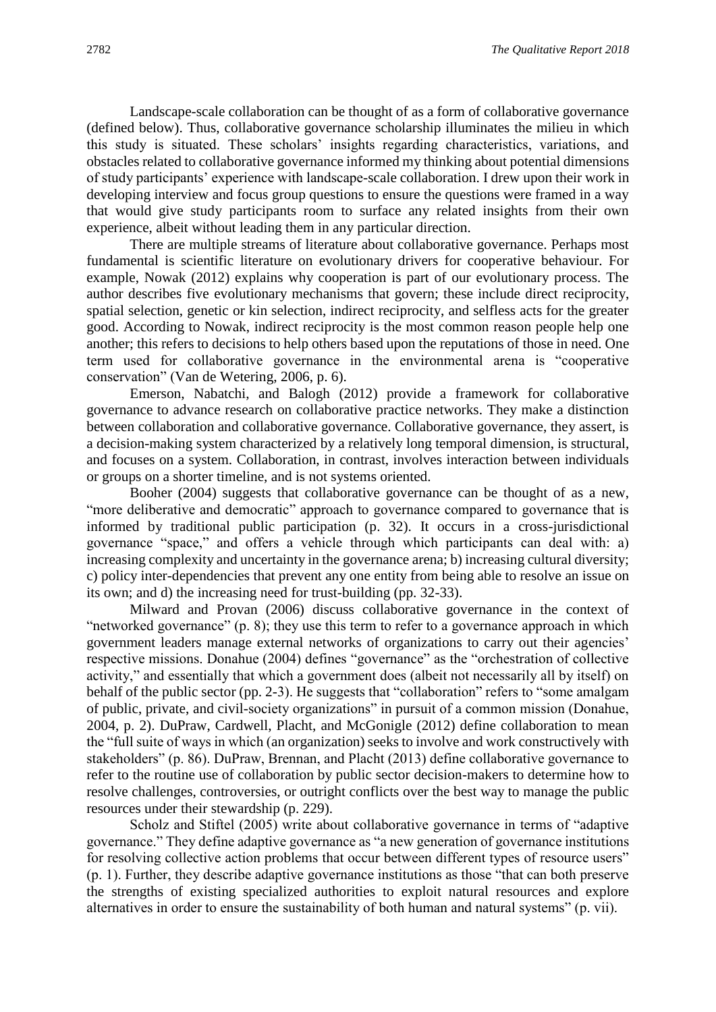Landscape-scale collaboration can be thought of as a form of collaborative governance (defined below). Thus, collaborative governance scholarship illuminates the milieu in which this study is situated. These scholars' insights regarding characteristics, variations, and obstacles related to collaborative governance informed my thinking about potential dimensions of study participants' experience with landscape-scale collaboration. I drew upon their work in developing interview and focus group questions to ensure the questions were framed in a way that would give study participants room to surface any related insights from their own experience, albeit without leading them in any particular direction.

There are multiple streams of literature about collaborative governance. Perhaps most fundamental is scientific literature on evolutionary drivers for cooperative behaviour. For example, Nowak (2012) explains why cooperation is part of our evolutionary process. The author describes five evolutionary mechanisms that govern; these include direct reciprocity, spatial selection, genetic or kin selection, indirect reciprocity, and selfless acts for the greater good. According to Nowak, indirect reciprocity is the most common reason people help one another; this refers to decisions to help others based upon the reputations of those in need. One term used for collaborative governance in the environmental arena is "cooperative conservation" (Van de Wetering, 2006, p. 6).

Emerson, Nabatchi, and Balogh (2012) provide a framework for collaborative governance to advance research on collaborative practice networks. They make a distinction between collaboration and collaborative governance. Collaborative governance, they assert, is a decision-making system characterized by a relatively long temporal dimension, is structural, and focuses on a system. Collaboration, in contrast, involves interaction between individuals or groups on a shorter timeline, and is not systems oriented.

Booher (2004) suggests that collaborative governance can be thought of as a new, "more deliberative and democratic" approach to governance compared to governance that is informed by traditional public participation (p. 32). It occurs in a cross-jurisdictional governance "space," and offers a vehicle through which participants can deal with: a) increasing complexity and uncertainty in the governance arena; b) increasing cultural diversity; c) policy inter-dependencies that prevent any one entity from being able to resolve an issue on its own; and d) the increasing need for trust-building (pp. 32-33).

Milward and Provan (2006) discuss collaborative governance in the context of "networked governance" (p. 8); they use this term to refer to a governance approach in which government leaders manage external networks of organizations to carry out their agencies' respective missions. Donahue (2004) defines "governance" as the "orchestration of collective activity," and essentially that which a government does (albeit not necessarily all by itself) on behalf of the public sector (pp. 2-3). He suggests that "collaboration" refers to "some amalgam of public, private, and civil-society organizations" in pursuit of a common mission (Donahue, 2004, p. 2). DuPraw, Cardwell, Placht, and McGonigle (2012) define collaboration to mean the "full suite of ways in which (an organization) seeks to involve and work constructively with stakeholders" (p. 86). DuPraw, Brennan, and Placht (2013) define collaborative governance to refer to the routine use of collaboration by public sector decision-makers to determine how to resolve challenges, controversies, or outright conflicts over the best way to manage the public resources under their stewardship (p. 229).

Scholz and Stiftel (2005) write about collaborative governance in terms of "adaptive governance." They define adaptive governance as "a new generation of governance institutions for resolving collective action problems that occur between different types of resource users" (p. 1). Further, they describe adaptive governance institutions as those "that can both preserve the strengths of existing specialized authorities to exploit natural resources and explore alternatives in order to ensure the sustainability of both human and natural systems" (p. vii).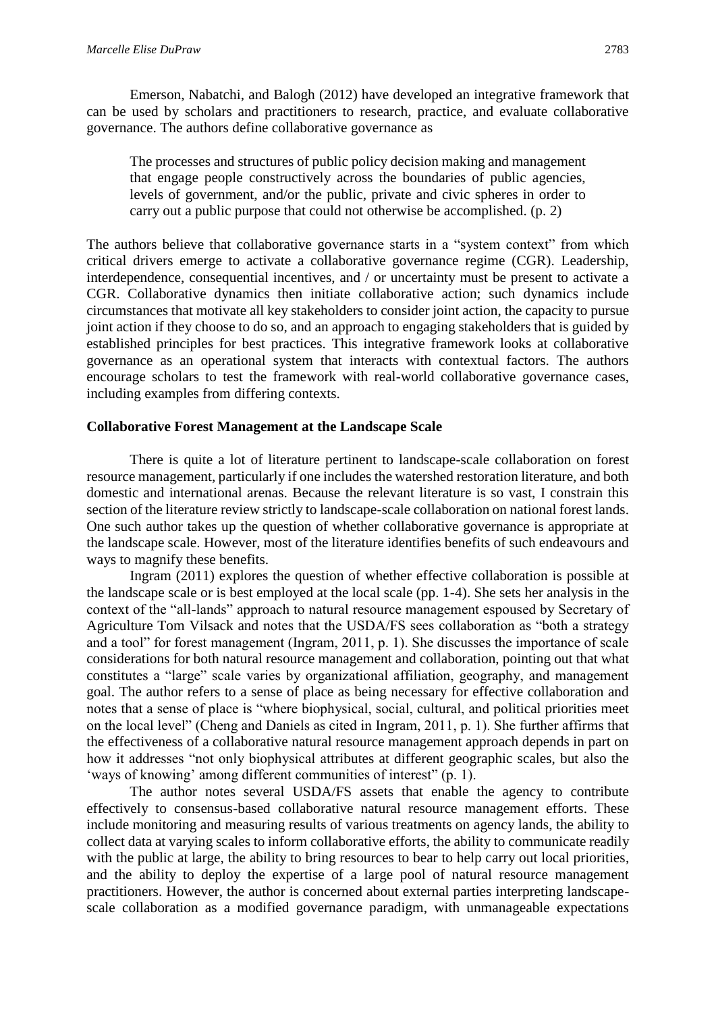Emerson, Nabatchi, and Balogh (2012) have developed an integrative framework that can be used by scholars and practitioners to research, practice, and evaluate collaborative governance. The authors define collaborative governance as

The processes and structures of public policy decision making and management that engage people constructively across the boundaries of public agencies, levels of government, and/or the public, private and civic spheres in order to carry out a public purpose that could not otherwise be accomplished. (p. 2)

The authors believe that collaborative governance starts in a "system context" from which critical drivers emerge to activate a collaborative governance regime (CGR). Leadership, interdependence, consequential incentives, and / or uncertainty must be present to activate a CGR. Collaborative dynamics then initiate collaborative action; such dynamics include circumstances that motivate all key stakeholders to consider joint action, the capacity to pursue joint action if they choose to do so, and an approach to engaging stakeholders that is guided by established principles for best practices. This integrative framework looks at collaborative governance as an operational system that interacts with contextual factors. The authors encourage scholars to test the framework with real-world collaborative governance cases, including examples from differing contexts.

# **Collaborative Forest Management at the Landscape Scale**

There is quite a lot of literature pertinent to landscape-scale collaboration on forest resource management, particularly if one includes the watershed restoration literature, and both domestic and international arenas. Because the relevant literature is so vast, I constrain this section of the literature review strictly to landscape-scale collaboration on national forest lands. One such author takes up the question of whether collaborative governance is appropriate at the landscape scale. However, most of the literature identifies benefits of such endeavours and ways to magnify these benefits.

Ingram (2011) explores the question of whether effective collaboration is possible at the landscape scale or is best employed at the local scale (pp. 1-4). She sets her analysis in the context of the "all-lands" approach to natural resource management espoused by Secretary of Agriculture Tom Vilsack and notes that the USDA/FS sees collaboration as "both a strategy and a tool" for forest management (Ingram, 2011, p. 1). She discusses the importance of scale considerations for both natural resource management and collaboration, pointing out that what constitutes a "large" scale varies by organizational affiliation, geography, and management goal. The author refers to a sense of place as being necessary for effective collaboration and notes that a sense of place is "where biophysical, social, cultural, and political priorities meet on the local level" (Cheng and Daniels as cited in Ingram, 2011, p. 1). She further affirms that the effectiveness of a collaborative natural resource management approach depends in part on how it addresses "not only biophysical attributes at different geographic scales, but also the 'ways of knowing' among different communities of interest" (p. 1).

The author notes several USDA/FS assets that enable the agency to contribute effectively to consensus-based collaborative natural resource management efforts. These include monitoring and measuring results of various treatments on agency lands, the ability to collect data at varying scales to inform collaborative efforts, the ability to communicate readily with the public at large, the ability to bring resources to bear to help carry out local priorities, and the ability to deploy the expertise of a large pool of natural resource management practitioners. However, the author is concerned about external parties interpreting landscapescale collaboration as a modified governance paradigm, with unmanageable expectations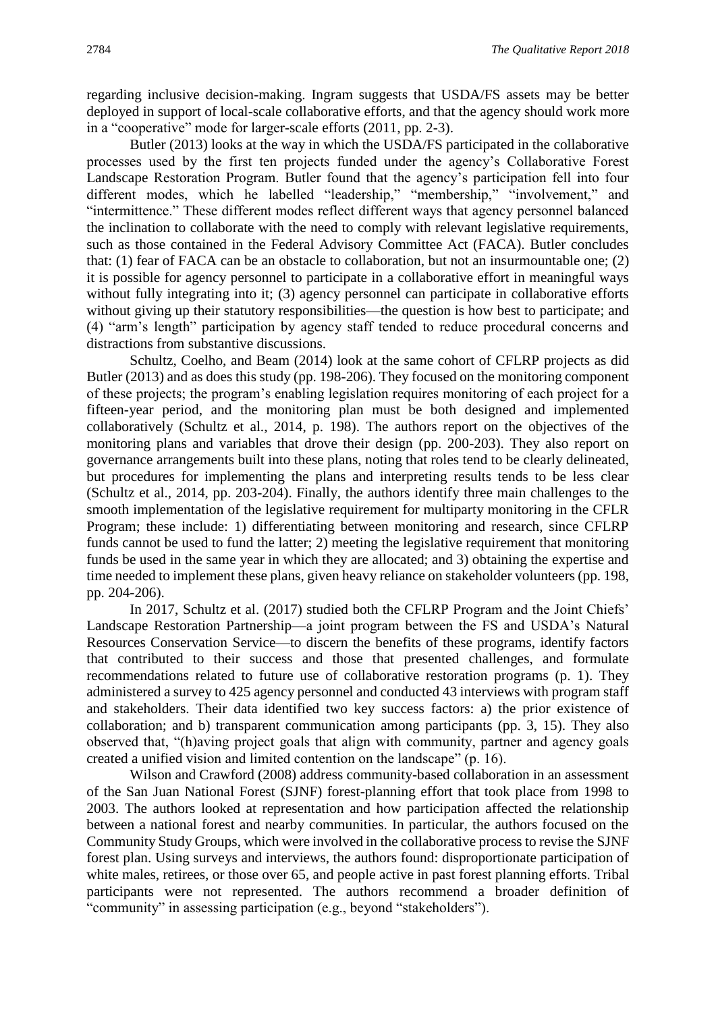regarding inclusive decision-making. Ingram suggests that USDA/FS assets may be better deployed in support of local-scale collaborative efforts, and that the agency should work more in a "cooperative" mode for larger-scale efforts (2011, pp. 2-3).

Butler (2013) looks at the way in which the USDA/FS participated in the collaborative processes used by the first ten projects funded under the agency's Collaborative Forest Landscape Restoration Program. Butler found that the agency's participation fell into four different modes, which he labelled "leadership," "membership," "involvement," and "intermittence." These different modes reflect different ways that agency personnel balanced the inclination to collaborate with the need to comply with relevant legislative requirements, such as those contained in the Federal Advisory Committee Act (FACA). Butler concludes that: (1) fear of FACA can be an obstacle to collaboration, but not an insurmountable one; (2) it is possible for agency personnel to participate in a collaborative effort in meaningful ways without fully integrating into it; (3) agency personnel can participate in collaborative efforts without giving up their statutory responsibilities—the question is how best to participate; and (4) "arm's length" participation by agency staff tended to reduce procedural concerns and distractions from substantive discussions.

Schultz, Coelho, and Beam (2014) look at the same cohort of CFLRP projects as did Butler (2013) and as does this study (pp. 198-206). They focused on the monitoring component of these projects; the program's enabling legislation requires monitoring of each project for a fifteen-year period, and the monitoring plan must be both designed and implemented collaboratively (Schultz et al., 2014, p. 198). The authors report on the objectives of the monitoring plans and variables that drove their design (pp. 200-203). They also report on governance arrangements built into these plans, noting that roles tend to be clearly delineated, but procedures for implementing the plans and interpreting results tends to be less clear (Schultz et al., 2014, pp. 203-204). Finally, the authors identify three main challenges to the smooth implementation of the legislative requirement for multiparty monitoring in the CFLR Program; these include: 1) differentiating between monitoring and research, since CFLRP funds cannot be used to fund the latter; 2) meeting the legislative requirement that monitoring funds be used in the same year in which they are allocated; and 3) obtaining the expertise and time needed to implement these plans, given heavy reliance on stakeholder volunteers (pp. 198, pp. 204-206).

In 2017, Schultz et al. (2017) studied both the CFLRP Program and the Joint Chiefs' Landscape Restoration Partnership—a joint program between the FS and USDA's Natural Resources Conservation Service—to discern the benefits of these programs, identify factors that contributed to their success and those that presented challenges, and formulate recommendations related to future use of collaborative restoration programs (p. 1). They administered a survey to 425 agency personnel and conducted 43 interviews with program staff and stakeholders. Their data identified two key success factors: a) the prior existence of collaboration; and b) transparent communication among participants (pp. 3, 15). They also observed that, "(h)aving project goals that align with community, partner and agency goals created a unified vision and limited contention on the landscape" (p. 16).

Wilson and Crawford (2008) address community-based collaboration in an assessment of the San Juan National Forest (SJNF) forest-planning effort that took place from 1998 to 2003. The authors looked at representation and how participation affected the relationship between a national forest and nearby communities. In particular, the authors focused on the Community Study Groups, which were involved in the collaborative process to revise the SJNF forest plan. Using surveys and interviews, the authors found: disproportionate participation of white males, retirees, or those over 65, and people active in past forest planning efforts. Tribal participants were not represented. The authors recommend a broader definition of "community" in assessing participation (e.g., beyond "stakeholders").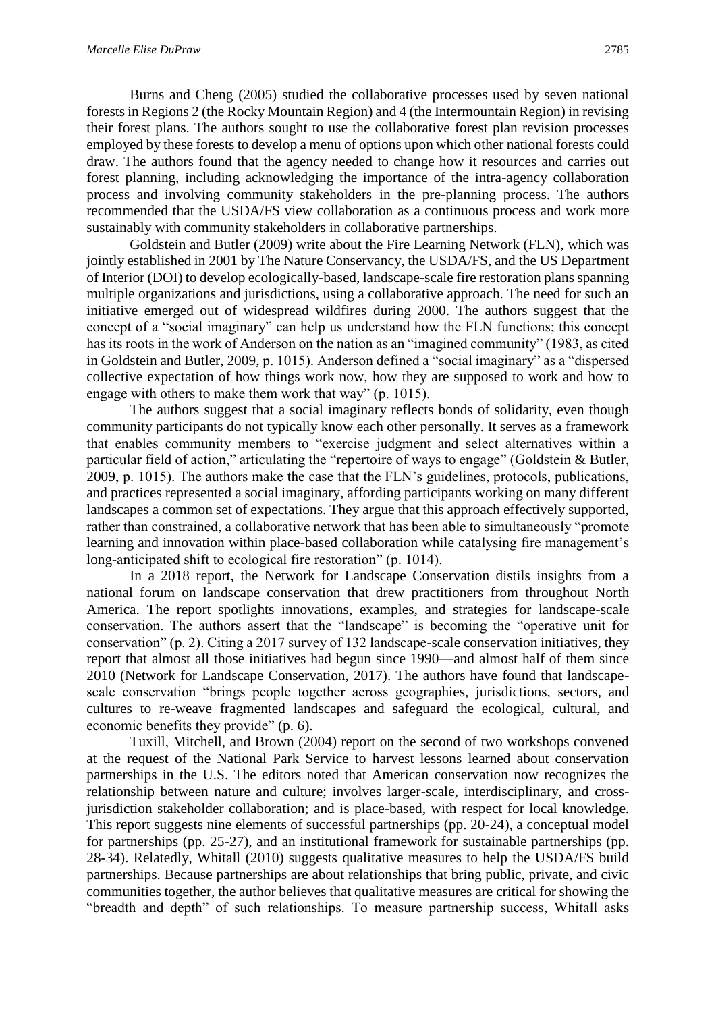Burns and Cheng (2005) studied the collaborative processes used by seven national forests in Regions 2 (the Rocky Mountain Region) and 4 (the Intermountain Region) in revising their forest plans. The authors sought to use the collaborative forest plan revision processes employed by these forests to develop a menu of options upon which other national forests could draw. The authors found that the agency needed to change how it resources and carries out forest planning, including acknowledging the importance of the intra-agency collaboration process and involving community stakeholders in the pre-planning process. The authors recommended that the USDA/FS view collaboration as a continuous process and work more sustainably with community stakeholders in collaborative partnerships.

Goldstein and Butler (2009) write about the Fire Learning Network (FLN), which was jointly established in 2001 by The Nature Conservancy, the USDA/FS, and the US Department of Interior (DOI) to develop ecologically-based, landscape-scale fire restoration plans spanning multiple organizations and jurisdictions, using a collaborative approach. The need for such an initiative emerged out of widespread wildfires during 2000. The authors suggest that the concept of a "social imaginary" can help us understand how the FLN functions; this concept has its roots in the work of Anderson on the nation as an "imagined community" (1983, as cited in Goldstein and Butler, 2009, p. 1015). Anderson defined a "social imaginary" as a "dispersed collective expectation of how things work now, how they are supposed to work and how to engage with others to make them work that way" (p. 1015).

The authors suggest that a social imaginary reflects bonds of solidarity, even though community participants do not typically know each other personally. It serves as a framework that enables community members to "exercise judgment and select alternatives within a particular field of action," articulating the "repertoire of ways to engage" (Goldstein & Butler, 2009, p. 1015). The authors make the case that the FLN's guidelines, protocols, publications, and practices represented a social imaginary, affording participants working on many different landscapes a common set of expectations. They argue that this approach effectively supported, rather than constrained, a collaborative network that has been able to simultaneously "promote learning and innovation within place-based collaboration while catalysing fire management's long-anticipated shift to ecological fire restoration" (p. 1014).

In a 2018 report, the Network for Landscape Conservation distils insights from a national forum on landscape conservation that drew practitioners from throughout North America. The report spotlights innovations, examples, and strategies for landscape-scale conservation. The authors assert that the "landscape" is becoming the "operative unit for conservation" (p. 2). Citing a 2017 survey of 132 landscape-scale conservation initiatives, they report that almost all those initiatives had begun since 1990—and almost half of them since 2010 (Network for Landscape Conservation, 2017). The authors have found that landscapescale conservation "brings people together across geographies, jurisdictions, sectors, and cultures to re-weave fragmented landscapes and safeguard the ecological, cultural, and economic benefits they provide" (p. 6).

Tuxill, Mitchell, and Brown (2004) report on the second of two workshops convened at the request of the National Park Service to harvest lessons learned about conservation partnerships in the U.S. The editors noted that American conservation now recognizes the relationship between nature and culture; involves larger-scale, interdisciplinary, and crossjurisdiction stakeholder collaboration; and is place-based, with respect for local knowledge. This report suggests nine elements of successful partnerships (pp. 20-24), a conceptual model for partnerships (pp. 25-27), and an institutional framework for sustainable partnerships (pp. 28-34). Relatedly, Whitall (2010) suggests qualitative measures to help the USDA/FS build partnerships. Because partnerships are about relationships that bring public, private, and civic communities together, the author believes that qualitative measures are critical for showing the "breadth and depth" of such relationships. To measure partnership success, Whitall asks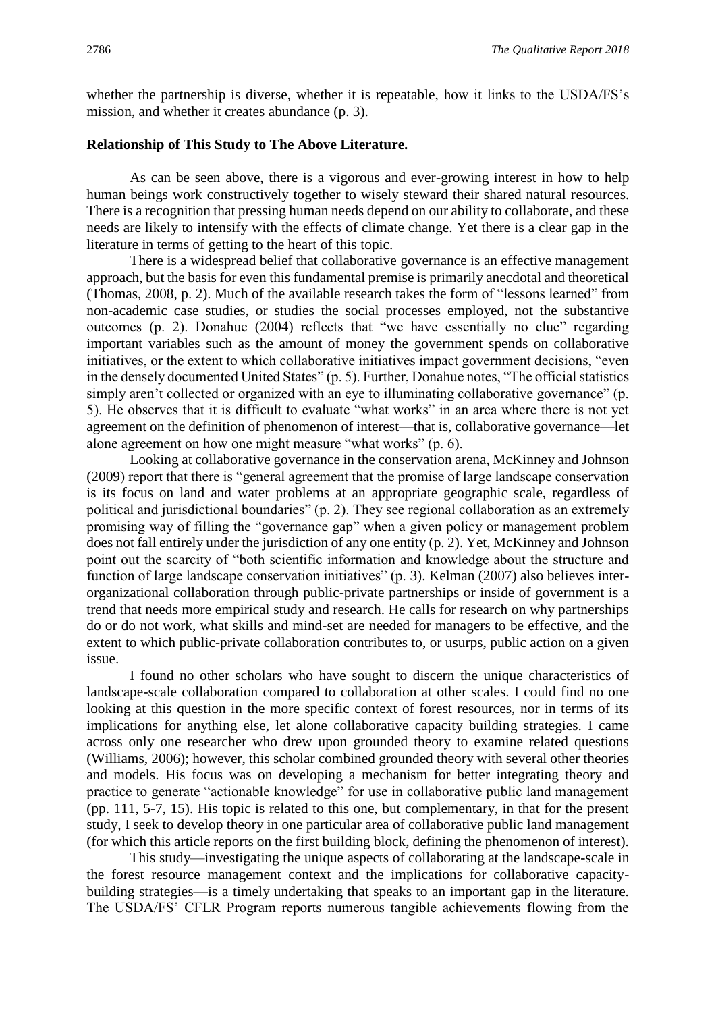whether the partnership is diverse, whether it is repeatable, how it links to the USDA/FS's mission, and whether it creates abundance (p. 3).

#### **Relationship of This Study to The Above Literature.**

As can be seen above, there is a vigorous and ever-growing interest in how to help human beings work constructively together to wisely steward their shared natural resources. There is a recognition that pressing human needs depend on our ability to collaborate, and these needs are likely to intensify with the effects of climate change. Yet there is a clear gap in the literature in terms of getting to the heart of this topic.

There is a widespread belief that collaborative governance is an effective management approach, but the basis for even this fundamental premise is primarily anecdotal and theoretical (Thomas, 2008, p. 2). Much of the available research takes the form of "lessons learned" from non-academic case studies, or studies the social processes employed, not the substantive outcomes (p. 2). Donahue (2004) reflects that "we have essentially no clue" regarding important variables such as the amount of money the government spends on collaborative initiatives, or the extent to which collaborative initiatives impact government decisions, "even in the densely documented United States" (p. 5). Further, Donahue notes, "The official statistics simply aren't collected or organized with an eye to illuminating collaborative governance" (p. 5). He observes that it is difficult to evaluate "what works" in an area where there is not yet agreement on the definition of phenomenon of interest—that is, collaborative governance—let alone agreement on how one might measure "what works" (p. 6).

Looking at collaborative governance in the conservation arena, McKinney and Johnson (2009) report that there is "general agreement that the promise of large landscape conservation is its focus on land and water problems at an appropriate geographic scale, regardless of political and jurisdictional boundaries" (p. 2). They see regional collaboration as an extremely promising way of filling the "governance gap" when a given policy or management problem does not fall entirely under the jurisdiction of any one entity (p. 2). Yet, McKinney and Johnson point out the scarcity of "both scientific information and knowledge about the structure and function of large landscape conservation initiatives" (p. 3). Kelman (2007) also believes interorganizational collaboration through public-private partnerships or inside of government is a trend that needs more empirical study and research. He calls for research on why partnerships do or do not work, what skills and mind-set are needed for managers to be effective, and the extent to which public-private collaboration contributes to, or usurps, public action on a given issue.

I found no other scholars who have sought to discern the unique characteristics of landscape-scale collaboration compared to collaboration at other scales. I could find no one looking at this question in the more specific context of forest resources, nor in terms of its implications for anything else, let alone collaborative capacity building strategies. I came across only one researcher who drew upon grounded theory to examine related questions (Williams, 2006); however, this scholar combined grounded theory with several other theories and models. His focus was on developing a mechanism for better integrating theory and practice to generate "actionable knowledge" for use in collaborative public land management (pp. 111, 5-7, 15). His topic is related to this one, but complementary, in that for the present study, I seek to develop theory in one particular area of collaborative public land management (for which this article reports on the first building block, defining the phenomenon of interest).

This study—investigating the unique aspects of collaborating at the landscape-scale in the forest resource management context and the implications for collaborative capacitybuilding strategies—is a timely undertaking that speaks to an important gap in the literature. The USDA/FS' CFLR Program reports numerous tangible achievements flowing from the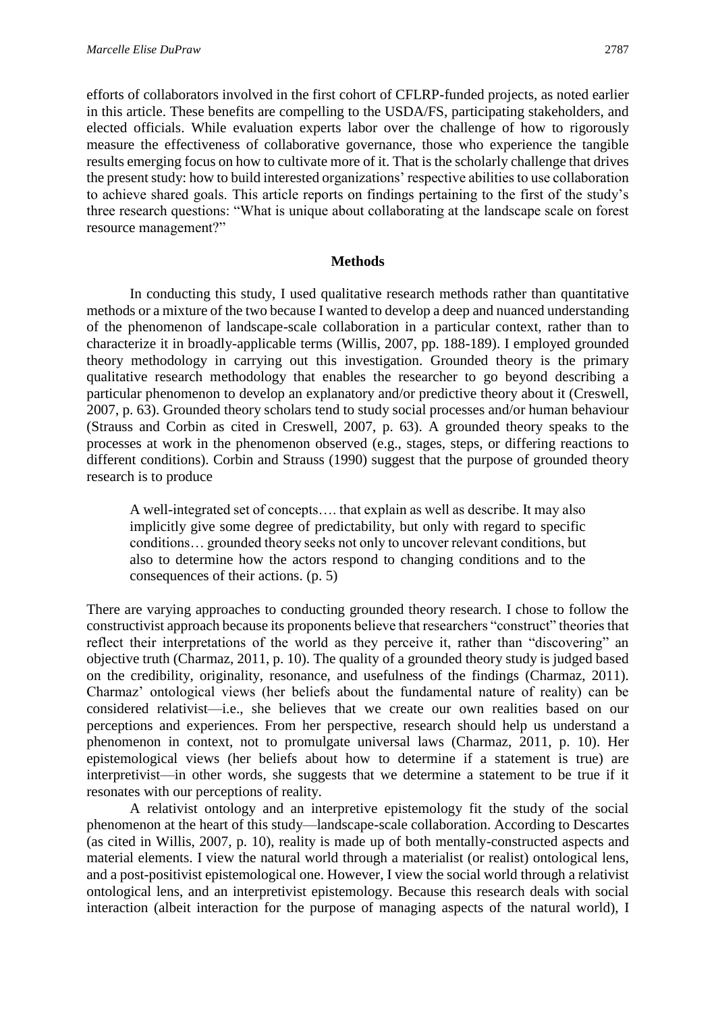efforts of collaborators involved in the first cohort of CFLRP-funded projects, as noted earlier in this article. These benefits are compelling to the USDA/FS, participating stakeholders, and elected officials. While evaluation experts labor over the challenge of how to rigorously measure the effectiveness of collaborative governance, those who experience the tangible results emerging focus on how to cultivate more of it. That is the scholarly challenge that drives the present study: how to build interested organizations' respective abilities to use collaboration to achieve shared goals. This article reports on findings pertaining to the first of the study's three research questions: "What is unique about collaborating at the landscape scale on forest resource management?"

# **Methods**

In conducting this study, I used qualitative research methods rather than quantitative methods or a mixture of the two because I wanted to develop a deep and nuanced understanding of the phenomenon of landscape-scale collaboration in a particular context, rather than to characterize it in broadly-applicable terms (Willis, 2007, pp. 188-189). I employed grounded theory methodology in carrying out this investigation. Grounded theory is the primary qualitative research methodology that enables the researcher to go beyond describing a particular phenomenon to develop an explanatory and/or predictive theory about it (Creswell, 2007, p. 63). Grounded theory scholars tend to study social processes and/or human behaviour (Strauss and Corbin as cited in Creswell, 2007, p. 63). A grounded theory speaks to the processes at work in the phenomenon observed (e.g., stages, steps, or differing reactions to different conditions). Corbin and Strauss (1990) suggest that the purpose of grounded theory research is to produce

A well-integrated set of concepts…. that explain as well as describe. It may also implicitly give some degree of predictability, but only with regard to specific conditions… grounded theory seeks not only to uncover relevant conditions, but also to determine how the actors respond to changing conditions and to the consequences of their actions. (p. 5)

There are varying approaches to conducting grounded theory research. I chose to follow the constructivist approach because its proponents believe that researchers "construct" theories that reflect their interpretations of the world as they perceive it, rather than "discovering" an objective truth (Charmaz, 2011, p. 10). The quality of a grounded theory study is judged based on the credibility, originality, resonance, and usefulness of the findings (Charmaz, 2011). Charmaz' ontological views (her beliefs about the fundamental nature of reality) can be considered relativist—i.e., she believes that we create our own realities based on our perceptions and experiences. From her perspective, research should help us understand a phenomenon in context, not to promulgate universal laws (Charmaz, 2011, p. 10). Her epistemological views (her beliefs about how to determine if a statement is true) are interpretivist—in other words, she suggests that we determine a statement to be true if it resonates with our perceptions of reality.

A relativist ontology and an interpretive epistemology fit the study of the social phenomenon at the heart of this study—landscape-scale collaboration. According to Descartes (as cited in Willis, 2007, p. 10), reality is made up of both mentally-constructed aspects and material elements. I view the natural world through a materialist (or realist) ontological lens, and a post-positivist epistemological one. However, I view the social world through a relativist ontological lens, and an interpretivist epistemology. Because this research deals with social interaction (albeit interaction for the purpose of managing aspects of the natural world), I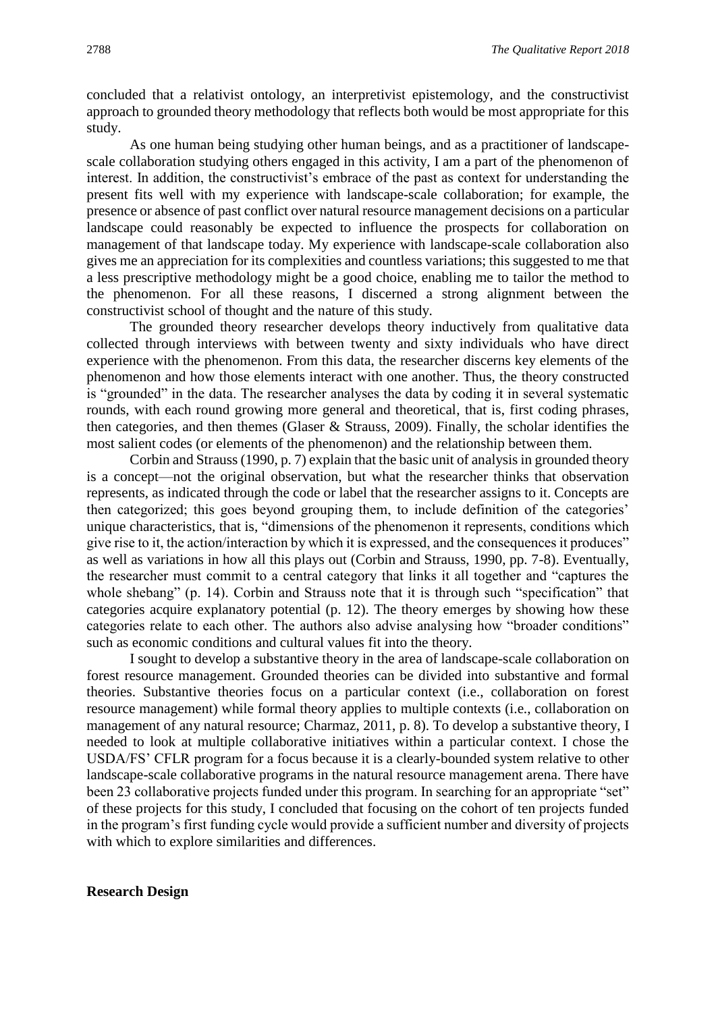concluded that a relativist ontology, an interpretivist epistemology, and the constructivist approach to grounded theory methodology that reflects both would be most appropriate for this study.

As one human being studying other human beings, and as a practitioner of landscapescale collaboration studying others engaged in this activity, I am a part of the phenomenon of interest. In addition, the constructivist's embrace of the past as context for understanding the present fits well with my experience with landscape-scale collaboration; for example, the presence or absence of past conflict over natural resource management decisions on a particular landscape could reasonably be expected to influence the prospects for collaboration on management of that landscape today. My experience with landscape-scale collaboration also gives me an appreciation for its complexities and countless variations; this suggested to me that a less prescriptive methodology might be a good choice, enabling me to tailor the method to the phenomenon. For all these reasons, I discerned a strong alignment between the constructivist school of thought and the nature of this study.

The grounded theory researcher develops theory inductively from qualitative data collected through interviews with between twenty and sixty individuals who have direct experience with the phenomenon. From this data, the researcher discerns key elements of the phenomenon and how those elements interact with one another. Thus, the theory constructed is "grounded" in the data. The researcher analyses the data by coding it in several systematic rounds, with each round growing more general and theoretical, that is, first coding phrases, then categories, and then themes (Glaser & Strauss, 2009). Finally, the scholar identifies the most salient codes (or elements of the phenomenon) and the relationship between them.

Corbin and Strauss (1990, p. 7) explain that the basic unit of analysis in grounded theory is a concept—not the original observation, but what the researcher thinks that observation represents, as indicated through the code or label that the researcher assigns to it. Concepts are then categorized; this goes beyond grouping them, to include definition of the categories' unique characteristics, that is, "dimensions of the phenomenon it represents, conditions which give rise to it, the action/interaction by which it is expressed, and the consequences it produces" as well as variations in how all this plays out (Corbin and Strauss, 1990, pp. 7-8). Eventually, the researcher must commit to a central category that links it all together and "captures the whole shebang" (p. 14). Corbin and Strauss note that it is through such "specification" that categories acquire explanatory potential (p. 12). The theory emerges by showing how these categories relate to each other. The authors also advise analysing how "broader conditions" such as economic conditions and cultural values fit into the theory.

I sought to develop a substantive theory in the area of landscape-scale collaboration on forest resource management. Grounded theories can be divided into substantive and formal theories. Substantive theories focus on a particular context (i.e., collaboration on forest resource management) while formal theory applies to multiple contexts (i.e., collaboration on management of any natural resource; Charmaz, 2011, p. 8). To develop a substantive theory, I needed to look at multiple collaborative initiatives within a particular context. I chose the USDA/FS' CFLR program for a focus because it is a clearly-bounded system relative to other landscape-scale collaborative programs in the natural resource management arena. There have been 23 collaborative projects funded under this program. In searching for an appropriate "set" of these projects for this study, I concluded that focusing on the cohort of ten projects funded in the program's first funding cycle would provide a sufficient number and diversity of projects with which to explore similarities and differences.

#### **Research Design**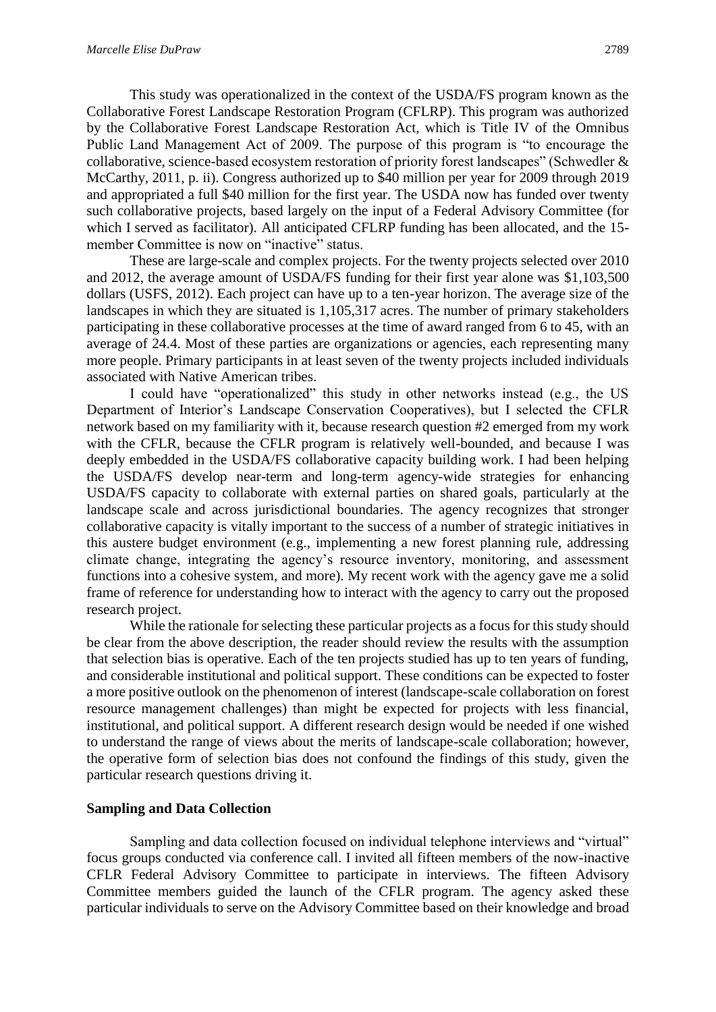This study was operationalized in the context of the USDA/FS program known as the Collaborative Forest Landscape Restoration Program (CFLRP). This program was authorized by the Collaborative Forest Landscape Restoration Act, which is Title IV of the Omnibus Public Land Management Act of 2009. The purpose of this program is "to encourage the collaborative, science-based ecosystem restoration of priority forest landscapes" (Schwedler & McCarthy, 2011, p. ii). Congress authorized up to \$40 million per year for 2009 through 2019 and appropriated a full \$40 million for the first year. The USDA now has funded over twenty such collaborative projects, based largely on the input of a Federal Advisory Committee (for which I served as facilitator). All anticipated CFLRP funding has been allocated, and the 15 member Committee is now on "inactive" status.

These are large-scale and complex projects. For the twenty projects selected over 2010 and 2012, the average amount of USDA/FS funding for their first year alone was \$1,103,500 dollars (USFS, 2012). Each project can have up to a ten-year horizon. The average size of the landscapes in which they are situated is 1,105,317 acres. The number of primary stakeholders participating in these collaborative processes at the time of award ranged from 6 to 45, with an average of 24.4. Most of these parties are organizations or agencies, each representing many more people. Primary participants in at least seven of the twenty projects included individuals associated with Native American tribes.

I could have "operationalized" this study in other networks instead (e.g., the US Department of Interior's Landscape Conservation Cooperatives), but I selected the CFLR network based on my familiarity with it, because research question #2 emerged from my work with the CFLR, because the CFLR program is relatively well-bounded, and because I was deeply embedded in the USDA/FS collaborative capacity building work. I had been helping the USDA/FS develop near-term and long-term agency-wide strategies for enhancing USDA/FS capacity to collaborate with external parties on shared goals, particularly at the landscape scale and across jurisdictional boundaries. The agency recognizes that stronger collaborative capacity is vitally important to the success of a number of strategic initiatives in this austere budget environment (e.g., implementing a new forest planning rule, addressing climate change, integrating the agency's resource inventory, monitoring, and assessment functions into a cohesive system, and more). My recent work with the agency gave me a solid frame of reference for understanding how to interact with the agency to carry out the proposed research project.

While the rationale for selecting these particular projects as a focus for this study should be clear from the above description, the reader should review the results with the assumption that selection bias is operative. Each of the ten projects studied has up to ten years of funding, and considerable institutional and political support. These conditions can be expected to foster a more positive outlook on the phenomenon of interest (landscape-scale collaboration on forest resource management challenges) than might be expected for projects with less financial, institutional, and political support. A different research design would be needed if one wished to understand the range of views about the merits of landscape-scale collaboration; however, the operative form of selection bias does not confound the findings of this study, given the particular research questions driving it.

# **Sampling and Data Collection**

Sampling and data collection focused on individual telephone interviews and "virtual" focus groups conducted via conference call. I invited all fifteen members of the now-inactive CFLR Federal Advisory Committee to participate in interviews. The fifteen Advisory Committee members guided the launch of the CFLR program. The agency asked these particular individuals to serve on the Advisory Committee based on their knowledge and broad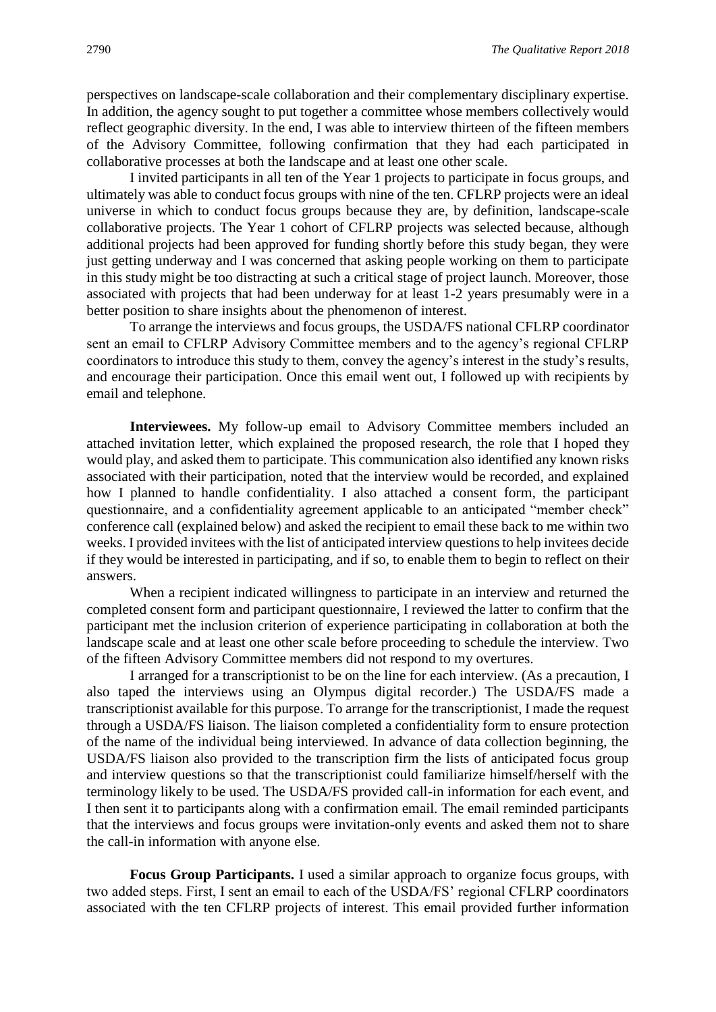perspectives on landscape-scale collaboration and their complementary disciplinary expertise. In addition, the agency sought to put together a committee whose members collectively would reflect geographic diversity. In the end, I was able to interview thirteen of the fifteen members of the Advisory Committee, following confirmation that they had each participated in collaborative processes at both the landscape and at least one other scale.

I invited participants in all ten of the Year 1 projects to participate in focus groups, and ultimately was able to conduct focus groups with nine of the ten. CFLRP projects were an ideal universe in which to conduct focus groups because they are, by definition, landscape-scale collaborative projects. The Year 1 cohort of CFLRP projects was selected because, although additional projects had been approved for funding shortly before this study began, they were just getting underway and I was concerned that asking people working on them to participate in this study might be too distracting at such a critical stage of project launch. Moreover, those associated with projects that had been underway for at least 1-2 years presumably were in a better position to share insights about the phenomenon of interest.

To arrange the interviews and focus groups, the USDA/FS national CFLRP coordinator sent an email to CFLRP Advisory Committee members and to the agency's regional CFLRP coordinators to introduce this study to them, convey the agency's interest in the study's results, and encourage their participation. Once this email went out, I followed up with recipients by email and telephone.

**Interviewees.** My follow-up email to Advisory Committee members included an attached invitation letter, which explained the proposed research, the role that I hoped they would play, and asked them to participate. This communication also identified any known risks associated with their participation, noted that the interview would be recorded, and explained how I planned to handle confidentiality. I also attached a consent form, the participant questionnaire, and a confidentiality agreement applicable to an anticipated "member check" conference call (explained below) and asked the recipient to email these back to me within two weeks. I provided invitees with the list of anticipated interview questions to help invitees decide if they would be interested in participating, and if so, to enable them to begin to reflect on their answers.

When a recipient indicated willingness to participate in an interview and returned the completed consent form and participant questionnaire, I reviewed the latter to confirm that the participant met the inclusion criterion of experience participating in collaboration at both the landscape scale and at least one other scale before proceeding to schedule the interview. Two of the fifteen Advisory Committee members did not respond to my overtures.

I arranged for a transcriptionist to be on the line for each interview. (As a precaution, I also taped the interviews using an Olympus digital recorder.) The USDA/FS made a transcriptionist available for this purpose. To arrange for the transcriptionist, I made the request through a USDA/FS liaison. The liaison completed a confidentiality form to ensure protection of the name of the individual being interviewed. In advance of data collection beginning, the USDA/FS liaison also provided to the transcription firm the lists of anticipated focus group and interview questions so that the transcriptionist could familiarize himself/herself with the terminology likely to be used. The USDA/FS provided call-in information for each event, and I then sent it to participants along with a confirmation email. The email reminded participants that the interviews and focus groups were invitation-only events and asked them not to share the call-in information with anyone else.

**Focus Group Participants.** I used a similar approach to organize focus groups, with two added steps. First, I sent an email to each of the USDA/FS' regional CFLRP coordinators associated with the ten CFLRP projects of interest. This email provided further information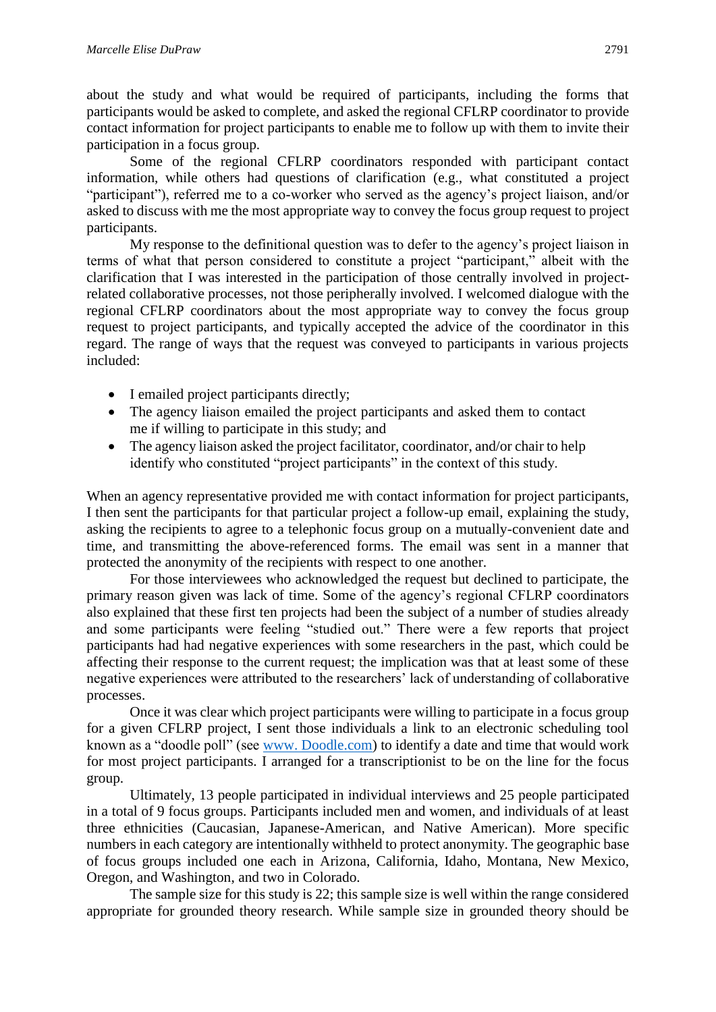about the study and what would be required of participants, including the forms that participants would be asked to complete, and asked the regional CFLRP coordinator to provide contact information for project participants to enable me to follow up with them to invite their participation in a focus group.

Some of the regional CFLRP coordinators responded with participant contact information, while others had questions of clarification (e.g., what constituted a project "participant"), referred me to a co-worker who served as the agency's project liaison, and/or asked to discuss with me the most appropriate way to convey the focus group request to project participants.

My response to the definitional question was to defer to the agency's project liaison in terms of what that person considered to constitute a project "participant," albeit with the clarification that I was interested in the participation of those centrally involved in projectrelated collaborative processes, not those peripherally involved. I welcomed dialogue with the regional CFLRP coordinators about the most appropriate way to convey the focus group request to project participants, and typically accepted the advice of the coordinator in this regard. The range of ways that the request was conveyed to participants in various projects included:

- I emailed project participants directly;
- The agency liaison emailed the project participants and asked them to contact me if willing to participate in this study; and
- The agency liaison asked the project facilitator, coordinator, and/or chair to help identify who constituted "project participants" in the context of this study.

When an agency representative provided me with contact information for project participants, I then sent the participants for that particular project a follow-up email, explaining the study, asking the recipients to agree to a telephonic focus group on a mutually-convenient date and time, and transmitting the above-referenced forms. The email was sent in a manner that protected the anonymity of the recipients with respect to one another.

For those interviewees who acknowledged the request but declined to participate, the primary reason given was lack of time. Some of the agency's regional CFLRP coordinators also explained that these first ten projects had been the subject of a number of studies already and some participants were feeling "studied out." There were a few reports that project participants had had negative experiences with some researchers in the past, which could be affecting their response to the current request; the implication was that at least some of these negative experiences were attributed to the researchers' lack of understanding of collaborative processes.

Once it was clear which project participants were willing to participate in a focus group for a given CFLRP project, I sent those individuals a link to an electronic scheduling tool known as a "doodle poll" (see [www. Doodle.com\)](http://www.doodle.com/) to identify a date and time that would work for most project participants. I arranged for a transcriptionist to be on the line for the focus group.

Ultimately, 13 people participated in individual interviews and 25 people participated in a total of 9 focus groups. Participants included men and women, and individuals of at least three ethnicities (Caucasian, Japanese-American, and Native American). More specific numbers in each category are intentionally withheld to protect anonymity. The geographic base of focus groups included one each in Arizona, California, Idaho, Montana, New Mexico, Oregon, and Washington, and two in Colorado.

The sample size for this study is 22; this sample size is well within the range considered appropriate for grounded theory research. While sample size in grounded theory should be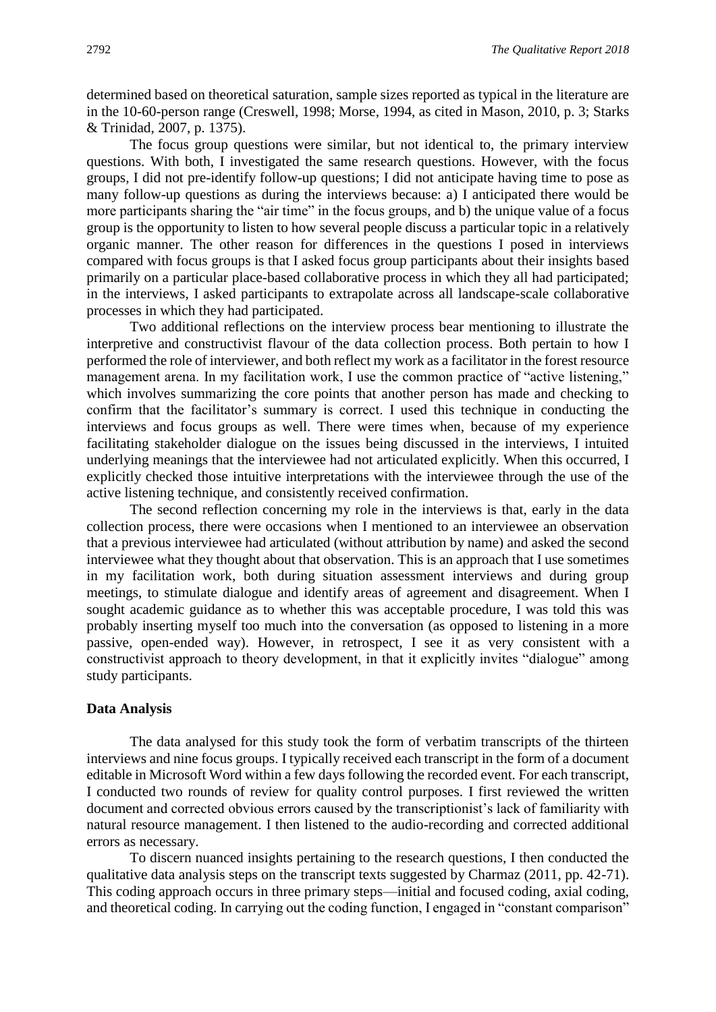determined based on theoretical saturation, sample sizes reported as typical in the literature are in the 10-60-person range (Creswell, 1998; Morse, 1994, as cited in Mason, 2010, p. 3; Starks & Trinidad, 2007, p. 1375).

The focus group questions were similar, but not identical to, the primary interview questions. With both, I investigated the same research questions. However, with the focus groups, I did not pre-identify follow-up questions; I did not anticipate having time to pose as many follow-up questions as during the interviews because: a) I anticipated there would be more participants sharing the "air time" in the focus groups, and b) the unique value of a focus group is the opportunity to listen to how several people discuss a particular topic in a relatively organic manner. The other reason for differences in the questions I posed in interviews compared with focus groups is that I asked focus group participants about their insights based primarily on a particular place-based collaborative process in which they all had participated; in the interviews, I asked participants to extrapolate across all landscape-scale collaborative processes in which they had participated.

Two additional reflections on the interview process bear mentioning to illustrate the interpretive and constructivist flavour of the data collection process. Both pertain to how I performed the role of interviewer, and both reflect my work as a facilitator in the forest resource management arena. In my facilitation work, I use the common practice of "active listening," which involves summarizing the core points that another person has made and checking to confirm that the facilitator's summary is correct. I used this technique in conducting the interviews and focus groups as well. There were times when, because of my experience facilitating stakeholder dialogue on the issues being discussed in the interviews, I intuited underlying meanings that the interviewee had not articulated explicitly. When this occurred, I explicitly checked those intuitive interpretations with the interviewee through the use of the active listening technique, and consistently received confirmation.

The second reflection concerning my role in the interviews is that, early in the data collection process, there were occasions when I mentioned to an interviewee an observation that a previous interviewee had articulated (without attribution by name) and asked the second interviewee what they thought about that observation. This is an approach that I use sometimes in my facilitation work, both during situation assessment interviews and during group meetings, to stimulate dialogue and identify areas of agreement and disagreement. When I sought academic guidance as to whether this was acceptable procedure, I was told this was probably inserting myself too much into the conversation (as opposed to listening in a more passive, open-ended way). However, in retrospect, I see it as very consistent with a constructivist approach to theory development, in that it explicitly invites "dialogue" among study participants.

#### **Data Analysis**

The data analysed for this study took the form of verbatim transcripts of the thirteen interviews and nine focus groups. I typically received each transcript in the form of a document editable in Microsoft Word within a few days following the recorded event. For each transcript, I conducted two rounds of review for quality control purposes. I first reviewed the written document and corrected obvious errors caused by the transcriptionist's lack of familiarity with natural resource management. I then listened to the audio-recording and corrected additional errors as necessary.

To discern nuanced insights pertaining to the research questions, I then conducted the qualitative data analysis steps on the transcript texts suggested by Charmaz (2011, pp. 42-71). This coding approach occurs in three primary steps—initial and focused coding, axial coding, and theoretical coding. In carrying out the coding function, I engaged in "constant comparison"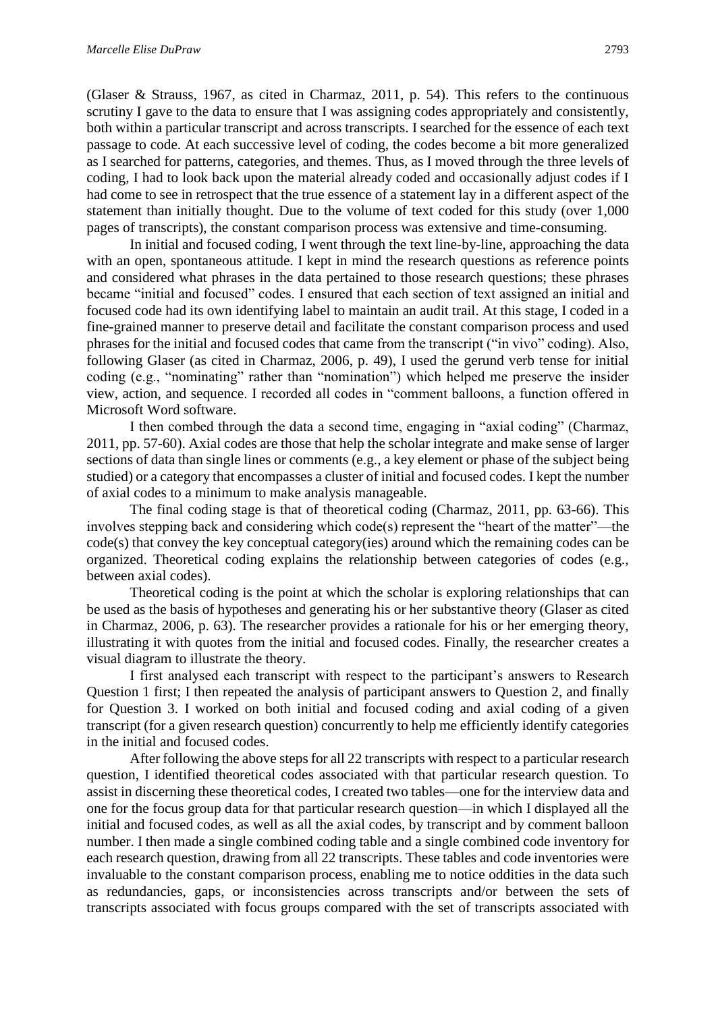(Glaser & Strauss, 1967, as cited in Charmaz, 2011, p. 54). This refers to the continuous scrutiny I gave to the data to ensure that I was assigning codes appropriately and consistently, both within a particular transcript and across transcripts. I searched for the essence of each text passage to code. At each successive level of coding, the codes become a bit more generalized as I searched for patterns, categories, and themes. Thus, as I moved through the three levels of coding, I had to look back upon the material already coded and occasionally adjust codes if I had come to see in retrospect that the true essence of a statement lay in a different aspect of the statement than initially thought. Due to the volume of text coded for this study (over 1,000 pages of transcripts), the constant comparison process was extensive and time-consuming.

In initial and focused coding, I went through the text line-by-line, approaching the data with an open, spontaneous attitude. I kept in mind the research questions as reference points and considered what phrases in the data pertained to those research questions; these phrases became "initial and focused" codes. I ensured that each section of text assigned an initial and focused code had its own identifying label to maintain an audit trail. At this stage, I coded in a fine-grained manner to preserve detail and facilitate the constant comparison process and used phrases for the initial and focused codes that came from the transcript ("in vivo" coding). Also, following Glaser (as cited in Charmaz, 2006, p. 49), I used the gerund verb tense for initial coding (e.g., "nominating" rather than "nomination") which helped me preserve the insider view, action, and sequence. I recorded all codes in "comment balloons, a function offered in Microsoft Word software.

I then combed through the data a second time, engaging in "axial coding" (Charmaz, 2011, pp. 57-60). Axial codes are those that help the scholar integrate and make sense of larger sections of data than single lines or comments (e.g., a key element or phase of the subject being studied) or a category that encompasses a cluster of initial and focused codes. I kept the number of axial codes to a minimum to make analysis manageable.

The final coding stage is that of theoretical coding (Charmaz, 2011, pp. 63-66). This involves stepping back and considering which code(s) represent the "heart of the matter"—the  $code(s)$  that convey the key conceptual category(ies) around which the remaining codes can be organized. Theoretical coding explains the relationship between categories of codes (e.g., between axial codes).

Theoretical coding is the point at which the scholar is exploring relationships that can be used as the basis of hypotheses and generating his or her substantive theory (Glaser as cited in Charmaz, 2006, p. 63). The researcher provides a rationale for his or her emerging theory, illustrating it with quotes from the initial and focused codes. Finally, the researcher creates a visual diagram to illustrate the theory.

I first analysed each transcript with respect to the participant's answers to Research Question 1 first; I then repeated the analysis of participant answers to Question 2, and finally for Question 3. I worked on both initial and focused coding and axial coding of a given transcript (for a given research question) concurrently to help me efficiently identify categories in the initial and focused codes.

After following the above steps for all 22 transcripts with respect to a particular research question, I identified theoretical codes associated with that particular research question. To assist in discerning these theoretical codes, I created two tables—one for the interview data and one for the focus group data for that particular research question—in which I displayed all the initial and focused codes, as well as all the axial codes, by transcript and by comment balloon number. I then made a single combined coding table and a single combined code inventory for each research question, drawing from all 22 transcripts. These tables and code inventories were invaluable to the constant comparison process, enabling me to notice oddities in the data such as redundancies, gaps, or inconsistencies across transcripts and/or between the sets of transcripts associated with focus groups compared with the set of transcripts associated with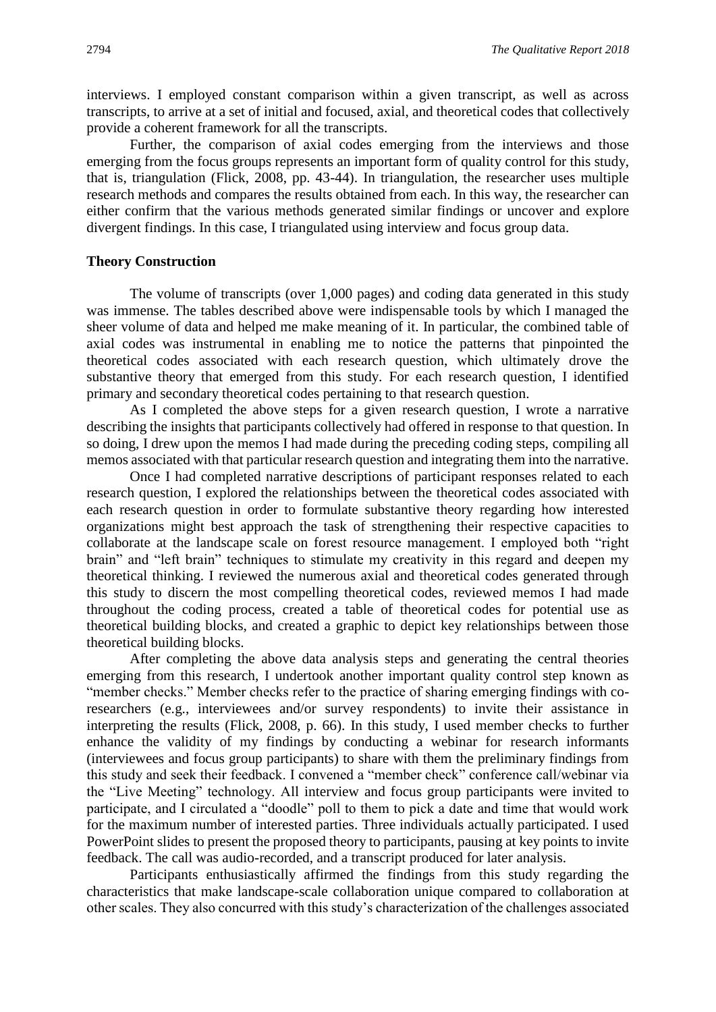interviews. I employed constant comparison within a given transcript, as well as across transcripts, to arrive at a set of initial and focused, axial, and theoretical codes that collectively provide a coherent framework for all the transcripts.

Further, the comparison of axial codes emerging from the interviews and those emerging from the focus groups represents an important form of quality control for this study, that is, triangulation (Flick, 2008, pp. 43-44). In triangulation, the researcher uses multiple research methods and compares the results obtained from each. In this way, the researcher can either confirm that the various methods generated similar findings or uncover and explore divergent findings. In this case, I triangulated using interview and focus group data.

#### **Theory Construction**

The volume of transcripts (over 1,000 pages) and coding data generated in this study was immense. The tables described above were indispensable tools by which I managed the sheer volume of data and helped me make meaning of it. In particular, the combined table of axial codes was instrumental in enabling me to notice the patterns that pinpointed the theoretical codes associated with each research question, which ultimately drove the substantive theory that emerged from this study. For each research question, I identified primary and secondary theoretical codes pertaining to that research question.

As I completed the above steps for a given research question, I wrote a narrative describing the insights that participants collectively had offered in response to that question. In so doing, I drew upon the memos I had made during the preceding coding steps, compiling all memos associated with that particular research question and integrating them into the narrative.

Once I had completed narrative descriptions of participant responses related to each research question, I explored the relationships between the theoretical codes associated with each research question in order to formulate substantive theory regarding how interested organizations might best approach the task of strengthening their respective capacities to collaborate at the landscape scale on forest resource management. I employed both "right brain" and "left brain" techniques to stimulate my creativity in this regard and deepen my theoretical thinking. I reviewed the numerous axial and theoretical codes generated through this study to discern the most compelling theoretical codes, reviewed memos I had made throughout the coding process, created a table of theoretical codes for potential use as theoretical building blocks, and created a graphic to depict key relationships between those theoretical building blocks.

After completing the above data analysis steps and generating the central theories emerging from this research, I undertook another important quality control step known as "member checks." Member checks refer to the practice of sharing emerging findings with coresearchers (e.g., interviewees and/or survey respondents) to invite their assistance in interpreting the results (Flick, 2008, p. 66). In this study, I used member checks to further enhance the validity of my findings by conducting a webinar for research informants (interviewees and focus group participants) to share with them the preliminary findings from this study and seek their feedback. I convened a "member check" conference call/webinar via the "Live Meeting" technology. All interview and focus group participants were invited to participate, and I circulated a "doodle" poll to them to pick a date and time that would work for the maximum number of interested parties. Three individuals actually participated. I used PowerPoint slides to present the proposed theory to participants, pausing at key points to invite feedback. The call was audio-recorded, and a transcript produced for later analysis.

Participants enthusiastically affirmed the findings from this study regarding the characteristics that make landscape-scale collaboration unique compared to collaboration at other scales. They also concurred with this study's characterization of the challenges associated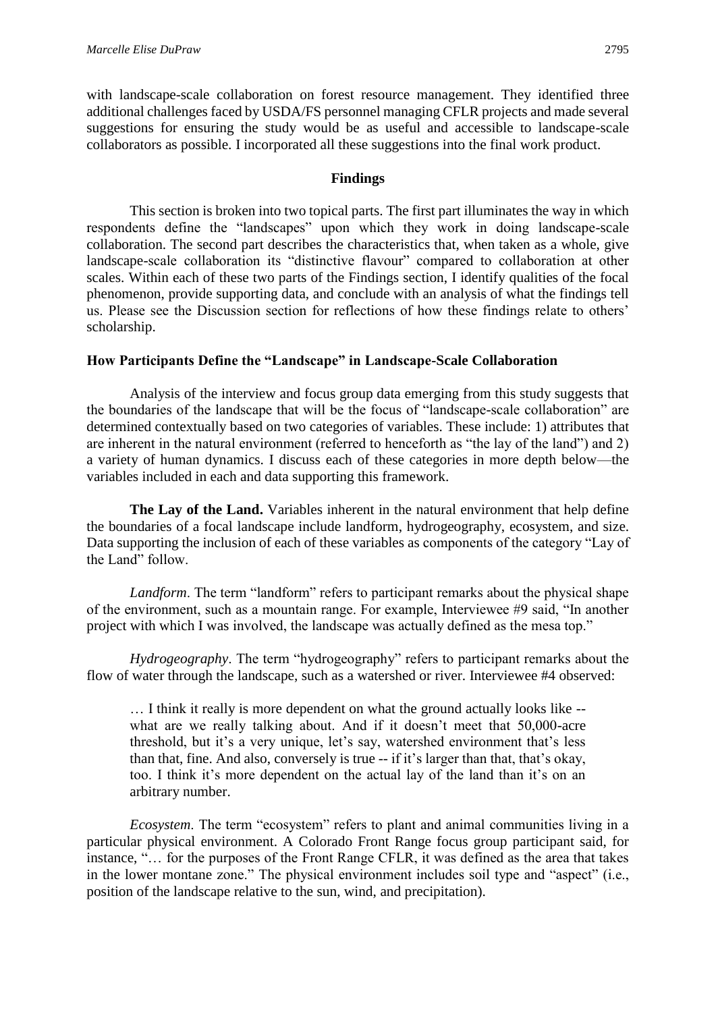with landscape-scale collaboration on forest resource management. They identified three additional challenges faced by USDA/FS personnel managing CFLR projects and made several suggestions for ensuring the study would be as useful and accessible to landscape-scale collaborators as possible. I incorporated all these suggestions into the final work product.

# **Findings**

This section is broken into two topical parts. The first part illuminates the way in which respondents define the "landscapes" upon which they work in doing landscape-scale collaboration. The second part describes the characteristics that, when taken as a whole, give landscape-scale collaboration its "distinctive flavour" compared to collaboration at other scales. Within each of these two parts of the Findings section, I identify qualities of the focal phenomenon, provide supporting data, and conclude with an analysis of what the findings tell us. Please see the Discussion section for reflections of how these findings relate to others' scholarship.

# **How Participants Define the "Landscape" in Landscape-Scale Collaboration**

Analysis of the interview and focus group data emerging from this study suggests that the boundaries of the landscape that will be the focus of "landscape-scale collaboration" are determined contextually based on two categories of variables. These include: 1) attributes that are inherent in the natural environment (referred to henceforth as "the lay of the land") and 2) a variety of human dynamics. I discuss each of these categories in more depth below—the variables included in each and data supporting this framework.

**The Lay of the Land.** Variables inherent in the natural environment that help define the boundaries of a focal landscape include landform, hydrogeography, ecosystem, and size. Data supporting the inclusion of each of these variables as components of the category "Lay of the Land" follow.

*Landform*. The term "landform" refers to participant remarks about the physical shape of the environment, such as a mountain range. For example, Interviewee #9 said, "In another project with which I was involved, the landscape was actually defined as the mesa top."

*Hydrogeography*. The term "hydrogeography" refers to participant remarks about the flow of water through the landscape, such as a watershed or river. Interviewee #4 observed:

… I think it really is more dependent on what the ground actually looks like - what are we really talking about. And if it doesn't meet that 50,000-acre threshold, but it's a very unique, let's say, watershed environment that's less than that, fine. And also, conversely is true -- if it's larger than that, that's okay, too. I think it's more dependent on the actual lay of the land than it's on an arbitrary number.

*Ecosystem*. The term "ecosystem" refers to plant and animal communities living in a particular physical environment. A Colorado Front Range focus group participant said, for instance, "… for the purposes of the Front Range CFLR, it was defined as the area that takes in the lower montane zone." The physical environment includes soil type and "aspect" (i.e., position of the landscape relative to the sun, wind, and precipitation).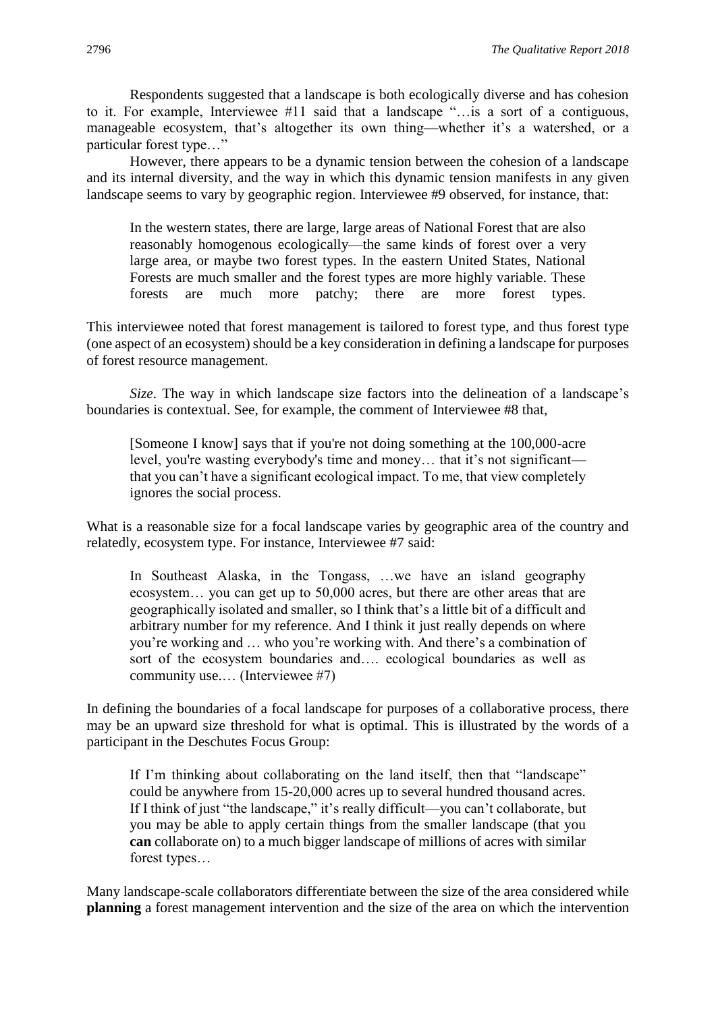Respondents suggested that a landscape is both ecologically diverse and has cohesion to it. For example, Interviewee #11 said that a landscape "…is a sort of a contiguous, manageable ecosystem, that's altogether its own thing—whether it's a watershed, or a particular forest type…"

However, there appears to be a dynamic tension between the cohesion of a landscape and its internal diversity, and the way in which this dynamic tension manifests in any given landscape seems to vary by geographic region. Interviewee #9 observed, for instance, that:

In the western states, there are large, large areas of National Forest that are also reasonably homogenous ecologically—the same kinds of forest over a very large area, or maybe two forest types. In the eastern United States, National Forests are much smaller and the forest types are more highly variable. These forests are much more patchy; there are more forest types.

This interviewee noted that forest management is tailored to forest type, and thus forest type (one aspect of an ecosystem) should be a key consideration in defining a landscape for purposes of forest resource management.

*Size*. The way in which landscape size factors into the delineation of a landscape's boundaries is contextual. See, for example, the comment of Interviewee #8 that,

[Someone I know] says that if you're not doing something at the 100,000-acre level, you're wasting everybody's time and money… that it's not significant that you can't have a significant ecological impact. To me, that view completely ignores the social process.

What is a reasonable size for a focal landscape varies by geographic area of the country and relatedly, ecosystem type. For instance, Interviewee #7 said:

In Southeast Alaska, in the Tongass, …we have an island geography ecosystem… you can get up to 50,000 acres, but there are other areas that are geographically isolated and smaller, so I think that's a little bit of a difficult and arbitrary number for my reference. And I think it just really depends on where you're working and … who you're working with. And there's a combination of sort of the ecosystem boundaries and…. ecological boundaries as well as community use.… (Interviewee #7)

In defining the boundaries of a focal landscape for purposes of a collaborative process, there may be an upward size threshold for what is optimal. This is illustrated by the words of a participant in the Deschutes Focus Group:

If I'm thinking about collaborating on the land itself, then that "landscape" could be anywhere from 15-20,000 acres up to several hundred thousand acres. If I think of just "the landscape," it's really difficult—you can't collaborate, but you may be able to apply certain things from the smaller landscape (that you **can** collaborate on) to a much bigger landscape of millions of acres with similar forest types…

Many landscape-scale collaborators differentiate between the size of the area considered while **planning** a forest management intervention and the size of the area on which the intervention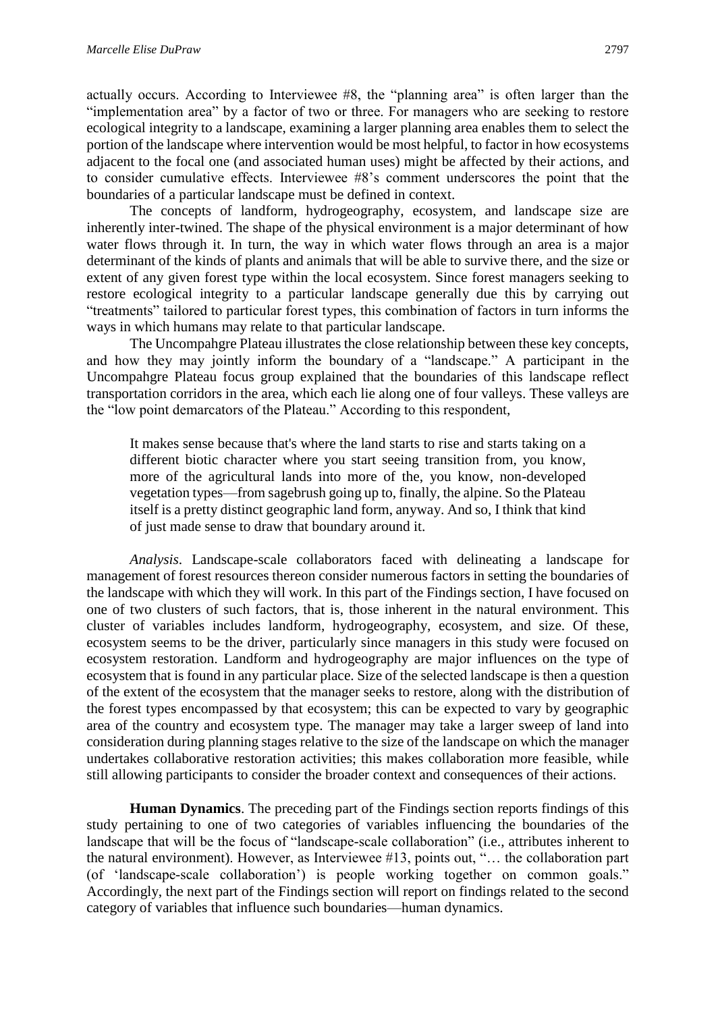actually occurs. According to Interviewee #8, the "planning area" is often larger than the "implementation area" by a factor of two or three. For managers who are seeking to restore ecological integrity to a landscape, examining a larger planning area enables them to select the portion of the landscape where intervention would be most helpful, to factor in how ecosystems adjacent to the focal one (and associated human uses) might be affected by their actions, and to consider cumulative effects. Interviewee #8's comment underscores the point that the boundaries of a particular landscape must be defined in context.

The concepts of landform, hydrogeography, ecosystem, and landscape size are inherently inter-twined. The shape of the physical environment is a major determinant of how water flows through it. In turn, the way in which water flows through an area is a major determinant of the kinds of plants and animals that will be able to survive there, and the size or extent of any given forest type within the local ecosystem. Since forest managers seeking to restore ecological integrity to a particular landscape generally due this by carrying out "treatments" tailored to particular forest types, this combination of factors in turn informs the ways in which humans may relate to that particular landscape.

The Uncompahgre Plateau illustrates the close relationship between these key concepts, and how they may jointly inform the boundary of a "landscape." A participant in the Uncompahgre Plateau focus group explained that the boundaries of this landscape reflect transportation corridors in the area, which each lie along one of four valleys. These valleys are the "low point demarcators of the Plateau." According to this respondent,

It makes sense because that's where the land starts to rise and starts taking on a different biotic character where you start seeing transition from, you know, more of the agricultural lands into more of the, you know, non-developed vegetation types—from sagebrush going up to, finally, the alpine. So the Plateau itself is a pretty distinct geographic land form, anyway. And so, I think that kind of just made sense to draw that boundary around it.

*Analysis*. Landscape-scale collaborators faced with delineating a landscape for management of forest resources thereon consider numerous factors in setting the boundaries of the landscape with which they will work. In this part of the Findings section, I have focused on one of two clusters of such factors, that is, those inherent in the natural environment. This cluster of variables includes landform, hydrogeography, ecosystem, and size. Of these, ecosystem seems to be the driver, particularly since managers in this study were focused on ecosystem restoration. Landform and hydrogeography are major influences on the type of ecosystem that is found in any particular place. Size of the selected landscape is then a question of the extent of the ecosystem that the manager seeks to restore, along with the distribution of the forest types encompassed by that ecosystem; this can be expected to vary by geographic area of the country and ecosystem type. The manager may take a larger sweep of land into consideration during planning stages relative to the size of the landscape on which the manager undertakes collaborative restoration activities; this makes collaboration more feasible, while still allowing participants to consider the broader context and consequences of their actions.

**Human Dynamics**. The preceding part of the Findings section reports findings of this study pertaining to one of two categories of variables influencing the boundaries of the landscape that will be the focus of "landscape-scale collaboration" (i.e., attributes inherent to the natural environment). However, as Interviewee #13, points out, "… the collaboration part (of 'landscape-scale collaboration') is people working together on common goals." Accordingly, the next part of the Findings section will report on findings related to the second category of variables that influence such boundaries—human dynamics.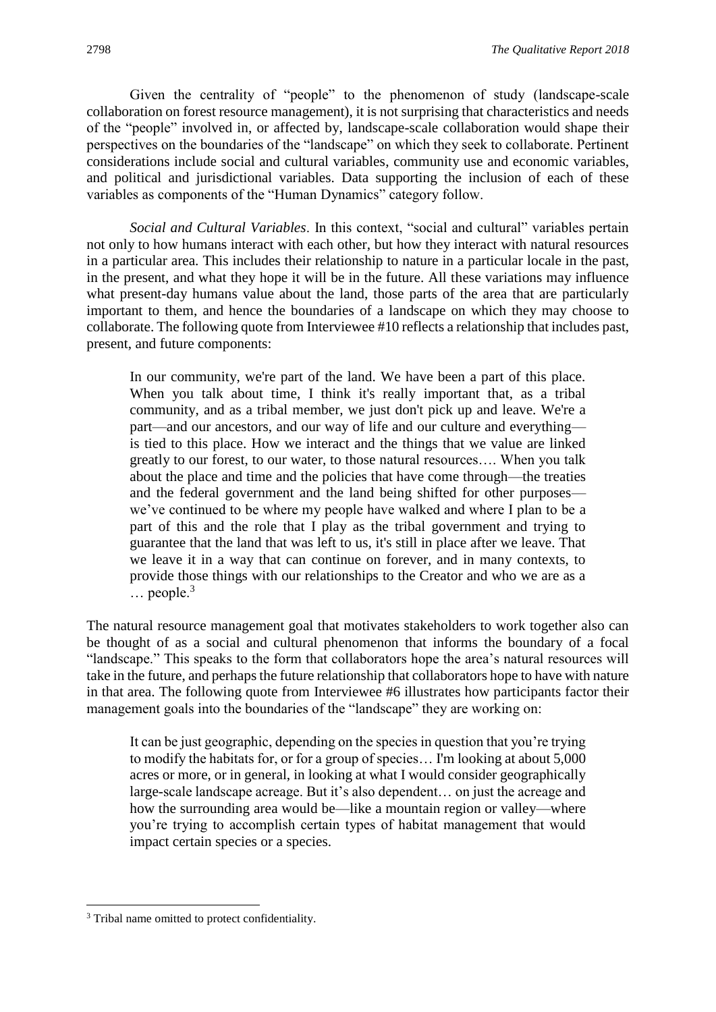Given the centrality of "people" to the phenomenon of study (landscape-scale collaboration on forest resource management), it is not surprising that characteristics and needs of the "people" involved in, or affected by, landscape-scale collaboration would shape their perspectives on the boundaries of the "landscape" on which they seek to collaborate. Pertinent considerations include social and cultural variables, community use and economic variables, and political and jurisdictional variables. Data supporting the inclusion of each of these variables as components of the "Human Dynamics" category follow.

*Social and Cultural Variables*. In this context, "social and cultural" variables pertain not only to how humans interact with each other, but how they interact with natural resources in a particular area. This includes their relationship to nature in a particular locale in the past, in the present, and what they hope it will be in the future. All these variations may influence what present-day humans value about the land, those parts of the area that are particularly important to them, and hence the boundaries of a landscape on which they may choose to collaborate. The following quote from Interviewee #10 reflects a relationship that includes past, present, and future components:

In our community, we're part of the land. We have been a part of this place. When you talk about time, I think it's really important that, as a tribal community, and as a tribal member, we just don't pick up and leave. We're a part—and our ancestors, and our way of life and our culture and everything is tied to this place. How we interact and the things that we value are linked greatly to our forest, to our water, to those natural resources…. When you talk about the place and time and the policies that have come through—the treaties and the federal government and the land being shifted for other purposes we've continued to be where my people have walked and where I plan to be a part of this and the role that I play as the tribal government and trying to guarantee that the land that was left to us, it's still in place after we leave. That we leave it in a way that can continue on forever, and in many contexts, to provide those things with our relationships to the Creator and who we are as a  $\ldots$  people.<sup>3</sup>

The natural resource management goal that motivates stakeholders to work together also can be thought of as a social and cultural phenomenon that informs the boundary of a focal "landscape." This speaks to the form that collaborators hope the area's natural resources will take in the future, and perhaps the future relationship that collaborators hope to have with nature in that area. The following quote from Interviewee #6 illustrates how participants factor their management goals into the boundaries of the "landscape" they are working on:

It can be just geographic, depending on the species in question that you're trying to modify the habitats for, or for a group of species… I'm looking at about 5,000 acres or more, or in general, in looking at what I would consider geographically large-scale landscape acreage. But it's also dependent… on just the acreage and how the surrounding area would be—like a mountain region or valley—where you're trying to accomplish certain types of habitat management that would impact certain species or a species.

**.** 

<sup>&</sup>lt;sup>3</sup> Tribal name omitted to protect confidentiality.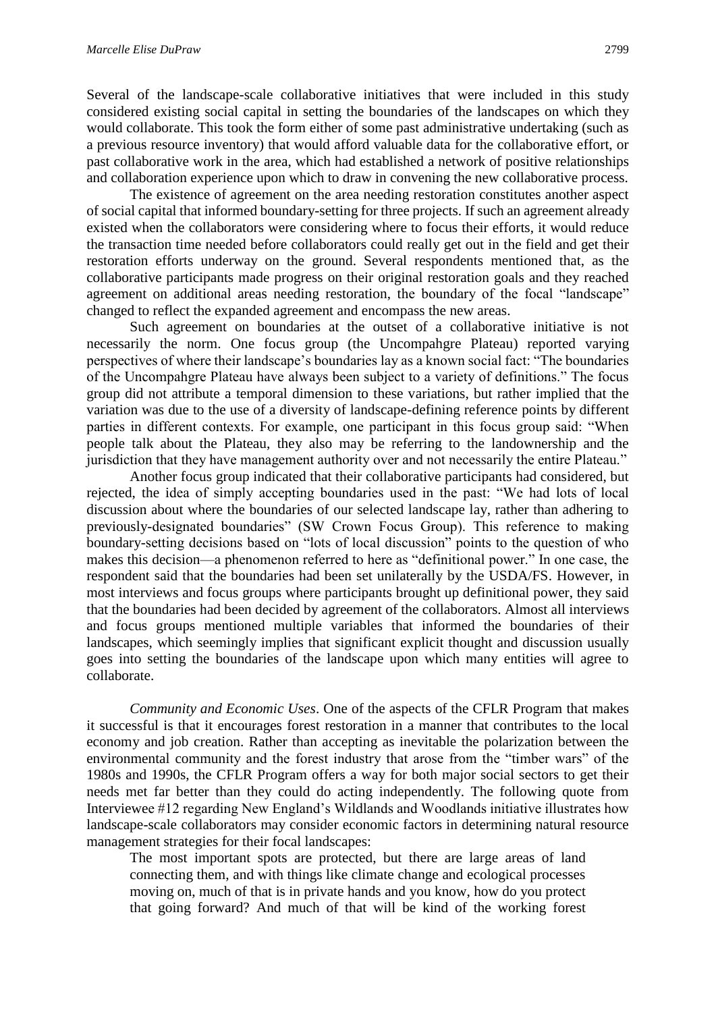Several of the landscape-scale collaborative initiatives that were included in this study considered existing social capital in setting the boundaries of the landscapes on which they would collaborate. This took the form either of some past administrative undertaking (such as a previous resource inventory) that would afford valuable data for the collaborative effort, or past collaborative work in the area, which had established a network of positive relationships and collaboration experience upon which to draw in convening the new collaborative process.

The existence of agreement on the area needing restoration constitutes another aspect of social capital that informed boundary-setting for three projects. If such an agreement already existed when the collaborators were considering where to focus their efforts, it would reduce the transaction time needed before collaborators could really get out in the field and get their restoration efforts underway on the ground. Several respondents mentioned that, as the collaborative participants made progress on their original restoration goals and they reached agreement on additional areas needing restoration, the boundary of the focal "landscape" changed to reflect the expanded agreement and encompass the new areas.

Such agreement on boundaries at the outset of a collaborative initiative is not necessarily the norm. One focus group (the Uncompahgre Plateau) reported varying perspectives of where their landscape's boundaries lay as a known social fact: "The boundaries of the Uncompahgre Plateau have always been subject to a variety of definitions." The focus group did not attribute a temporal dimension to these variations, but rather implied that the variation was due to the use of a diversity of landscape-defining reference points by different parties in different contexts. For example, one participant in this focus group said: "When people talk about the Plateau, they also may be referring to the landownership and the jurisdiction that they have management authority over and not necessarily the entire Plateau."

Another focus group indicated that their collaborative participants had considered, but rejected, the idea of simply accepting boundaries used in the past: "We had lots of local discussion about where the boundaries of our selected landscape lay, rather than adhering to previously-designated boundaries" (SW Crown Focus Group). This reference to making boundary-setting decisions based on "lots of local discussion" points to the question of who makes this decision—a phenomenon referred to here as "definitional power." In one case, the respondent said that the boundaries had been set unilaterally by the USDA/FS. However, in most interviews and focus groups where participants brought up definitional power, they said that the boundaries had been decided by agreement of the collaborators. Almost all interviews and focus groups mentioned multiple variables that informed the boundaries of their landscapes, which seemingly implies that significant explicit thought and discussion usually goes into setting the boundaries of the landscape upon which many entities will agree to collaborate.

*Community and Economic Uses*. One of the aspects of the CFLR Program that makes it successful is that it encourages forest restoration in a manner that contributes to the local economy and job creation. Rather than accepting as inevitable the polarization between the environmental community and the forest industry that arose from the "timber wars" of the 1980s and 1990s, the CFLR Program offers a way for both major social sectors to get their needs met far better than they could do acting independently. The following quote from Interviewee #12 regarding New England's Wildlands and Woodlands initiative illustrates how landscape-scale collaborators may consider economic factors in determining natural resource management strategies for their focal landscapes:

The most important spots are protected, but there are large areas of land connecting them, and with things like climate change and ecological processes moving on, much of that is in private hands and you know, how do you protect that going forward? And much of that will be kind of the working forest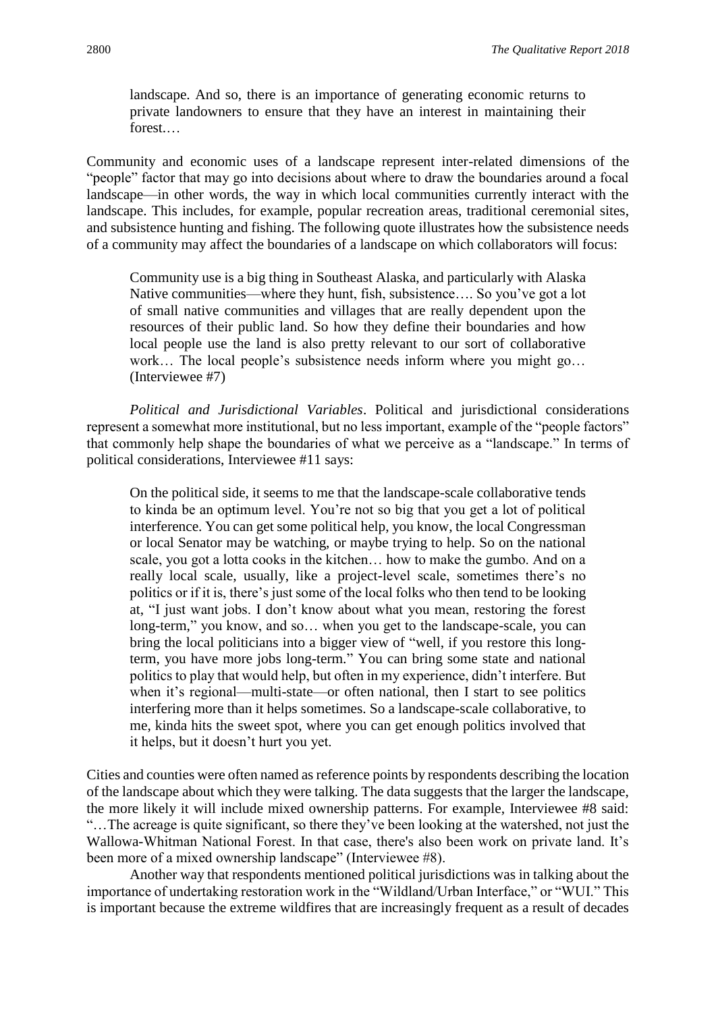landscape. And so, there is an importance of generating economic returns to private landowners to ensure that they have an interest in maintaining their forest.

Community and economic uses of a landscape represent inter-related dimensions of the "people" factor that may go into decisions about where to draw the boundaries around a focal landscape—in other words, the way in which local communities currently interact with the landscape. This includes, for example, popular recreation areas, traditional ceremonial sites, and subsistence hunting and fishing. The following quote illustrates how the subsistence needs of a community may affect the boundaries of a landscape on which collaborators will focus:

Community use is a big thing in Southeast Alaska, and particularly with Alaska Native communities—where they hunt, fish, subsistence…. So you've got a lot of small native communities and villages that are really dependent upon the resources of their public land. So how they define their boundaries and how local people use the land is also pretty relevant to our sort of collaborative work… The local people's subsistence needs inform where you might go… (Interviewee #7)

*Political and Jurisdictional Variables*. Political and jurisdictional considerations represent a somewhat more institutional, but no less important, example of the "people factors" that commonly help shape the boundaries of what we perceive as a "landscape." In terms of political considerations, Interviewee #11 says:

On the political side, it seems to me that the landscape-scale collaborative tends to kinda be an optimum level. You're not so big that you get a lot of political interference. You can get some political help, you know, the local Congressman or local Senator may be watching, or maybe trying to help. So on the national scale, you got a lotta cooks in the kitchen… how to make the gumbo. And on a really local scale, usually, like a project-level scale, sometimes there's no politics or if it is, there's just some of the local folks who then tend to be looking at, "I just want jobs. I don't know about what you mean, restoring the forest long-term," you know, and so… when you get to the landscape-scale, you can bring the local politicians into a bigger view of "well, if you restore this longterm, you have more jobs long-term." You can bring some state and national politics to play that would help, but often in my experience, didn't interfere. But when it's regional—multi-state—or often national, then I start to see politics interfering more than it helps sometimes. So a landscape-scale collaborative, to me, kinda hits the sweet spot, where you can get enough politics involved that it helps, but it doesn't hurt you yet.

Cities and counties were often named as reference points by respondents describing the location of the landscape about which they were talking. The data suggests that the larger the landscape, the more likely it will include mixed ownership patterns. For example, Interviewee #8 said: "…The acreage is quite significant, so there they've been looking at the watershed, not just the Wallowa-Whitman National Forest. In that case, there's also been work on private land. It's been more of a mixed ownership landscape" (Interviewee #8).

Another way that respondents mentioned political jurisdictions was in talking about the importance of undertaking restoration work in the "Wildland/Urban Interface," or "WUI." This is important because the extreme wildfires that are increasingly frequent as a result of decades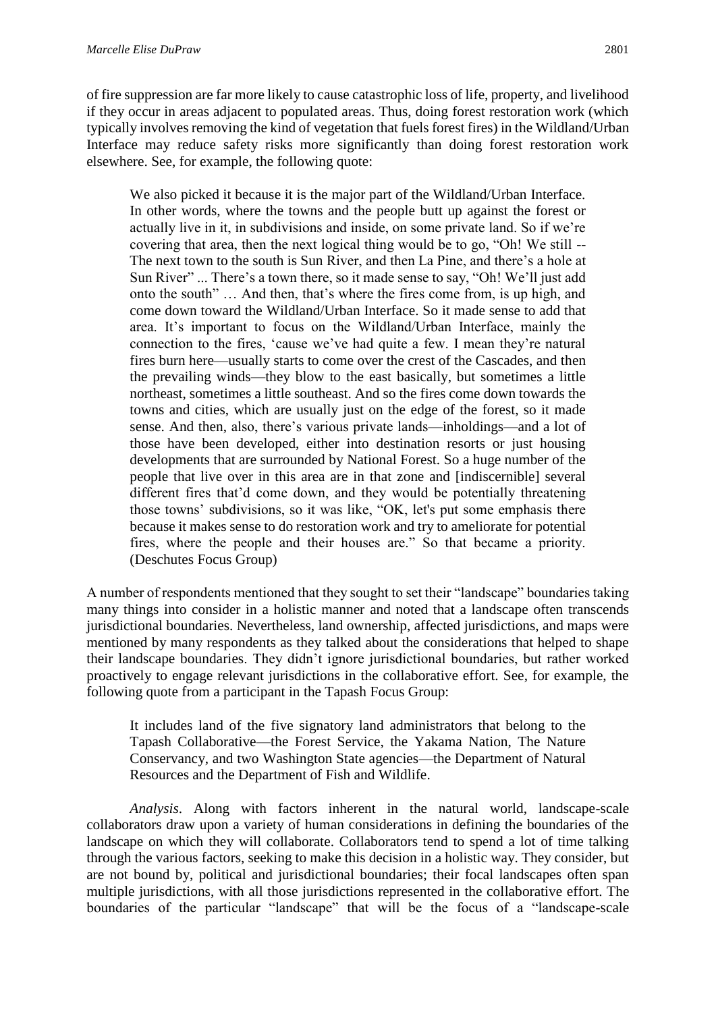of fire suppression are far more likely to cause catastrophic loss of life, property, and livelihood if they occur in areas adjacent to populated areas. Thus, doing forest restoration work (which typically involves removing the kind of vegetation that fuels forest fires) in the Wildland/Urban Interface may reduce safety risks more significantly than doing forest restoration work elsewhere. See, for example, the following quote:

We also picked it because it is the major part of the Wildland/Urban Interface. In other words, where the towns and the people butt up against the forest or actually live in it, in subdivisions and inside, on some private land. So if we're covering that area, then the next logical thing would be to go, "Oh! We still -- The next town to the south is Sun River, and then La Pine, and there's a hole at Sun River" ... There's a town there, so it made sense to say, "Oh! We'll just add onto the south" … And then, that's where the fires come from, is up high, and come down toward the Wildland/Urban Interface. So it made sense to add that area. It's important to focus on the Wildland/Urban Interface, mainly the connection to the fires, 'cause we've had quite a few. I mean they're natural fires burn here—usually starts to come over the crest of the Cascades, and then the prevailing winds—they blow to the east basically, but sometimes a little northeast, sometimes a little southeast. And so the fires come down towards the towns and cities, which are usually just on the edge of the forest, so it made sense. And then, also, there's various private lands—inholdings—and a lot of those have been developed, either into destination resorts or just housing developments that are surrounded by National Forest. So a huge number of the people that live over in this area are in that zone and [indiscernible] several different fires that'd come down, and they would be potentially threatening those towns' subdivisions, so it was like, "OK, let's put some emphasis there because it makes sense to do restoration work and try to ameliorate for potential fires, where the people and their houses are." So that became a priority. (Deschutes Focus Group)

A number of respondents mentioned that they sought to set their "landscape" boundaries taking many things into consider in a holistic manner and noted that a landscape often transcends jurisdictional boundaries. Nevertheless, land ownership, affected jurisdictions, and maps were mentioned by many respondents as they talked about the considerations that helped to shape their landscape boundaries. They didn't ignore jurisdictional boundaries, but rather worked proactively to engage relevant jurisdictions in the collaborative effort. See, for example, the following quote from a participant in the Tapash Focus Group:

It includes land of the five signatory land administrators that belong to the Tapash Collaborative—the Forest Service, the Yakama Nation, The Nature Conservancy, and two Washington State agencies—the Department of Natural Resources and the Department of Fish and Wildlife.

*Analysis*. Along with factors inherent in the natural world, landscape-scale collaborators draw upon a variety of human considerations in defining the boundaries of the landscape on which they will collaborate. Collaborators tend to spend a lot of time talking through the various factors, seeking to make this decision in a holistic way. They consider, but are not bound by, political and jurisdictional boundaries; their focal landscapes often span multiple jurisdictions, with all those jurisdictions represented in the collaborative effort. The boundaries of the particular "landscape" that will be the focus of a "landscape-scale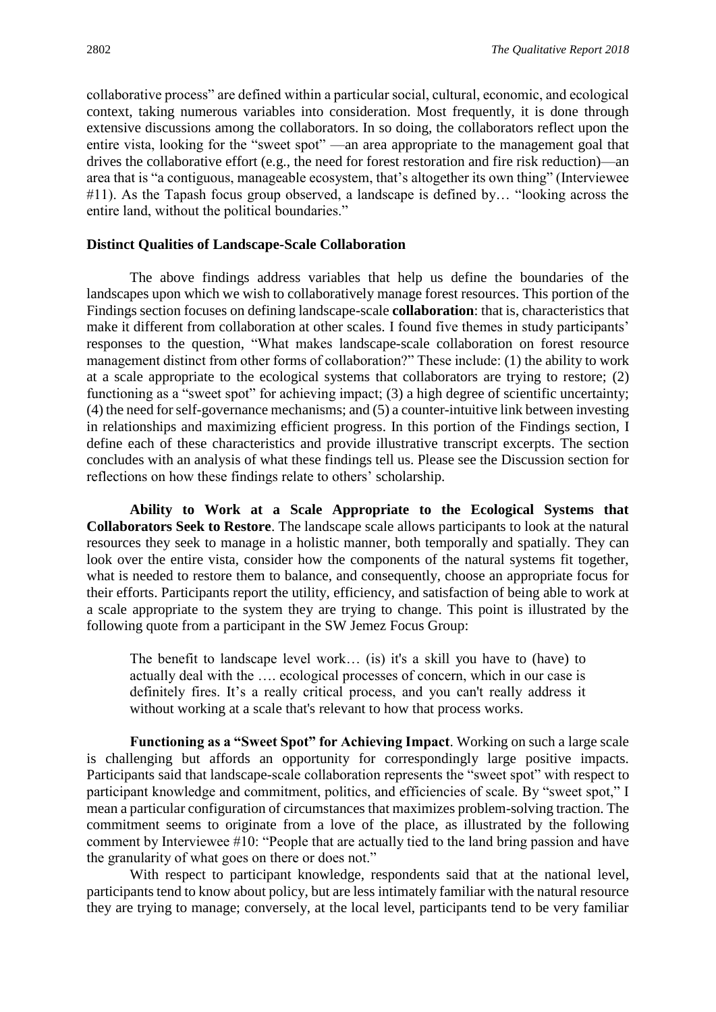collaborative process" are defined within a particular social, cultural, economic, and ecological context, taking numerous variables into consideration. Most frequently, it is done through extensive discussions among the collaborators. In so doing, the collaborators reflect upon the entire vista, looking for the "sweet spot" —an area appropriate to the management goal that drives the collaborative effort (e.g., the need for forest restoration and fire risk reduction)—an area that is "a contiguous, manageable ecosystem, that's altogether its own thing" (Interviewee #11). As the Tapash focus group observed, a landscape is defined by… "looking across the entire land, without the political boundaries."

#### **Distinct Qualities of Landscape-Scale Collaboration**

The above findings address variables that help us define the boundaries of the landscapes upon which we wish to collaboratively manage forest resources. This portion of the Findings section focuses on defining landscape-scale **collaboration**: that is, characteristics that make it different from collaboration at other scales. I found five themes in study participants' responses to the question, "What makes landscape-scale collaboration on forest resource management distinct from other forms of collaboration?" These include: (1) the ability to work at a scale appropriate to the ecological systems that collaborators are trying to restore; (2) functioning as a "sweet spot" for achieving impact; (3) a high degree of scientific uncertainty; (4) the need for self-governance mechanisms; and (5) a counter-intuitive link between investing in relationships and maximizing efficient progress. In this portion of the Findings section, I define each of these characteristics and provide illustrative transcript excerpts. The section concludes with an analysis of what these findings tell us. Please see the Discussion section for reflections on how these findings relate to others' scholarship.

**Ability to Work at a Scale Appropriate to the Ecological Systems that Collaborators Seek to Restore**. The landscape scale allows participants to look at the natural resources they seek to manage in a holistic manner, both temporally and spatially. They can look over the entire vista, consider how the components of the natural systems fit together, what is needed to restore them to balance, and consequently, choose an appropriate focus for their efforts. Participants report the utility, efficiency, and satisfaction of being able to work at a scale appropriate to the system they are trying to change. This point is illustrated by the following quote from a participant in the SW Jemez Focus Group:

The benefit to landscape level work… (is) it's a skill you have to (have) to actually deal with the …. ecological processes of concern, which in our case is definitely fires. It's a really critical process, and you can't really address it without working at a scale that's relevant to how that process works.

**Functioning as a "Sweet Spot" for Achieving Impact**. Working on such a large scale is challenging but affords an opportunity for correspondingly large positive impacts. Participants said that landscape-scale collaboration represents the "sweet spot" with respect to participant knowledge and commitment, politics, and efficiencies of scale. By "sweet spot," I mean a particular configuration of circumstances that maximizes problem-solving traction. The commitment seems to originate from a love of the place, as illustrated by the following comment by Interviewee #10: "People that are actually tied to the land bring passion and have the granularity of what goes on there or does not."

With respect to participant knowledge, respondents said that at the national level, participants tend to know about policy, but are less intimately familiar with the natural resource they are trying to manage; conversely, at the local level, participants tend to be very familiar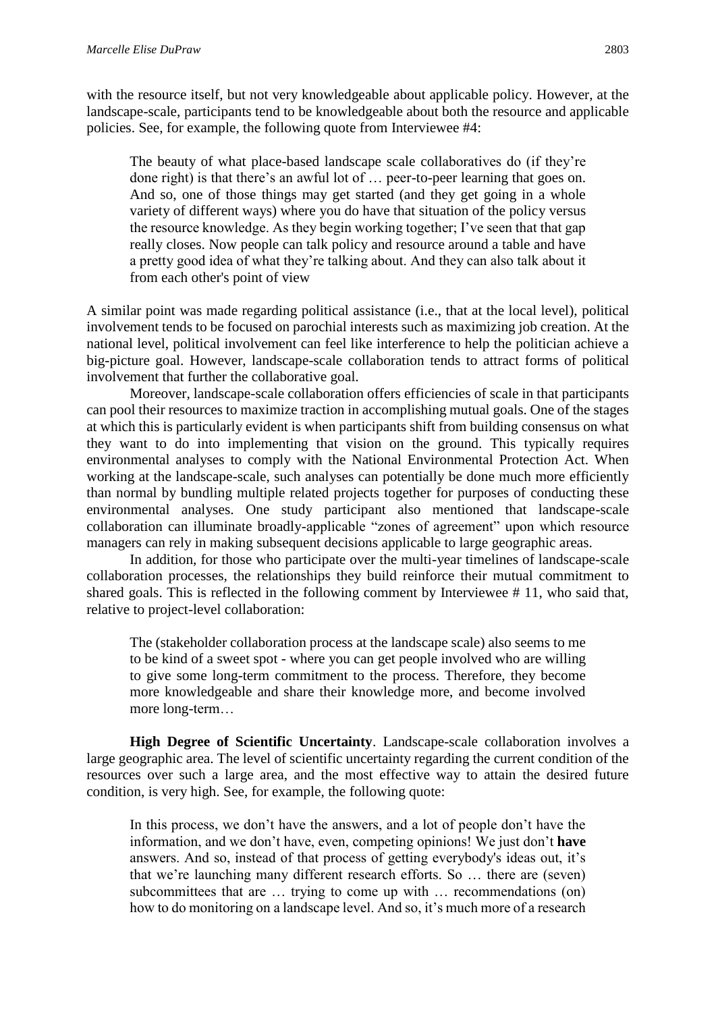with the resource itself, but not very knowledgeable about applicable policy. However, at the landscape-scale, participants tend to be knowledgeable about both the resource and applicable policies. See, for example, the following quote from Interviewee #4:

The beauty of what place-based landscape scale collaboratives do (if they're done right) is that there's an awful lot of … peer-to-peer learning that goes on. And so, one of those things may get started (and they get going in a whole variety of different ways) where you do have that situation of the policy versus the resource knowledge. As they begin working together; I've seen that that gap really closes. Now people can talk policy and resource around a table and have a pretty good idea of what they're talking about. And they can also talk about it from each other's point of view

A similar point was made regarding political assistance (i.e., that at the local level), political involvement tends to be focused on parochial interests such as maximizing job creation. At the national level, political involvement can feel like interference to help the politician achieve a big-picture goal. However, landscape-scale collaboration tends to attract forms of political involvement that further the collaborative goal.

Moreover, landscape-scale collaboration offers efficiencies of scale in that participants can pool their resources to maximize traction in accomplishing mutual goals. One of the stages at which this is particularly evident is when participants shift from building consensus on what they want to do into implementing that vision on the ground. This typically requires environmental analyses to comply with the National Environmental Protection Act. When working at the landscape-scale, such analyses can potentially be done much more efficiently than normal by bundling multiple related projects together for purposes of conducting these environmental analyses. One study participant also mentioned that landscape-scale collaboration can illuminate broadly-applicable "zones of agreement" upon which resource managers can rely in making subsequent decisions applicable to large geographic areas.

In addition, for those who participate over the multi-year timelines of landscape-scale collaboration processes, the relationships they build reinforce their mutual commitment to shared goals. This is reflected in the following comment by Interviewee # 11, who said that, relative to project-level collaboration:

The (stakeholder collaboration process at the landscape scale) also seems to me to be kind of a sweet spot - where you can get people involved who are willing to give some long-term commitment to the process. Therefore, they become more knowledgeable and share their knowledge more, and become involved more long-term…

**High Degree of Scientific Uncertainty**. Landscape-scale collaboration involves a large geographic area. The level of scientific uncertainty regarding the current condition of the resources over such a large area, and the most effective way to attain the desired future condition, is very high. See, for example, the following quote:

In this process, we don't have the answers, and a lot of people don't have the information, and we don't have, even, competing opinions! We just don't **have** answers. And so, instead of that process of getting everybody's ideas out, it's that we're launching many different research efforts. So … there are (seven) subcommittees that are … trying to come up with … recommendations (on) how to do monitoring on a landscape level. And so, it's much more of a research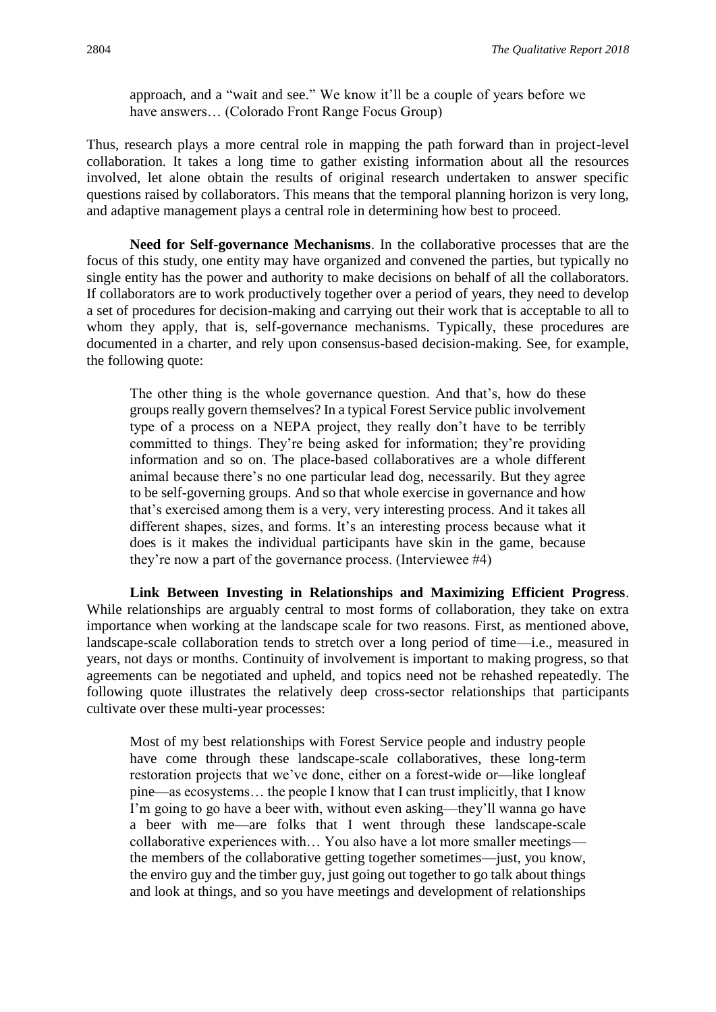approach, and a "wait and see." We know it'll be a couple of years before we have answers… (Colorado Front Range Focus Group)

Thus, research plays a more central role in mapping the path forward than in project-level collaboration. It takes a long time to gather existing information about all the resources involved, let alone obtain the results of original research undertaken to answer specific questions raised by collaborators. This means that the temporal planning horizon is very long, and adaptive management plays a central role in determining how best to proceed.

**Need for Self-governance Mechanisms**. In the collaborative processes that are the focus of this study, one entity may have organized and convened the parties, but typically no single entity has the power and authority to make decisions on behalf of all the collaborators. If collaborators are to work productively together over a period of years, they need to develop a set of procedures for decision-making and carrying out their work that is acceptable to all to whom they apply, that is, self-governance mechanisms. Typically, these procedures are documented in a charter, and rely upon consensus-based decision-making. See, for example, the following quote:

The other thing is the whole governance question. And that's, how do these groups really govern themselves? In a typical Forest Service public involvement type of a process on a NEPA project, they really don't have to be terribly committed to things. They're being asked for information; they're providing information and so on. The place-based collaboratives are a whole different animal because there's no one particular lead dog, necessarily. But they agree to be self-governing groups. And so that whole exercise in governance and how that's exercised among them is a very, very interesting process. And it takes all different shapes, sizes, and forms. It's an interesting process because what it does is it makes the individual participants have skin in the game, because they're now a part of the governance process. (Interviewee #4)

**Link Between Investing in Relationships and Maximizing Efficient Progress**. While relationships are arguably central to most forms of collaboration, they take on extra importance when working at the landscape scale for two reasons. First, as mentioned above, landscape-scale collaboration tends to stretch over a long period of time—i.e., measured in years, not days or months. Continuity of involvement is important to making progress, so that agreements can be negotiated and upheld, and topics need not be rehashed repeatedly. The following quote illustrates the relatively deep cross-sector relationships that participants cultivate over these multi-year processes:

Most of my best relationships with Forest Service people and industry people have come through these landscape-scale collaboratives, these long-term restoration projects that we've done, either on a forest-wide or—like longleaf pine—as ecosystems… the people I know that I can trust implicitly, that I know I'm going to go have a beer with, without even asking—they'll wanna go have a beer with me—are folks that I went through these landscape-scale collaborative experiences with… You also have a lot more smaller meetings the members of the collaborative getting together sometimes—just, you know, the enviro guy and the timber guy, just going out together to go talk about things and look at things, and so you have meetings and development of relationships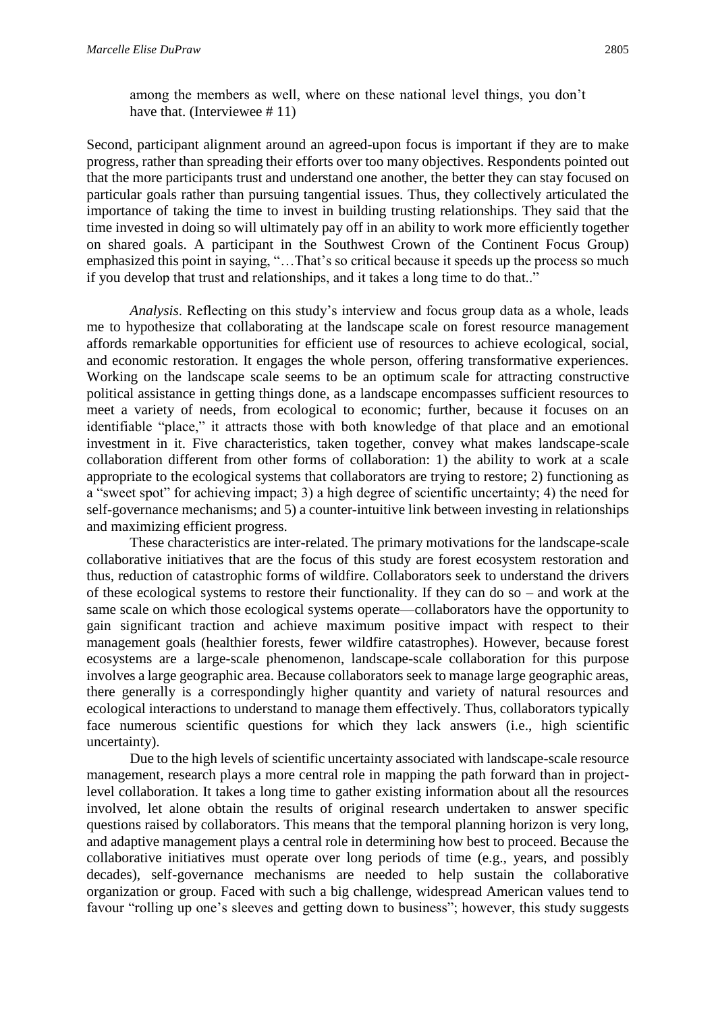among the members as well, where on these national level things, you don't have that. (Interviewee #11)

Second, participant alignment around an agreed-upon focus is important if they are to make progress, rather than spreading their efforts over too many objectives. Respondents pointed out that the more participants trust and understand one another, the better they can stay focused on particular goals rather than pursuing tangential issues. Thus, they collectively articulated the importance of taking the time to invest in building trusting relationships. They said that the time invested in doing so will ultimately pay off in an ability to work more efficiently together on shared goals. A participant in the Southwest Crown of the Continent Focus Group) emphasized this point in saying, "…That's so critical because it speeds up the process so much if you develop that trust and relationships, and it takes a long time to do that.."

*Analysis*. Reflecting on this study's interview and focus group data as a whole, leads me to hypothesize that collaborating at the landscape scale on forest resource management affords remarkable opportunities for efficient use of resources to achieve ecological, social, and economic restoration. It engages the whole person, offering transformative experiences. Working on the landscape scale seems to be an optimum scale for attracting constructive political assistance in getting things done, as a landscape encompasses sufficient resources to meet a variety of needs, from ecological to economic; further, because it focuses on an identifiable "place," it attracts those with both knowledge of that place and an emotional investment in it. Five characteristics, taken together, convey what makes landscape-scale collaboration different from other forms of collaboration: 1) the ability to work at a scale appropriate to the ecological systems that collaborators are trying to restore; 2) functioning as a "sweet spot" for achieving impact; 3) a high degree of scientific uncertainty; 4) the need for self-governance mechanisms; and 5) a counter-intuitive link between investing in relationships and maximizing efficient progress.

These characteristics are inter-related. The primary motivations for the landscape-scale collaborative initiatives that are the focus of this study are forest ecosystem restoration and thus, reduction of catastrophic forms of wildfire. Collaborators seek to understand the drivers of these ecological systems to restore their functionality. If they can do so – and work at the same scale on which those ecological systems operate—collaborators have the opportunity to gain significant traction and achieve maximum positive impact with respect to their management goals (healthier forests, fewer wildfire catastrophes). However, because forest ecosystems are a large-scale phenomenon, landscape-scale collaboration for this purpose involves a large geographic area. Because collaborators seek to manage large geographic areas, there generally is a correspondingly higher quantity and variety of natural resources and ecological interactions to understand to manage them effectively. Thus, collaborators typically face numerous scientific questions for which they lack answers (i.e., high scientific uncertainty).

Due to the high levels of scientific uncertainty associated with landscape-scale resource management, research plays a more central role in mapping the path forward than in projectlevel collaboration. It takes a long time to gather existing information about all the resources involved, let alone obtain the results of original research undertaken to answer specific questions raised by collaborators. This means that the temporal planning horizon is very long, and adaptive management plays a central role in determining how best to proceed. Because the collaborative initiatives must operate over long periods of time (e.g., years, and possibly decades), self-governance mechanisms are needed to help sustain the collaborative organization or group. Faced with such a big challenge, widespread American values tend to favour "rolling up one's sleeves and getting down to business"; however, this study suggests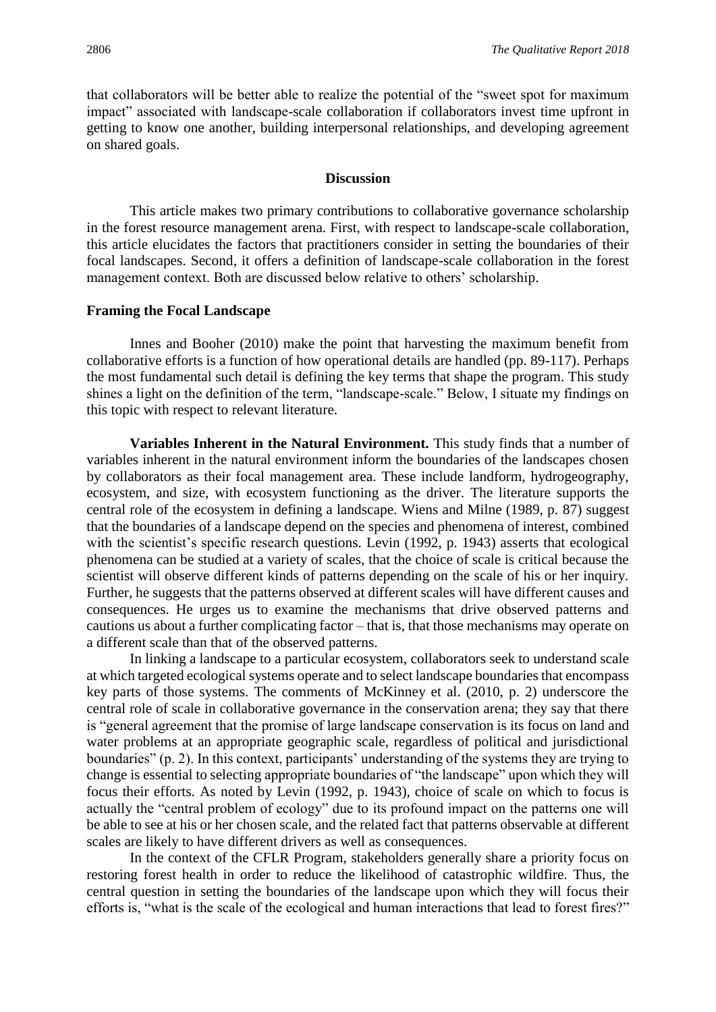that collaborators will be better able to realize the potential of the "sweet spot for maximum impact" associated with landscape-scale collaboration if collaborators invest time upfront in getting to know one another, building interpersonal relationships, and developing agreement on shared goals.

#### **Discussion**

This article makes two primary contributions to collaborative governance scholarship in the forest resource management arena. First, with respect to landscape-scale collaboration, this article elucidates the factors that practitioners consider in setting the boundaries of their focal landscapes. Second, it offers a definition of landscape-scale collaboration in the forest management context. Both are discussed below relative to others' scholarship.

#### **Framing the Focal Landscape**

Innes and Booher (2010) make the point that harvesting the maximum benefit from collaborative efforts is a function of how operational details are handled (pp. 89-117). Perhaps the most fundamental such detail is defining the key terms that shape the program. This study shines a light on the definition of the term, "landscape-scale." Below, I situate my findings on this topic with respect to relevant literature.

**Variables Inherent in the Natural Environment.** This study finds that a number of variables inherent in the natural environment inform the boundaries of the landscapes chosen by collaborators as their focal management area. These include landform, hydrogeography, ecosystem, and size, with ecosystem functioning as the driver. The literature supports the central role of the ecosystem in defining a landscape. Wiens and Milne (1989, p. 87) suggest that the boundaries of a landscape depend on the species and phenomena of interest, combined with the scientist's specific research questions. Levin (1992, p. 1943) asserts that ecological phenomena can be studied at a variety of scales, that the choice of scale is critical because the scientist will observe different kinds of patterns depending on the scale of his or her inquiry. Further, he suggests that the patterns observed at different scales will have different causes and consequences. He urges us to examine the mechanisms that drive observed patterns and cautions us about a further complicating factor – that is, that those mechanisms may operate on a different scale than that of the observed patterns.

In linking a landscape to a particular ecosystem, collaborators seek to understand scale at which targeted ecological systems operate and to select landscape boundaries that encompass key parts of those systems. The comments of McKinney et al. (2010, p. 2) underscore the central role of scale in collaborative governance in the conservation arena; they say that there is "general agreement that the promise of large landscape conservation is its focus on land and water problems at an appropriate geographic scale, regardless of political and jurisdictional boundaries" (p. 2). In this context, participants' understanding of the systems they are trying to change is essential to selecting appropriate boundaries of "the landscape" upon which they will focus their efforts. As noted by Levin (1992, p. 1943), choice of scale on which to focus is actually the "central problem of ecology" due to its profound impact on the patterns one will be able to see at his or her chosen scale, and the related fact that patterns observable at different scales are likely to have different drivers as well as consequences.

In the context of the CFLR Program, stakeholders generally share a priority focus on restoring forest health in order to reduce the likelihood of catastrophic wildfire. Thus, the central question in setting the boundaries of the landscape upon which they will focus their efforts is, "what is the scale of the ecological and human interactions that lead to forest fires?"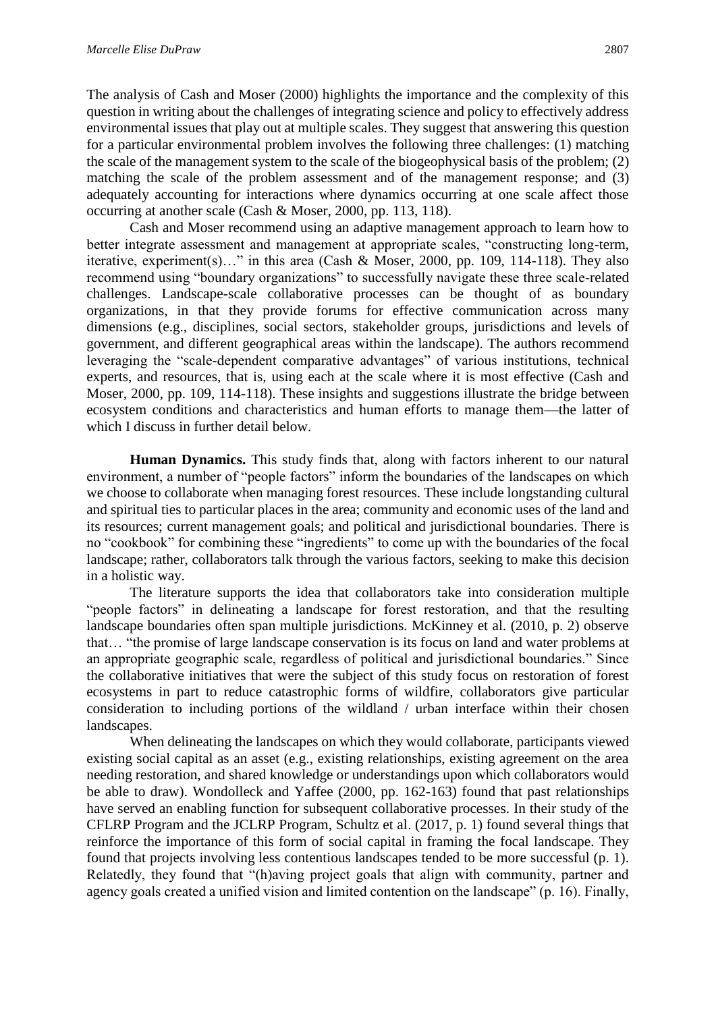The analysis of Cash and Moser (2000) highlights the importance and the complexity of this question in writing about the challenges of integrating science and policy to effectively address environmental issues that play out at multiple scales. They suggest that answering this question for a particular environmental problem involves the following three challenges: (1) matching the scale of the management system to the scale of the biogeophysical basis of the problem; (2) matching the scale of the problem assessment and of the management response; and (3) adequately accounting for interactions where dynamics occurring at one scale affect those occurring at another scale (Cash & Moser, 2000, pp. 113, 118).

Cash and Moser recommend using an adaptive management approach to learn how to better integrate assessment and management at appropriate scales, "constructing long-term, iterative, experiment(s)..." in this area (Cash & Moser, 2000, pp. 109, 114-118). They also recommend using "boundary organizations" to successfully navigate these three scale-related challenges. Landscape-scale collaborative processes can be thought of as boundary organizations, in that they provide forums for effective communication across many dimensions (e.g., disciplines, social sectors, stakeholder groups, jurisdictions and levels of government, and different geographical areas within the landscape). The authors recommend leveraging the "scale-dependent comparative advantages" of various institutions, technical experts, and resources, that is, using each at the scale where it is most effective (Cash and Moser, 2000, pp. 109, 114-118). These insights and suggestions illustrate the bridge between ecosystem conditions and characteristics and human efforts to manage them—the latter of which I discuss in further detail below.

**Human Dynamics.** This study finds that, along with factors inherent to our natural environment, a number of "people factors" inform the boundaries of the landscapes on which we choose to collaborate when managing forest resources. These include longstanding cultural and spiritual ties to particular places in the area; community and economic uses of the land and its resources; current management goals; and political and jurisdictional boundaries. There is no "cookbook" for combining these "ingredients" to come up with the boundaries of the focal landscape; rather, collaborators talk through the various factors, seeking to make this decision in a holistic way.

The literature supports the idea that collaborators take into consideration multiple "people factors" in delineating a landscape for forest restoration, and that the resulting landscape boundaries often span multiple jurisdictions. McKinney et al. (2010, p. 2) observe that… "the promise of large landscape conservation is its focus on land and water problems at an appropriate geographic scale, regardless of political and jurisdictional boundaries." Since the collaborative initiatives that were the subject of this study focus on restoration of forest ecosystems in part to reduce catastrophic forms of wildfire, collaborators give particular consideration to including portions of the wildland / urban interface within their chosen landscapes.

When delineating the landscapes on which they would collaborate, participants viewed existing social capital as an asset (e.g., existing relationships, existing agreement on the area needing restoration, and shared knowledge or understandings upon which collaborators would be able to draw). Wondolleck and Yaffee (2000, pp. 162-163) found that past relationships have served an enabling function for subsequent collaborative processes. In their study of the CFLRP Program and the JCLRP Program, Schultz et al. (2017, p. 1) found several things that reinforce the importance of this form of social capital in framing the focal landscape. They found that projects involving less contentious landscapes tended to be more successful (p. 1). Relatedly, they found that "(h)aving project goals that align with community, partner and agency goals created a unified vision and limited contention on the landscape" (p. 16). Finally,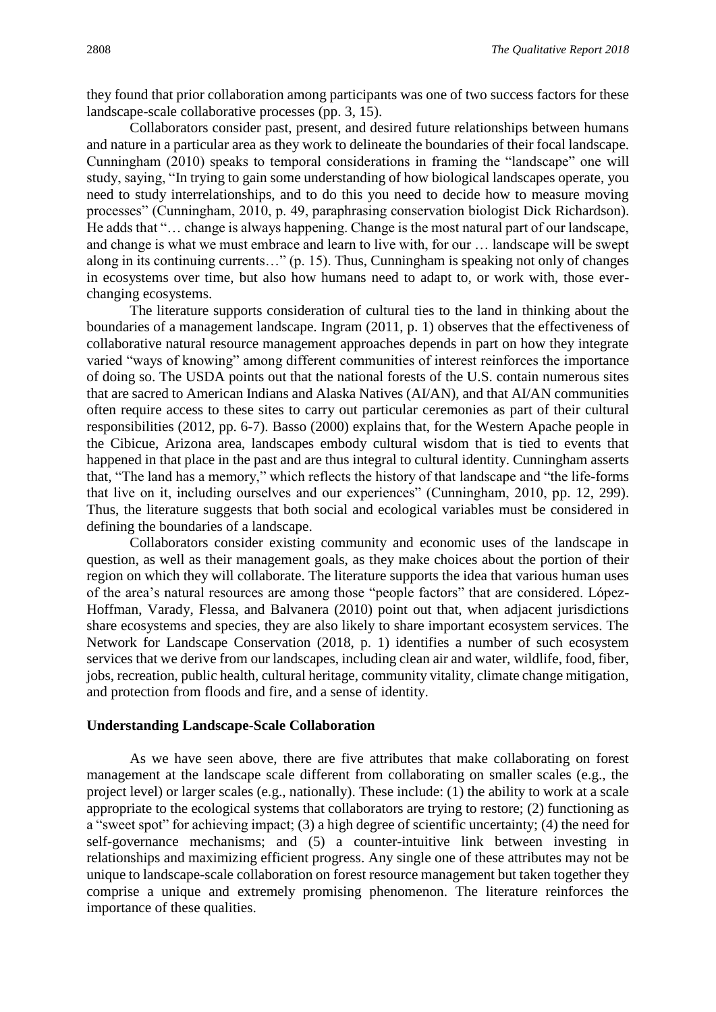they found that prior collaboration among participants was one of two success factors for these landscape-scale collaborative processes (pp. 3, 15).

Collaborators consider past, present, and desired future relationships between humans and nature in a particular area as they work to delineate the boundaries of their focal landscape. Cunningham (2010) speaks to temporal considerations in framing the "landscape" one will study, saying, "In trying to gain some understanding of how biological landscapes operate, you need to study interrelationships, and to do this you need to decide how to measure moving processes" (Cunningham, 2010, p. 49, paraphrasing conservation biologist Dick Richardson). He adds that "… change is always happening. Change is the most natural part of our landscape, and change is what we must embrace and learn to live with, for our … landscape will be swept along in its continuing currents…" (p. 15). Thus, Cunningham is speaking not only of changes in ecosystems over time, but also how humans need to adapt to, or work with, those everchanging ecosystems.

The literature supports consideration of cultural ties to the land in thinking about the boundaries of a management landscape. Ingram (2011, p. 1) observes that the effectiveness of collaborative natural resource management approaches depends in part on how they integrate varied "ways of knowing" among different communities of interest reinforces the importance of doing so. The USDA points out that the national forests of the U.S. contain numerous sites that are sacred to American Indians and Alaska Natives (AI/AN), and that AI/AN communities often require access to these sites to carry out particular ceremonies as part of their cultural responsibilities (2012, pp. 6-7). Basso (2000) explains that, for the Western Apache people in the Cibicue, Arizona area, landscapes embody cultural wisdom that is tied to events that happened in that place in the past and are thus integral to cultural identity. Cunningham asserts that, "The land has a memory," which reflects the history of that landscape and "the life-forms that live on it, including ourselves and our experiences" (Cunningham, 2010, pp. 12, 299). Thus, the literature suggests that both social and ecological variables must be considered in defining the boundaries of a landscape.

Collaborators consider existing community and economic uses of the landscape in question, as well as their management goals, as they make choices about the portion of their region on which they will collaborate. The literature supports the idea that various human uses of the area's natural resources are among those "people factors" that are considered. López-Hoffman, Varady, Flessa, and Balvanera (2010) point out that, when adjacent jurisdictions share ecosystems and species, they are also likely to share important ecosystem services. The Network for Landscape Conservation (2018, p. 1) identifies a number of such ecosystem services that we derive from our landscapes, including clean air and water, wildlife, food, fiber, jobs, recreation, public health, cultural heritage, community vitality, climate change mitigation, and protection from floods and fire, and a sense of identity.

#### **Understanding Landscape-Scale Collaboration**

As we have seen above, there are five attributes that make collaborating on forest management at the landscape scale different from collaborating on smaller scales (e.g., the project level) or larger scales (e.g., nationally). These include: (1) the ability to work at a scale appropriate to the ecological systems that collaborators are trying to restore; (2) functioning as a "sweet spot" for achieving impact; (3) a high degree of scientific uncertainty; (4) the need for self-governance mechanisms; and (5) a counter-intuitive link between investing in relationships and maximizing efficient progress. Any single one of these attributes may not be unique to landscape-scale collaboration on forest resource management but taken together they comprise a unique and extremely promising phenomenon. The literature reinforces the importance of these qualities.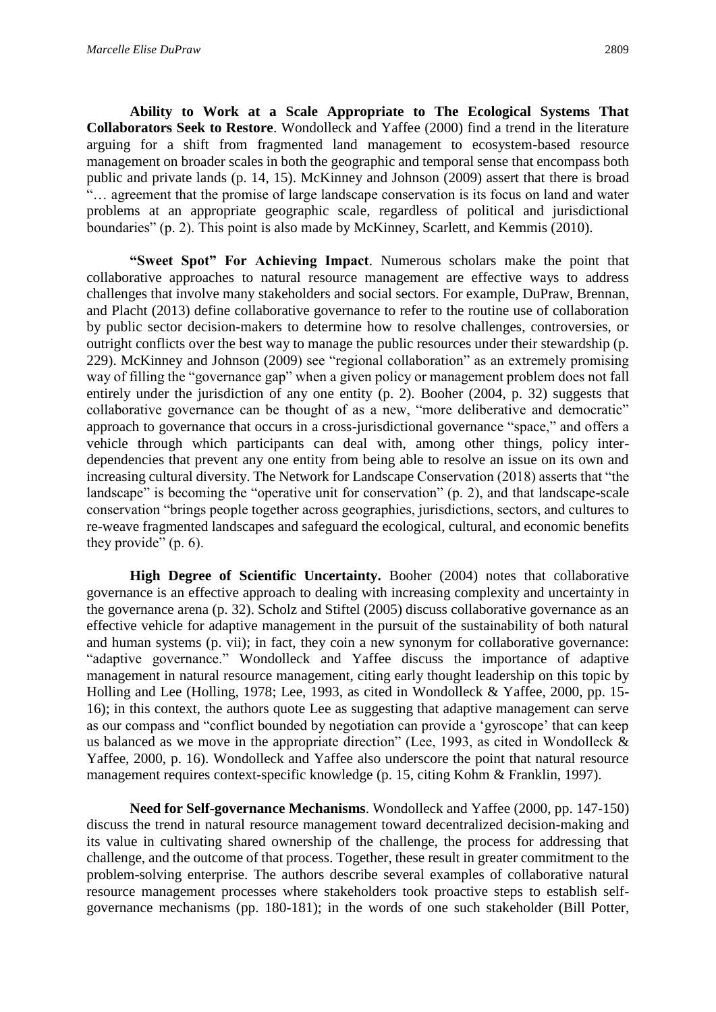**Ability to Work at a Scale Appropriate to The Ecological Systems That Collaborators Seek to Restore**. Wondolleck and Yaffee (2000) find a trend in the literature arguing for a shift from fragmented land management to ecosystem-based resource management on broader scales in both the geographic and temporal sense that encompass both public and private lands (p. 14, 15). McKinney and Johnson (2009) assert that there is broad "… agreement that the promise of large landscape conservation is its focus on land and water problems at an appropriate geographic scale, regardless of political and jurisdictional boundaries" (p. 2). This point is also made by McKinney, Scarlett, and Kemmis (2010).

**"Sweet Spot" For Achieving Impact**. Numerous scholars make the point that collaborative approaches to natural resource management are effective ways to address challenges that involve many stakeholders and social sectors. For example, DuPraw, Brennan, and Placht (2013) define collaborative governance to refer to the routine use of collaboration by public sector decision-makers to determine how to resolve challenges, controversies, or outright conflicts over the best way to manage the public resources under their stewardship (p. 229). McKinney and Johnson (2009) see "regional collaboration" as an extremely promising way of filling the "governance gap" when a given policy or management problem does not fall entirely under the jurisdiction of any one entity (p. 2). Booher (2004, p. 32) suggests that collaborative governance can be thought of as a new, "more deliberative and democratic" approach to governance that occurs in a cross-jurisdictional governance "space," and offers a vehicle through which participants can deal with, among other things, policy interdependencies that prevent any one entity from being able to resolve an issue on its own and increasing cultural diversity. The Network for Landscape Conservation (2018) asserts that "the landscape" is becoming the "operative unit for conservation" (p. 2), and that landscape-scale conservation "brings people together across geographies, jurisdictions, sectors, and cultures to re-weave fragmented landscapes and safeguard the ecological, cultural, and economic benefits they provide" (p. 6).

**High Degree of Scientific Uncertainty.** Booher (2004) notes that collaborative governance is an effective approach to dealing with increasing complexity and uncertainty in the governance arena (p. 32). Scholz and Stiftel (2005) discuss collaborative governance as an effective vehicle for adaptive management in the pursuit of the sustainability of both natural and human systems (p. vii); in fact, they coin a new synonym for collaborative governance: "adaptive governance." Wondolleck and Yaffee discuss the importance of adaptive management in natural resource management, citing early thought leadership on this topic by Holling and Lee (Holling, 1978; Lee, 1993, as cited in Wondolleck & Yaffee, 2000, pp. 15- 16); in this context, the authors quote Lee as suggesting that adaptive management can serve as our compass and "conflict bounded by negotiation can provide a 'gyroscope' that can keep us balanced as we move in the appropriate direction" (Lee, 1993, as cited in Wondolleck & Yaffee, 2000, p. 16). Wondolleck and Yaffee also underscore the point that natural resource management requires context-specific knowledge (p. 15, citing Kohm & Franklin, 1997).

**Need for Self-governance Mechanisms**. Wondolleck and Yaffee (2000, pp. 147-150) discuss the trend in natural resource management toward decentralized decision-making and its value in cultivating shared ownership of the challenge, the process for addressing that challenge, and the outcome of that process. Together, these result in greater commitment to the problem-solving enterprise. The authors describe several examples of collaborative natural resource management processes where stakeholders took proactive steps to establish selfgovernance mechanisms (pp. 180-181); in the words of one such stakeholder (Bill Potter,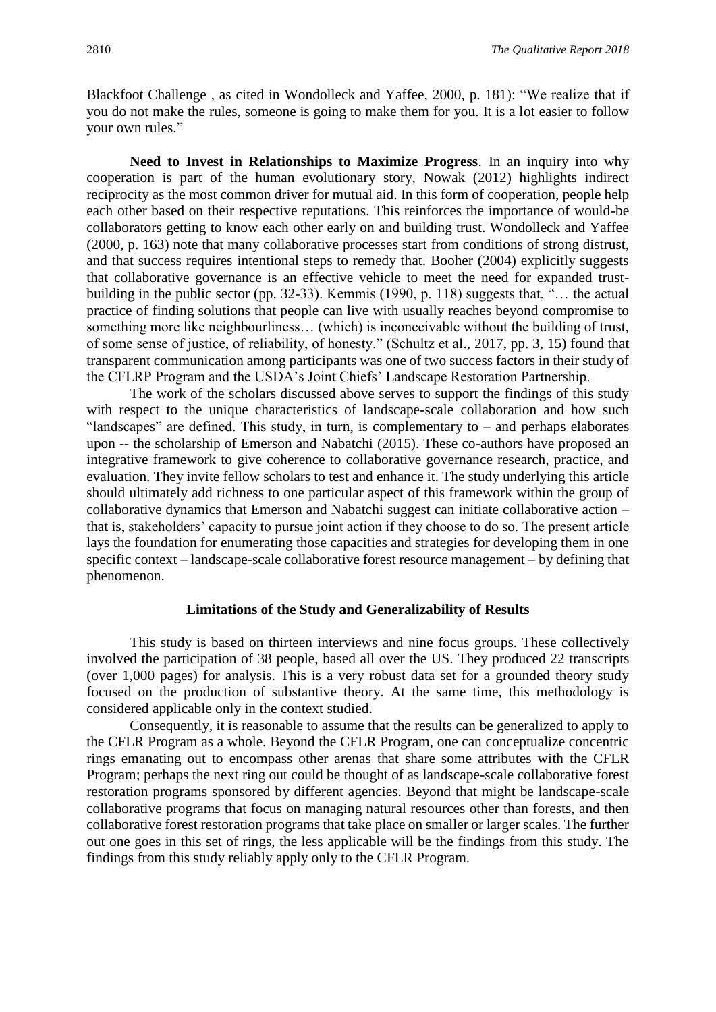Blackfoot Challenge , as cited in Wondolleck and Yaffee, 2000, p. 181): "We realize that if you do not make the rules, someone is going to make them for you. It is a lot easier to follow your own rules."

**Need to Invest in Relationships to Maximize Progress**. In an inquiry into why cooperation is part of the human evolutionary story, Nowak (2012) highlights indirect reciprocity as the most common driver for mutual aid. In this form of cooperation, people help each other based on their respective reputations. This reinforces the importance of would-be collaborators getting to know each other early on and building trust. Wondolleck and Yaffee (2000, p. 163) note that many collaborative processes start from conditions of strong distrust, and that success requires intentional steps to remedy that. Booher (2004) explicitly suggests that collaborative governance is an effective vehicle to meet the need for expanded trustbuilding in the public sector (pp. 32-33). Kemmis (1990, p. 118) suggests that, "… the actual practice of finding solutions that people can live with usually reaches beyond compromise to something more like neighbourliness… (which) is inconceivable without the building of trust, of some sense of justice, of reliability, of honesty." (Schultz et al., 2017, pp. 3, 15) found that transparent communication among participants was one of two success factors in their study of the CFLRP Program and the USDA's Joint Chiefs' Landscape Restoration Partnership.

The work of the scholars discussed above serves to support the findings of this study with respect to the unique characteristics of landscape-scale collaboration and how such "landscapes" are defined. This study, in turn, is complementary to  $-$  and perhaps elaborates upon -- the scholarship of Emerson and Nabatchi (2015). These co-authors have proposed an integrative framework to give coherence to collaborative governance research, practice, and evaluation. They invite fellow scholars to test and enhance it. The study underlying this article should ultimately add richness to one particular aspect of this framework within the group of collaborative dynamics that Emerson and Nabatchi suggest can initiate collaborative action – that is, stakeholders' capacity to pursue joint action if they choose to do so. The present article lays the foundation for enumerating those capacities and strategies for developing them in one specific context – landscape-scale collaborative forest resource management – by defining that phenomenon.

#### **Limitations of the Study and Generalizability of Results**

This study is based on thirteen interviews and nine focus groups. These collectively involved the participation of 38 people, based all over the US. They produced 22 transcripts (over 1,000 pages) for analysis. This is a very robust data set for a grounded theory study focused on the production of substantive theory. At the same time, this methodology is considered applicable only in the context studied.

Consequently, it is reasonable to assume that the results can be generalized to apply to the CFLR Program as a whole. Beyond the CFLR Program, one can conceptualize concentric rings emanating out to encompass other arenas that share some attributes with the CFLR Program; perhaps the next ring out could be thought of as landscape-scale collaborative forest restoration programs sponsored by different agencies. Beyond that might be landscape-scale collaborative programs that focus on managing natural resources other than forests, and then collaborative forest restoration programs that take place on smaller or larger scales. The further out one goes in this set of rings, the less applicable will be the findings from this study. The findings from this study reliably apply only to the CFLR Program.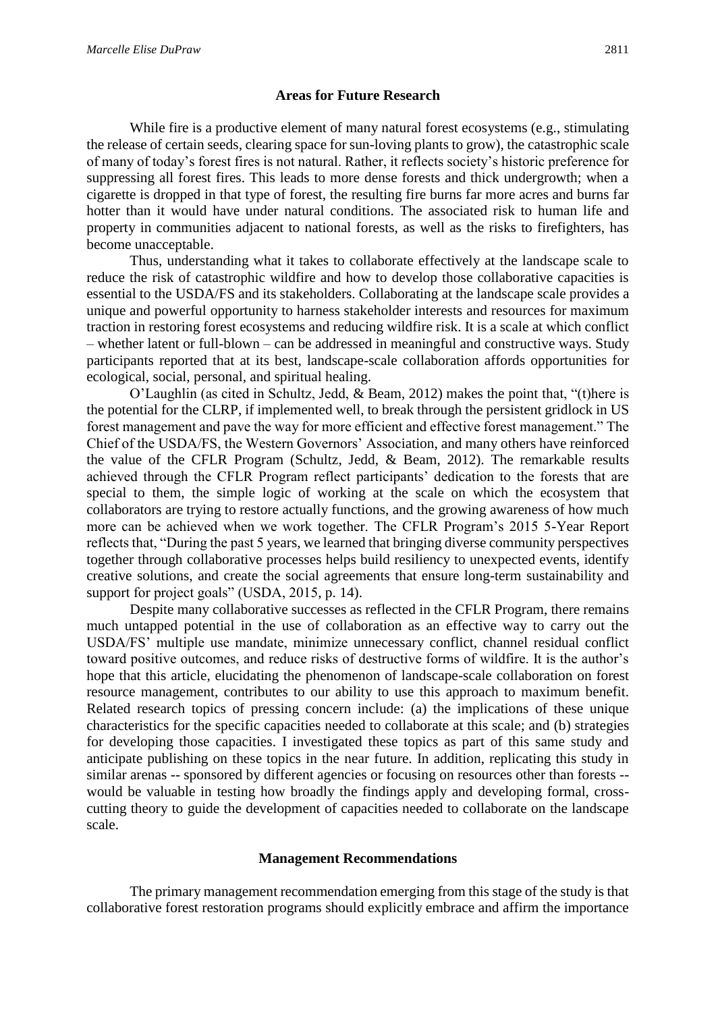# **Areas for Future Research**

While fire is a productive element of many natural forest ecosystems (e.g., stimulating the release of certain seeds, clearing space for sun-loving plants to grow), the catastrophic scale of many of today's forest fires is not natural. Rather, it reflects society's historic preference for suppressing all forest fires. This leads to more dense forests and thick undergrowth; when a cigarette is dropped in that type of forest, the resulting fire burns far more acres and burns far hotter than it would have under natural conditions. The associated risk to human life and property in communities adjacent to national forests, as well as the risks to firefighters, has become unacceptable.

Thus, understanding what it takes to collaborate effectively at the landscape scale to reduce the risk of catastrophic wildfire and how to develop those collaborative capacities is essential to the USDA/FS and its stakeholders. Collaborating at the landscape scale provides a unique and powerful opportunity to harness stakeholder interests and resources for maximum traction in restoring forest ecosystems and reducing wildfire risk. It is a scale at which conflict – whether latent or full-blown – can be addressed in meaningful and constructive ways. Study participants reported that at its best, landscape-scale collaboration affords opportunities for ecological, social, personal, and spiritual healing.

O'Laughlin (as cited in Schultz, Jedd, & Beam, 2012) makes the point that, "(t)here is the potential for the CLRP, if implemented well, to break through the persistent gridlock in US forest management and pave the way for more efficient and effective forest management." The Chief of the USDA/FS, the Western Governors' Association, and many others have reinforced the value of the CFLR Program (Schultz, Jedd, & Beam, 2012). The remarkable results achieved through the CFLR Program reflect participants' dedication to the forests that are special to them, the simple logic of working at the scale on which the ecosystem that collaborators are trying to restore actually functions, and the growing awareness of how much more can be achieved when we work together. The CFLR Program's 2015 5-Year Report reflects that, "During the past 5 years, we learned that bringing diverse community perspectives together through collaborative processes helps build resiliency to unexpected events, identify creative solutions, and create the social agreements that ensure long-term sustainability and support for project goals" (USDA, 2015, p. 14).

Despite many collaborative successes as reflected in the CFLR Program, there remains much untapped potential in the use of collaboration as an effective way to carry out the USDA/FS' multiple use mandate, minimize unnecessary conflict, channel residual conflict toward positive outcomes, and reduce risks of destructive forms of wildfire. It is the author's hope that this article, elucidating the phenomenon of landscape-scale collaboration on forest resource management, contributes to our ability to use this approach to maximum benefit. Related research topics of pressing concern include: (a) the implications of these unique characteristics for the specific capacities needed to collaborate at this scale; and (b) strategies for developing those capacities. I investigated these topics as part of this same study and anticipate publishing on these topics in the near future. In addition, replicating this study in similar arenas -- sponsored by different agencies or focusing on resources other than forests - would be valuable in testing how broadly the findings apply and developing formal, crosscutting theory to guide the development of capacities needed to collaborate on the landscape scale.

#### **Management Recommendations**

The primary management recommendation emerging from this stage of the study is that collaborative forest restoration programs should explicitly embrace and affirm the importance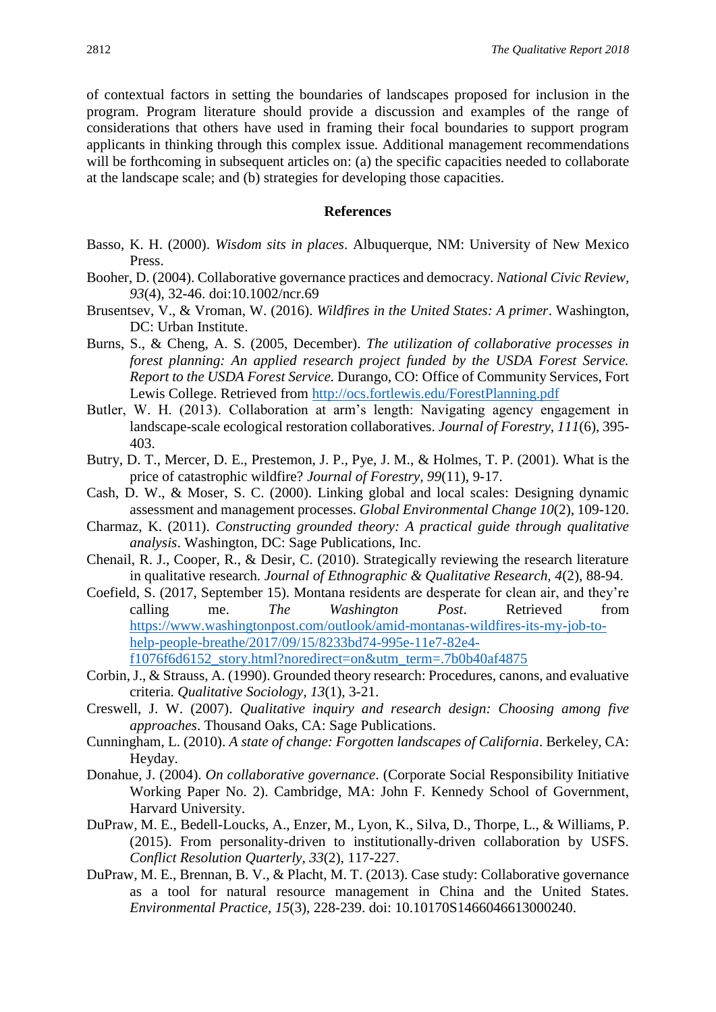of contextual factors in setting the boundaries of landscapes proposed for inclusion in the program. Program literature should provide a discussion and examples of the range of considerations that others have used in framing their focal boundaries to support program applicants in thinking through this complex issue. Additional management recommendations will be forthcoming in subsequent articles on: (a) the specific capacities needed to collaborate at the landscape scale; and (b) strategies for developing those capacities.

#### **References**

- Basso, K. H. (2000). *Wisdom sits in places*. Albuquerque, NM: University of New Mexico Press.
- Booher, D. (2004). Collaborative governance practices and democracy. *National Civic Review, 93*(4), 32-46. doi:10.1002/ncr.69
- Brusentsev, V., & Vroman, W. (2016). *Wildfires in the United States: A primer*. Washington, DC: Urban Institute.
- Burns, S., & Cheng, A. S. (2005, December). *The utilization of collaborative processes in forest planning: An applied research project funded by the USDA Forest Service. Report to the USDA Forest Service.* Durango, CO: Office of Community Services, Fort Lewis College. Retrieved from<http://ocs.fortlewis.edu/ForestPlanning.pdf>
- Butler, W. H. (2013). Collaboration at arm's length: Navigating agency engagement in landscape-scale ecological restoration collaboratives. *Journal of Forestry, 111*(6), 395- 403.
- Butry, D. T., Mercer, D. E., Prestemon, J. P., Pye, J. M., & Holmes, T. P. (2001). What is the price of catastrophic wildfire? *Journal of Forestry, 99*(11), 9-17.
- Cash, D. W., & Moser, S. C. (2000). Linking global and local scales: Designing dynamic assessment and management processes. *Global Environmental Change 10*(2), 109-120.
- Charmaz, K. (2011). *Constructing grounded theory: A practical guide through qualitative analysis*. Washington, DC: Sage Publications, Inc.
- Chenail, R. J., Cooper, R., & Desir, C. (2010). Strategically reviewing the research literature in qualitative research. *Journal of Ethnographic & Qualitative Research, 4*(2), 88-94.
- Coefield, S. (2017, September 15). Montana residents are desperate for clean air, and they're calling me. *The Washington Post*. Retrieved from [https://www.washingtonpost.com/outlook/amid-montanas-wildfires-its-my-job-to](https://www.washingtonpost.com/outlook/amid-montanas-wildfires-its-my-job-to-help-people-breathe/2017/09/15/8233bd74-995e-11e7-82e4-f1076f6d6152_story.html?noredirect=on&utm_term=.7b0b40af4875)[help-people-breathe/2017/09/15/8233bd74-995e-11e7-82e4](https://www.washingtonpost.com/outlook/amid-montanas-wildfires-its-my-job-to-help-people-breathe/2017/09/15/8233bd74-995e-11e7-82e4-f1076f6d6152_story.html?noredirect=on&utm_term=.7b0b40af4875) [f1076f6d6152\\_story.html?noredirect=on&utm\\_term=.7b0b40af4875](https://www.washingtonpost.com/outlook/amid-montanas-wildfires-its-my-job-to-help-people-breathe/2017/09/15/8233bd74-995e-11e7-82e4-f1076f6d6152_story.html?noredirect=on&utm_term=.7b0b40af4875)
- Corbin, J., & Strauss, A. (1990). Grounded theory research: Procedures, canons, and evaluative criteria. *Qualitative Sociology, 13*(1), 3-21.
- Creswell, J. W. (2007). *Qualitative inquiry and research design: Choosing among five approaches*. Thousand Oaks, CA: Sage Publications.
- Cunningham, L. (2010). *A state of change: Forgotten landscapes of California*. Berkeley, CA: Heyday.
- Donahue, J. (2004). *On collaborative governance*. (Corporate Social Responsibility Initiative Working Paper No. 2). Cambridge, MA: John F. Kennedy School of Government, Harvard University.
- DuPraw, M. E., Bedell-Loucks, A., Enzer, M., Lyon, K., Silva, D., Thorpe, L., & Williams, P. (2015). From personality-driven to institutionally-driven collaboration by USFS. *Conflict Resolution Quarterly, 33*(2), 117-227.
- DuPraw, M. E., Brennan, B. V., & Placht, M. T. (2013). Case study: Collaborative governance as a tool for natural resource management in China and the United States. *Environmental Practice, 15*(3), 228-239. doi: 10.10170S1466046613000240.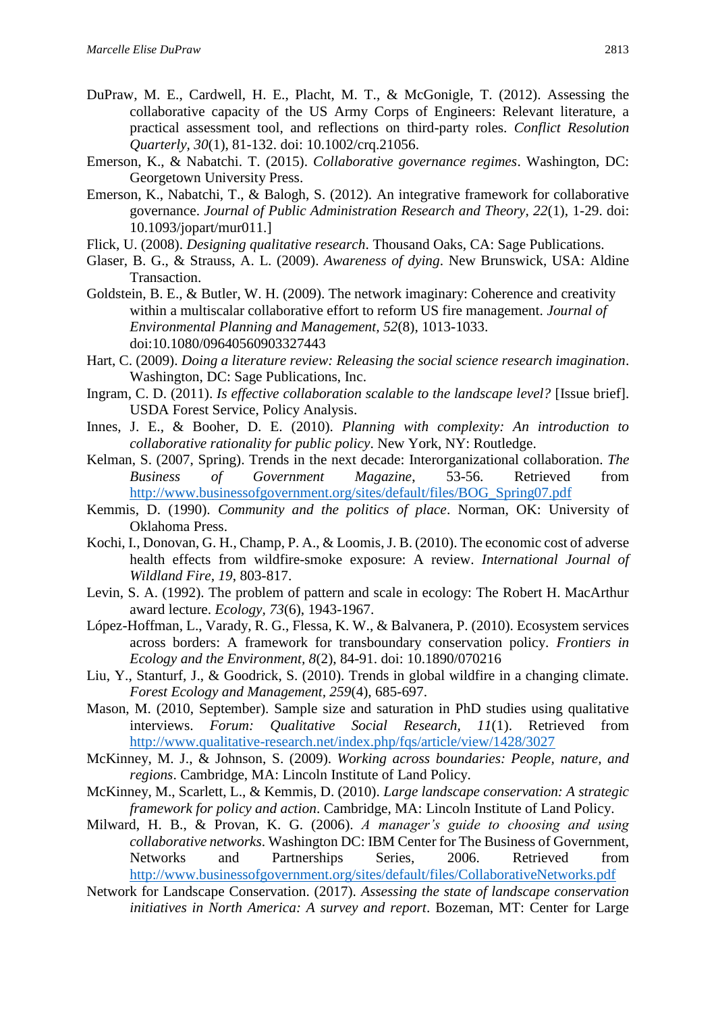- DuPraw, M. E., Cardwell, H. E., Placht, M. T., & McGonigle, T. (2012). Assessing the collaborative capacity of the US Army Corps of Engineers: Relevant literature, a practical assessment tool, and reflections on third-party roles. *Conflict Resolution Quarterly, 30*(1), 81-132. doi: 10.1002/crq.21056.
- Emerson, K., & Nabatchi. T. (2015). *Collaborative governance regimes*. Washington, DC: Georgetown University Press.
- Emerson, K., Nabatchi, T., & Balogh, S. (2012). An integrative framework for collaborative governance. *Journal of Public Administration Research and Theory, 22*(1), 1-29. doi: 10.1093/jopart/mur011.]
- Flick, U. (2008). *Designing qualitative research*. Thousand Oaks, CA: Sage Publications.
- Glaser, B. G., & Strauss, A. L. (2009). *Awareness of dying*. New Brunswick, USA: Aldine Transaction.
- Goldstein, B. E., & Butler, W. H. (2009). The network imaginary: Coherence and creativity within a multiscalar collaborative effort to reform US fire management. *Journal of Environmental Planning and Management, 52*(8), 1013-1033. doi:10.1080/09640560903327443
- Hart, C. (2009). *Doing a literature review: Releasing the social science research imagination*. Washington, DC: Sage Publications, Inc.
- Ingram, C. D. (2011). *Is effective collaboration scalable to the landscape level?* [Issue brief]. USDA Forest Service, Policy Analysis.
- Innes, J. E., & Booher, D. E. (2010). *Planning with complexity: An introduction to collaborative rationality for public policy*. New York, NY: Routledge.
- Kelman, S. (2007, Spring). Trends in the next decade: Interorganizational collaboration. *The Business of Government Magazine*, 53-56. Retrieved from [http://www.businessofgovernment.org/sites/default/files/BOG\\_Spring07.pdf](http://www.businessofgovernment.org/sites/default/files/BOG_Spring07.pdf)
- Kemmis, D. (1990). *Community and the politics of place*. Norman, OK: University of Oklahoma Press.
- Kochi, I., Donovan, G. H., Champ, P. A., & Loomis,J. B. (2010). The economic cost of adverse health effects from wildfire-smoke exposure: A review. *International Journal of Wildland Fire, 19*, 803-817.
- Levin, S. A. (1992). The problem of pattern and scale in ecology: The Robert H. MacArthur award lecture. *Ecology, 73*(6), 1943-1967.
- López-Hoffman, L., Varady, R. G., Flessa, K. W., & Balvanera, P. (2010). Ecosystem services across borders: A framework for transboundary conservation policy. *Frontiers in Ecology and the Environment, 8*(2), 84-91. doi: 10.1890/070216
- Liu, Y., Stanturf, J., & Goodrick, S. (2010). Trends in global wildfire in a changing climate. *Forest Ecology and Management, 259*(4), 685-697.
- Mason, M. (2010, September). Sample size and saturation in PhD studies using qualitative interviews. *Forum: Qualitative Social Research, 11*(1). Retrieved from <http://www.qualitative-research.net/index.php/fqs/article/view/1428/3027>
- McKinney, M. J., & Johnson, S. (2009). *Working across boundaries: People, nature, and regions*. Cambridge, MA: Lincoln Institute of Land Policy.
- McKinney, M., Scarlett, L., & Kemmis, D. (2010). *Large landscape conservation: A strategic framework for policy and action*. Cambridge, MA: Lincoln Institute of Land Policy.
- Milward, H. B., & Provan, K. G. (2006). *A manager's guide to choosing and using collaborative networks*. Washington DC: IBM Center for The Business of Government, Networks and Partnerships Series, 2006. Retrieved from <http://www.businessofgovernment.org/sites/default/files/CollaborativeNetworks.pdf>
- Network for Landscape Conservation. (2017). *Assessing the state of landscape conservation initiatives in North America: A survey and report*. Bozeman, MT: Center for Large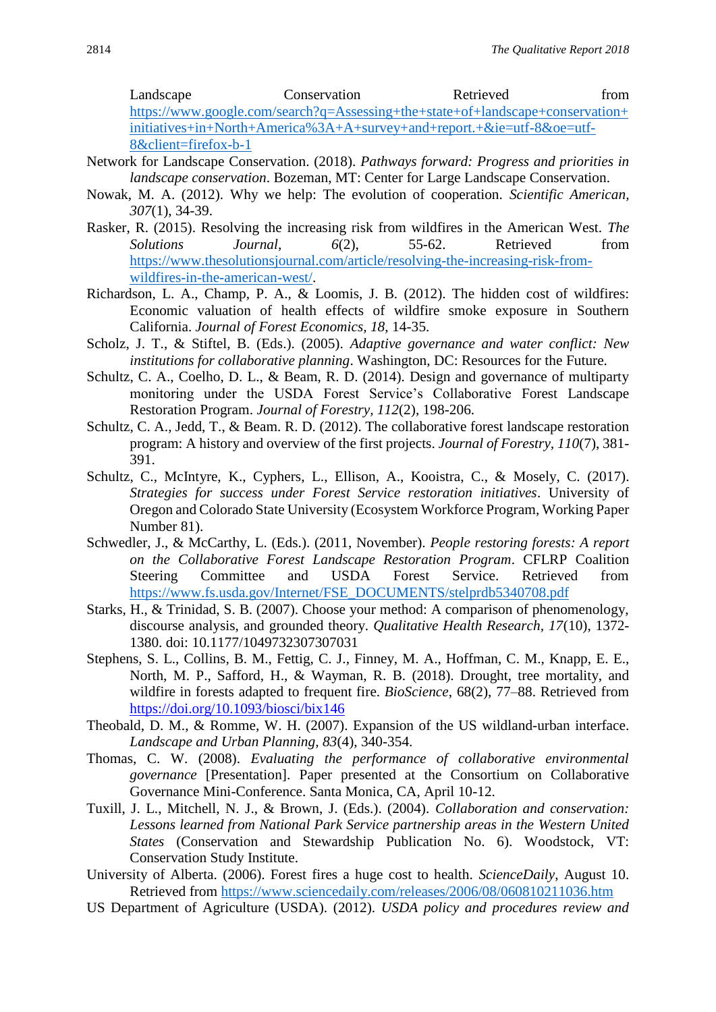Landscape Conservation Retrieved from [https://www.google.com/search?q=Assessing+the+state+of+landscape+conservation+](https://www.google.com/search?q=Assessing+the+state+of+landscape+conservation+initiatives+in+North+America%3A+A+survey+and+report.+&ie=utf-8&oe=utf-8&client=firefox-b-1) [initiatives+in+North+America%3A+A+survey+and+report.+&ie=utf-8&oe=utf-](https://www.google.com/search?q=Assessing+the+state+of+landscape+conservation+initiatives+in+North+America%3A+A+survey+and+report.+&ie=utf-8&oe=utf-8&client=firefox-b-1)[8&client=firefox-b-1](https://www.google.com/search?q=Assessing+the+state+of+landscape+conservation+initiatives+in+North+America%3A+A+survey+and+report.+&ie=utf-8&oe=utf-8&client=firefox-b-1)

- Network for Landscape Conservation. (2018). *Pathways forward: Progress and priorities in landscape conservation*. Bozeman, MT: Center for Large Landscape Conservation.
- Nowak, M. A. (2012). Why we help: The evolution of cooperation. *Scientific American, 307*(1), 34-39.
- Rasker, R. (2015). Resolving the increasing risk from wildfires in the American West. *The Solutions Journal, 6*(2), 55-62. Retrieved from [https://www.thesolutionsjournal.com/article/resolving-the-increasing-risk-from](https://www.thesolutionsjournal.com/article/resolving-the-increasing-risk-from-wildfires-in-the-american-west/)[wildfires-in-the-american-west/.](https://www.thesolutionsjournal.com/article/resolving-the-increasing-risk-from-wildfires-in-the-american-west/)
- Richardson, L. A., Champ, P. A., & Loomis, J. B. (2012). The hidden cost of wildfires: Economic valuation of health effects of wildfire smoke exposure in Southern California. *Journal of Forest Economics, 18*, 14-35.
- Scholz, J. T., & Stiftel, B. (Eds.). (2005). *Adaptive governance and water conflict: New institutions for collaborative planning*. Washington, DC: Resources for the Future.
- Schultz, C. A., Coelho, D. L., & Beam, R. D. (2014). Design and governance of multiparty monitoring under the USDA Forest Service's Collaborative Forest Landscape Restoration Program. *Journal of Forestry, 112*(2), 198-206.
- Schultz, C. A., Jedd, T., & Beam. R. D. (2012). The collaborative forest landscape restoration program: A history and overview of the first projects. *Journal of Forestry, 110*(7), 381- 391.
- Schultz, C., McIntyre, K., Cyphers, L., Ellison, A., Kooistra, C., & Mosely, C. (2017). *Strategies for success under Forest Service restoration initiatives*. University of Oregon and Colorado State University (Ecosystem Workforce Program, Working Paper Number 81).
- Schwedler, J., & McCarthy, L. (Eds.). (2011, November). *People restoring forests: A report on the Collaborative Forest Landscape Restoration Program*. CFLRP Coalition Steering Committee and USDA Forest Service. Retrieved from [https://www.fs.usda.gov/Internet/FSE\\_DOCUMENTS/stelprdb5340708.pdf](https://www.fs.usda.gov/Internet/FSE_DOCUMENTS/stelprdb5340708.pdf)
- Starks, H., & Trinidad, S. B. (2007). Choose your method: A comparison of phenomenology, discourse analysis, and grounded theory. *Qualitative Health Research, 17*(10), 1372- 1380. doi: 10.1177/1049732307307031
- Stephens, S. L., Collins, B. M., Fettig, C. J., Finney, M. A., Hoffman, C. M., Knapp, E. E., North, M. P., Safford, H., & Wayman, R. B. (2018). Drought, tree mortality, and wildfire in forests adapted to frequent fire. *BioScience*, 68(2), 77–88. Retrieved from <https://doi.org/10.1093/biosci/bix146>
- Theobald, D. M., & Romme, W. H. (2007). Expansion of the US wildland-urban interface. *Landscape and Urban Planning, 83*(4), 340-354.
- Thomas, C. W. (2008). *Evaluating the performance of collaborative environmental governance* [Presentation]. Paper presented at the Consortium on Collaborative Governance Mini-Conference. Santa Monica, CA, April 10-12.
- Tuxill, J. L., Mitchell, N. J., & Brown, J. (Eds.). (2004). *Collaboration and conservation: Lessons learned from National Park Service partnership areas in the Western United States* (Conservation and Stewardship Publication No. 6). Woodstock, VT: Conservation Study Institute.
- University of Alberta. (2006). Forest fires a huge cost to health. *ScienceDaily*, August 10. Retrieved from<https://www.sciencedaily.com/releases/2006/08/060810211036.htm>
- US Department of Agriculture (USDA). (2012). *USDA policy and procedures review and*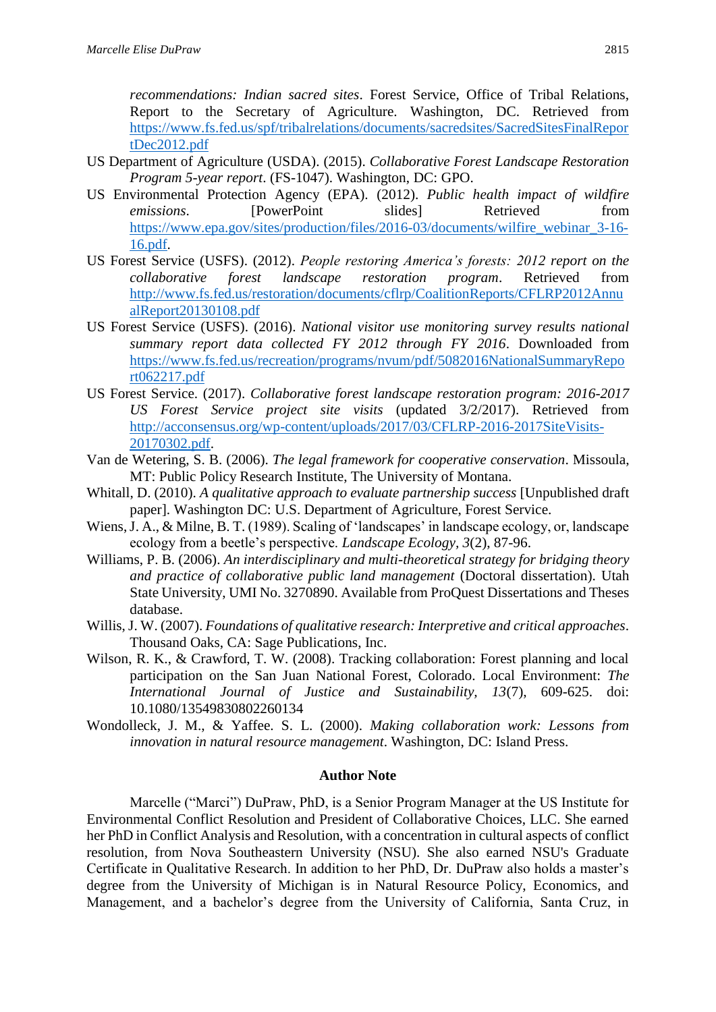*recommendations: Indian sacred sites*. Forest Service, Office of Tribal Relations, Report to the Secretary of Agriculture. Washington, DC. Retrieved from [https://www.fs.fed.us/spf/tribalrelations/documents/sacredsites/SacredSitesFinalRepor](https://www.fs.fed.us/spf/tribalrelations/documents/sacredsites/SacredSitesFinalReportDec2012.pdf) [tDec2012.pdf](https://www.fs.fed.us/spf/tribalrelations/documents/sacredsites/SacredSitesFinalReportDec2012.pdf)

- US Department of Agriculture (USDA). (2015). *Collaborative Forest Landscape Restoration Program 5-year report*. (FS-1047). Washington, DC: GPO.
- US Environmental Protection Agency (EPA). (2012). *Public health impact of wildfire emissions*. **IPowerPoint** slides Retrieved from [https://www.epa.gov/sites/production/files/2016-03/documents/wilfire\\_webinar\\_3-16-](https://www.epa.gov/sites/production/files/2016-03/documents/wilfire_webinar_3-16-16.pdf) [16.pdf.](https://www.epa.gov/sites/production/files/2016-03/documents/wilfire_webinar_3-16-16.pdf)
- US Forest Service (USFS). (2012). *People restoring America's forests: 2012 report on the collaborative forest landscape restoration program*. Retrieved from [http://www.fs.fed.us/restoration/documents/cflrp/CoalitionReports/CFLRP2012Annu](http://www.fs.fed.us/restoration/documents/cflrp/CoalitionReports/CFLRP2012AnnualReport20130108.pdf) [alReport20130108.pdf](http://www.fs.fed.us/restoration/documents/cflrp/CoalitionReports/CFLRP2012AnnualReport20130108.pdf)
- US Forest Service (USFS). (2016). *National visitor use monitoring survey results national summary report data collected FY 2012 through FY 2016*. Downloaded from [https://www.fs.fed.us/recreation/programs/nvum/pdf/5082016NationalSummaryRepo](https://www.fs.fed.us/recreation/programs/nvum/pdf/5082016NationalSummaryReport062217.pdf) [rt062217.pdf](https://www.fs.fed.us/recreation/programs/nvum/pdf/5082016NationalSummaryReport062217.pdf)
- US Forest Service. (2017). *Collaborative forest landscape restoration program: 2016-2017 US Forest Service project site visits* (updated 3/2/2017). Retrieved from [http://acconsensus.org/wp-content/uploads/2017/03/CFLRP-2016-2017SiteVisits-](http://acconsensus.org/wp-content/uploads/2017/03/CFLRP-2016-2017SiteVisits-20170302.pdf)[20170302.pdf.](http://acconsensus.org/wp-content/uploads/2017/03/CFLRP-2016-2017SiteVisits-20170302.pdf)
- Van de Wetering, S. B. (2006). *The legal framework for cooperative conservation*. Missoula, MT: Public Policy Research Institute, The University of Montana.
- Whitall, D. (2010). *A qualitative approach to evaluate partnership success* [Unpublished draft paper]. Washington DC: U.S. Department of Agriculture, Forest Service.
- Wiens, J. A., & Milne, B. T. (1989). Scaling of 'landscapes' in landscape ecology, or, landscape ecology from a beetle's perspective. *Landscape Ecology, 3*(2), 87-96.
- Williams, P. B. (2006). *An interdisciplinary and multi-theoretical strategy for bridging theory and practice of collaborative public land management* (Doctoral dissertation). Utah State University, UMI No. 3270890. Available from ProQuest Dissertations and Theses database.
- Willis, J. W. (2007). *Foundations of qualitative research: Interpretive and critical approaches*. Thousand Oaks, CA: Sage Publications, Inc.
- Wilson, R. K., & Crawford, T. W. (2008). Tracking collaboration: Forest planning and local participation on the San Juan National Forest, Colorado. Local Environment: *The International Journal of Justice and Sustainability, 13*(7), 609-625. doi: 10.1080/13549830802260134
- Wondolleck, J. M., & Yaffee. S. L. (2000). *Making collaboration work: Lessons from innovation in natural resource management*. Washington, DC: Island Press.

#### **Author Note**

Marcelle ("Marci") DuPraw, PhD, is a Senior Program Manager at the US Institute for Environmental Conflict Resolution and President of Collaborative Choices, LLC. She earned her PhD in Conflict Analysis and Resolution, with a concentration in cultural aspects of conflict resolution, from Nova Southeastern University (NSU). She also earned NSU's Graduate Certificate in Qualitative Research. In addition to her PhD, Dr. DuPraw also holds a master's degree from the University of Michigan is in Natural Resource Policy, Economics, and Management, and a bachelor's degree from the University of California, Santa Cruz, in